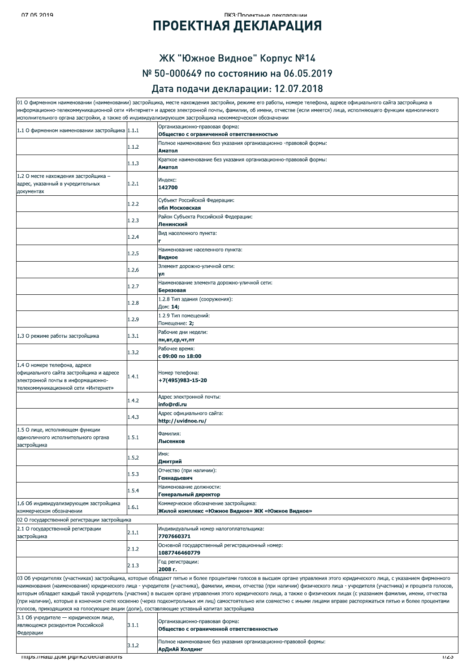#### ПКЗ•Проектные леклярянии

## **ПРОЕКТНАЯ ДЕКЛАРАЦИЯ**

#### ЖК "Южное Видное" Корпус №14 № 50-000649 по состоянию на 06.05.2019

#### Дата подачи декларации: 12.07.2018

|                                                                                                                                                        |       | 01 О фирменном наименовании (наименовании) застройщика, месте нахождения застройки, режиме его работы, номере телефона, адресе официального сайта застройщика в<br>информационно-телекоммуникационной сети «Интернет» и адресе электронной почты, фамилии, об имени, отчестве (если имеется) лица, исполняющего функции единоличного                                                                                                                                                                                                                                                                                                                                                                             |
|--------------------------------------------------------------------------------------------------------------------------------------------------------|-------|------------------------------------------------------------------------------------------------------------------------------------------------------------------------------------------------------------------------------------------------------------------------------------------------------------------------------------------------------------------------------------------------------------------------------------------------------------------------------------------------------------------------------------------------------------------------------------------------------------------------------------------------------------------------------------------------------------------|
|                                                                                                                                                        |       | исполнительного органа застройки, а также об индивидуализирующем застройщика некоммерческом обозначении                                                                                                                                                                                                                                                                                                                                                                                                                                                                                                                                                                                                          |
| 1.1 О фирменном наименовании застройщика 1.1.1                                                                                                         |       | Организационно-правовая форма:<br>Общество с ограниченной ответственностью                                                                                                                                                                                                                                                                                                                                                                                                                                                                                                                                                                                                                                       |
|                                                                                                                                                        | 1.1.2 | Полное наименование без указания организационно -правовой формы:                                                                                                                                                                                                                                                                                                                                                                                                                                                                                                                                                                                                                                                 |
|                                                                                                                                                        |       | Аматол                                                                                                                                                                                                                                                                                                                                                                                                                                                                                                                                                                                                                                                                                                           |
|                                                                                                                                                        | 1.1.3 | Краткое наименование без указания организационно-правовой формы:<br>Аматол                                                                                                                                                                                                                                                                                                                                                                                                                                                                                                                                                                                                                                       |
| 1.2 О месте нахождения застройщика -                                                                                                                   |       | Индекс:                                                                                                                                                                                                                                                                                                                                                                                                                                                                                                                                                                                                                                                                                                          |
| адрес, указанный в учредительных<br>документах                                                                                                         | 1.2.1 | 142700                                                                                                                                                                                                                                                                                                                                                                                                                                                                                                                                                                                                                                                                                                           |
|                                                                                                                                                        | 1.2.2 | Субъект Российской Федерации:<br>обл Московская                                                                                                                                                                                                                                                                                                                                                                                                                                                                                                                                                                                                                                                                  |
|                                                                                                                                                        | 1.2.3 | Район Субъекта Российской Федерации:<br>Ленинский                                                                                                                                                                                                                                                                                                                                                                                                                                                                                                                                                                                                                                                                |
|                                                                                                                                                        | 1.2.4 | Вид населенного пункта:                                                                                                                                                                                                                                                                                                                                                                                                                                                                                                                                                                                                                                                                                          |
|                                                                                                                                                        | 1.2.5 | Наименование населенного пункта:<br>Видное                                                                                                                                                                                                                                                                                                                                                                                                                                                                                                                                                                                                                                                                       |
|                                                                                                                                                        | 1.2.6 | Элемент дорожно-уличной сети:<br>ул                                                                                                                                                                                                                                                                                                                                                                                                                                                                                                                                                                                                                                                                              |
|                                                                                                                                                        | 1.2.7 | Наименование элемента дорожно-уличной сети:<br>Березовая                                                                                                                                                                                                                                                                                                                                                                                                                                                                                                                                                                                                                                                         |
|                                                                                                                                                        | 1.2.8 | 1.2.8 Тип здания (сооружения):<br>Дом: 14;                                                                                                                                                                                                                                                                                                                                                                                                                                                                                                                                                                                                                                                                       |
|                                                                                                                                                        | 1.2.9 | 1.2.9 Тип помешений:<br>Помещение: 2;                                                                                                                                                                                                                                                                                                                                                                                                                                                                                                                                                                                                                                                                            |
| 1.3 О режиме работы застройщика                                                                                                                        | 1.3.1 | Рабочие дни недели:<br>пн,вт,ср,чт,пт                                                                                                                                                                                                                                                                                                                                                                                                                                                                                                                                                                                                                                                                            |
|                                                                                                                                                        | 1.3.2 | Рабочее время:<br>с 09:00 по 18:00                                                                                                                                                                                                                                                                                                                                                                                                                                                                                                                                                                                                                                                                               |
| 1.4 О номере телефона, адресе<br>официального сайта застройщика и адресе<br>электронной почты в информационно-<br>телекоммуникационной сети «Интернет» | 1.4.1 | Номер телефона:<br>+7(495)983-15-20                                                                                                                                                                                                                                                                                                                                                                                                                                                                                                                                                                                                                                                                              |
|                                                                                                                                                        | 1.4.2 | Адрес электронной почты:<br>info@rdi.ru                                                                                                                                                                                                                                                                                                                                                                                                                                                                                                                                                                                                                                                                          |
|                                                                                                                                                        | 1.4.3 | Адрес официального сайта:<br>http://uvidnoe.ru/                                                                                                                                                                                                                                                                                                                                                                                                                                                                                                                                                                                                                                                                  |
| 1.5 О лице, исполняющем функции<br>единоличного исполнительного органа<br>застройщика                                                                  | 1.5.1 | Фамилия:<br>Лысенков                                                                                                                                                                                                                                                                                                                                                                                                                                                                                                                                                                                                                                                                                             |
|                                                                                                                                                        | 1.5.2 | Имя:<br>Дмитрий                                                                                                                                                                                                                                                                                                                                                                                                                                                                                                                                                                                                                                                                                                  |
|                                                                                                                                                        | 1.5.3 | Отчество (при наличии):<br>Геннадьевич                                                                                                                                                                                                                                                                                                                                                                                                                                                                                                                                                                                                                                                                           |
|                                                                                                                                                        | 1.5.4 | Наименование должности:<br>Генеральный директор                                                                                                                                                                                                                                                                                                                                                                                                                                                                                                                                                                                                                                                                  |
| 1.6 Об индивидуализирующем застройщика<br>коммерческом обозначении                                                                                     | 1.6.1 | Коммерческое обозначение застройщика:<br>Жилой комплекс «Южное Видное» ЖК «Южное Видное»                                                                                                                                                                                                                                                                                                                                                                                                                                                                                                                                                                                                                         |
| 02 О государственной регистрации застройщика                                                                                                           |       |                                                                                                                                                                                                                                                                                                                                                                                                                                                                                                                                                                                                                                                                                                                  |
| 2.1 О государственной регистрации<br>застройщика                                                                                                       | 2.1.1 | Индивидуальный номер налогоплательщика:<br>7707660371                                                                                                                                                                                                                                                                                                                                                                                                                                                                                                                                                                                                                                                            |
|                                                                                                                                                        | 2.1.2 | Основной государственный регистрационный номер:<br>1087746460779                                                                                                                                                                                                                                                                                                                                                                                                                                                                                                                                                                                                                                                 |
|                                                                                                                                                        | 2.1.3 | Год регистрации:<br>2008 г.                                                                                                                                                                                                                                                                                                                                                                                                                                                                                                                                                                                                                                                                                      |
| голосов, приходящихся на голосующие акции (доли), составляющие уставный капитал застройщика                                                            |       | 03 Об учредителях (участниках) застройщика, которые обладают пятью и более процентами голосов в высшем органе управления этого юридического лица, с указанием фирменного<br>наименования (наименования) юридического лица - учредителя (участника), фамилии, имени, отчества (при наличии) физического лица - учредителя (участника) и процента голосов,<br>которым обладает каждый такой учредитель (участник) в высшем органе управления этого юридического лица, а также о физических лицах (с указанием фамилии, имени, отчества<br>(при наличии), которые в конечном счете косвенно (через подконтрольных им лиц) самостоятельно или совместно с иными лицами вправе распоряжаться пятью и более процентами |
| 3.1 Об учредителе — юридическом лице,<br>являющемся резидентом Российской<br>Федерации                                                                 | 3.1.1 | Организационно-правовая форма:<br>Общество с ограниченной ответственностью                                                                                                                                                                                                                                                                                                                                                                                                                                                                                                                                                                                                                                       |
|                                                                                                                                                        | 3.1.2 | Полное наименование без указания организационно-правовой формы:<br>АрДиАй Холдинг                                                                                                                                                                                                                                                                                                                                                                                                                                                                                                                                                                                                                                |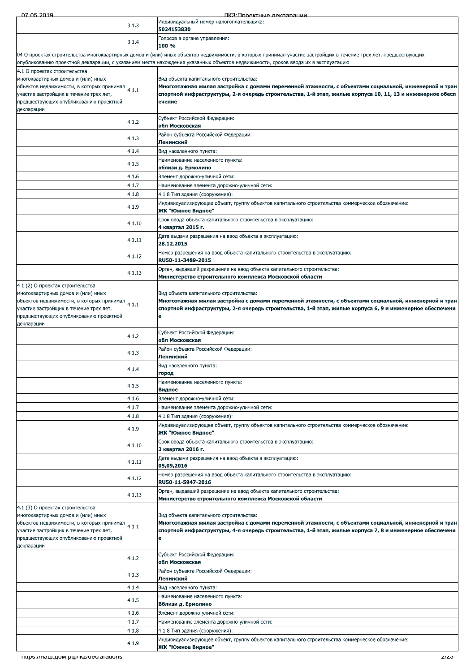07.05.20 <u>2019 - DIKBELL AND DE LA BARAGEAR DE LIKBELL</u><br>Andre La Barachi (1990-1991) - Dike Andre Likbell (1991-1991) - Dike Andre Likbell (1991-1991) - Dike Andre Li ПКЗ Проектные лекларации 4.1.5 Наименование населенного пункта:<br> **4.1.6 Вблизи д. Ермолино**й сети:<br>
4.1.7 Наименование элемента дорожно-уличной сети:<br>
4.1.3 4.1.8 Тип здания (сооружения):<br>
4.1.9 Индивидуализирующее объект, группу объектов капита индивидуальный номер налогоплательщика:<br>**5024153830** 3.1.4 ПОЛОСОВ В ОРГАНЕ УПРАВЛЕНИЯ:<br>**100 %** 04 О проектах строительства многоквартирных домов и (или) иных объектов недвижимости, в которых принимал участие застройщик в течение трех лет, предшествующих опубликованию проектной декларации, с указанием места нахождения указанных объектов недвижимости, сроков ввода их в эксплуатацию 4.1 О проектах строительства многоквартирных домов и (или) иных объектов недвижимости, в которых принимал $\bigg|_{4.1.1}$ участие застройщик в течение трех лет, предшествующих опубликованию проектной<br>декларации Вид объекта капитального строительства:<br>Многоэтажная жилая застройка с домами переменной этажности, с объектами социальной, инженерной и тран<br>спортной инфраструктуры, 2-я очередь строительства, 1-й этап, жилые корпуса 10, - Субъект Российской Федерации:<br>**Обл Московская** 4.1.3 Район субъекта Российской Федерации:<br>**Ленинский** 4.1.4 **Вид населенного пункта:** 4.1.5 Наименование населенного пункта:<br>**вблизи д. Ермолино** 4.1.6 Элемент дорожно-уличной сети: 4.1.7 Наименование элемента дорожно-уличной сети: 4.1.8 4.1.8 Тип здания (сооружения): – Мндивидуализирующее объект, группу объектов капитального строительства коммерческое обозначение:<br>24.1.9 **ЖК "Южное Видное"** 4.1.10 Срок ввода объекта капитального строительства в эксплуатацию:<br>4.1.10 4 квартал 2015 г. 4.1.11 Дата выдачи разрешения на ввод объекта в эксплуатацию:<br>**28.12.2015** 4.1.12 Номер разрешения на ввод объекта капитального строительства в эксплуатацию:<br>RU50-11-3489-2015 4.1.13 <sup>Орган</sup>, выдавший разрешение на ввод объекта капитального строительства:<br>Мини**стерство строительного комплекса Московской области** 4.1 (2) О проектах строительства многоквартирных домов и (или) иных объектов недвижимости, в которых принимал $\bigg|_{4.1.1}$ ,<br>Участие застройщик в течение трех лет, предшествующих опубликованию проектной многоквартирных домов и (или) иных<br>объектов недвижимости, в которых принимал (4.1.1 Мн**огоэтажная жилая застройка с домами переменной этажности, с объектами социальной, инженерной и тран<br>участие застройщик в течение трех**  $4.1.2$  Субъект Россииской Федерации:<br>**Обл Московская** - Район субъекта Российской Федерации:<br>**Ленинский**  $\begin{array}{ccc} & \text{BMA Hace} \\[-4.1.4mm] & \text{Fop} \end{array}$  город  $4.1.5$  Маименование населенного пункта:<br>**Видное** 4.1.6 Элемент дорожно-уличной сети: 4.1.7 Наименование элемента дорожно-уличной сети: 4.1.8 4.1.8 Тип здания (сооружения): Индивидуализирующее объект, группу объектов капитального строительства коммерческое обозначение:<br>24.1.9 **ЖК "Южное Видное"**  $\begin{bmatrix} 4.1.10 \end{bmatrix}$  Срок ввода объекта капитального строительства в эксплуатацию:<br>3 квартал 2016 г. 4.1.11 Дата выдачи разрешения на ввод объекта в эксплуатацию:<br>05.09.2016 4.1.12 Номер разрешения на ввод объекта капитального строительства в эксплуатацию:<br>RU50-11-5947-2016 Орган, выдавший разрешение на ввод объекта капитального строительства:<br>4.1.13 Министерство строительного комплекса Московской области 4.1 (3) О проектах строительства<br>многоквартирных домов и (или) иных многоквартирных домов и (или) иных ооъектов недвижимости, в которых принимал ,<br>Участие застройщик в течение трех лет предшествующих опубликованию проектной<br>декларации Вид объекта капитального строительства:<br><mark>Многоэтажная жилая застройка с домами переменной этажности, с объектами социальной, инженерной и тран</mark><br>спортной инфраструктуры, 4-я очередь строительства, 1-й этап, жилые корпуса 7  $4.1.2$  Субъект Россииской Федерации:<br>**Обл Московская** 4.1.3 Район субъекта Российской Федерации:<br>**Ленинский** 4.1.4 **Вид населенного пункта:** 4.1.5 Наименование населенного пункта:<br>**Вблизи д. Ермолино** 4.1.6 Элемент дорожно-уличной сети: 4.1.7 Наименование элемента дорожно-уличной сети: 4.1.8 4.1.8 Тип здания (сооружения) Мндивидуализирующее объект, группу объектов капитального строительства коммерческое обозначение:<br>**24.1.9 ЖК "Южное Видное"**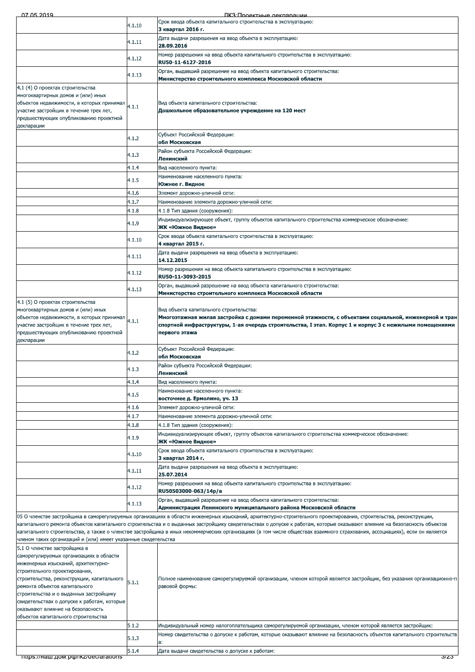| Срок ввода объекта капитального строительства в эксплуатацию:<br>4.1.10<br>3 квартал 2016 г.<br>Дата выдачи разрешения на ввод объекта в эксплуатацию:<br>4.1.11<br>28.09.2016<br>Номер разрешения на ввод объекта капитального строительства в эксплуатацию:<br>4.1.12<br>RU50-11-6127-2016<br>Орган, выдавший разрешение на ввод объекта капитального строительства:<br>4.1.13<br>Министерство строительного комплекса Московской области<br>4.1 (4) О проектах строительства<br>многоквартирных домов и (или) иных<br>объектов недвижимости, в которых принимал<br>Вид объекта капитального строительства:<br>4.1.1<br>участие застройщик в течение трех лет,<br>Дошкольное образовательное учреждение на 120 мест<br>предшествующих опубликованию проектной<br>декларации<br>Субъект Российской Федерации:<br>4.1.2<br>обл Московская<br>Район субъекта Российской Федерации:<br>4.1.3<br>Ленинский<br>4.1.4<br>Вид населенного пункта:<br>Наименование населенного пункта:<br>4.1.5<br>Южнее г. Видное<br>4.1.6<br>Элемент дорожно-уличной сети:<br>4.1.7<br>Наименование элемента дорожно-уличной сети:<br>4.1.8<br>4.1.8 Тип здания (сооружения):<br>Индивидуализирующее объект, группу объектов капитального строительства коммерческое обозначение:<br>4.1.9<br>ЖК «Южное Видное»<br>Срок ввода объекта капитального строительства в эксплуатацию:<br>4.1.10<br>4 квартал 2015 г.<br>Дата выдачи разрешения на ввод объекта в эксплуатацию:<br>4.1.11<br>14.12.2015<br>Номер разрешения на ввод объекта капитального строительства в эксплуатацию:<br>4.1.12<br>RU50-11-3093-2015<br>Орган, выдавший разрешение на ввод объекта капитального строительства:<br>4.1.13<br>Министерство строительного комплекса Московской области<br>4.1 (5) О проектах строительства<br>многоквартирных домов и (или) иных<br>Вид объекта капитального строительства:<br>объектов недвижимости, в которых принимал<br>4.1.1<br>участие застройщик в течение трех лет,<br>предшествующих опубликованию проектной<br>первого этажа<br>декларации<br>Субъект Российской Федерации:<br>4.1.2<br>обл Московская<br>Район субъекта Российской Федерации:<br>4.1.3<br>Ленинский<br>4.1.4<br>Вид населенного пункта:<br>Наименование населенного пункта:<br>4.1.5<br>восточнее д. Ермолино, уч. 13<br>4.1.6<br>Элемент дорожно-уличной сети:<br>4.1.7<br>Наименование элемента дорожно-уличной сети:<br>4.1.8<br>4.1.8 Тип здания (сооружения):<br>Индивидуализирующее объект, группу объектов капитального строительства коммерческое обозначение:<br>4.1.9<br>ЖК «Южное Видное»<br>Срок ввода объекта капитального строительства в эксплуатацию:<br>4.1.10<br>3 квартал 2014 г.<br>Дата выдачи разрешения на ввод объекта в эксплуатацию:<br>4.1.11<br>25.07.2014<br>Номер разрешения на ввод объекта капитального строительства в эксплуатацию:<br>4.1.12<br>RU50503000-063/14p/в<br>Орган, выдавший разрешение на ввод объекта капитального строительства:<br>4.1.13<br>Администрация Ленинского муниципального района Московской области<br>05 О членстве застройщика в саморегулируемых организациях в области инженерных изысканий, архитектурно-строительного проектирования, строительства, реконструкции,<br>капитального ремонта объектов капитального строительства и о выданных застройщику свидетельствах о допуске к работам, которые оказывают влияние на безопасность объектов<br>капитального строительства, а также о членстве застройщика в иных некоммерческих организациях (в том числе обществах взаимного страхования, ассоциациях), если он является<br>членом таких организаций и (или) имеет указанные свидетельства<br>5.1 О членстве застройщика в<br>саморегулируемых организациях в области<br>инженерных изысканий, архитектурно-<br>строительного проектирования,<br>строительства, реконструкции, капитального<br>5.1.1<br>равовой формы:<br>ремонта объектов капитального<br>строительства и о выданных застройщику<br>свидетельствах о допуске к работам, которые<br>оказывают влияние на безопасность<br>объектов капитального строительства<br>5.1.2<br>Индивидуальный номер налогоплательщика саморегулируемой организации, членом которой является застройщик:<br>5.1.3<br>a:<br>5.1.4<br>Дата выдачи свидетельства о допуске к работам:<br>mups.//наш.дом.рф/ikz/declarations | Многоэтажная жилая застройка с домами переменной этажности, с объектами социальной, инженерной и тран<br>спортной инфраструктуры, 1-ая очередь строительства, I этап. Корпус 1 и корпус 3 с нежилыми помещениями<br>Полное наименование саморегулируемой организации, членом которой является застройщик, без указания организационно-п<br>Номер свидетельства о допуске к работам, которые оказывают влияние на безопасность объектов капитального строительств<br><i>সz</i> স | 07 05 2019 | ПКЗ Полектные леклярации |
|---------------------------------------------------------------------------------------------------------------------------------------------------------------------------------------------------------------------------------------------------------------------------------------------------------------------------------------------------------------------------------------------------------------------------------------------------------------------------------------------------------------------------------------------------------------------------------------------------------------------------------------------------------------------------------------------------------------------------------------------------------------------------------------------------------------------------------------------------------------------------------------------------------------------------------------------------------------------------------------------------------------------------------------------------------------------------------------------------------------------------------------------------------------------------------------------------------------------------------------------------------------------------------------------------------------------------------------------------------------------------------------------------------------------------------------------------------------------------------------------------------------------------------------------------------------------------------------------------------------------------------------------------------------------------------------------------------------------------------------------------------------------------------------------------------------------------------------------------------------------------------------------------------------------------------------------------------------------------------------------------------------------------------------------------------------------------------------------------------------------------------------------------------------------------------------------------------------------------------------------------------------------------------------------------------------------------------------------------------------------------------------------------------------------------------------------------------------------------------------------------------------------------------------------------------------------------------------------------------------------------------------------------------------------------------------------------------------------------------------------------------------------------------------------------------------------------------------------------------------------------------------------------------------------------------------------------------------------------------------------------------------------------------------------------------------------------------------------------------------------------------------------------------------------------------------------------------------------------------------------------------------------------------------------------------------------------------------------------------------------------------------------------------------------------------------------------------------------------------------------------------------------------------------------------------------------------------------------------------------------------------------------------------------------------------------------------------------------------------------------------------------------------------------------------------------------------------------------------------------------------------------------------------------------------------------------------------------------------------------------------------------------------------------------------------------------------------------------------------------------------------------------------------------------------------------------------------------------------------------------------------------------------------------------------------|---------------------------------------------------------------------------------------------------------------------------------------------------------------------------------------------------------------------------------------------------------------------------------------------------------------------------------------------------------------------------------------------------------------------------------------------------------------------------------|------------|--------------------------|
|                                                                                                                                                                                                                                                                                                                                                                                                                                                                                                                                                                                                                                                                                                                                                                                                                                                                                                                                                                                                                                                                                                                                                                                                                                                                                                                                                                                                                                                                                                                                                                                                                                                                                                                                                                                                                                                                                                                                                                                                                                                                                                                                                                                                                                                                                                                                                                                                                                                                                                                                                                                                                                                                                                                                                                                                                                                                                                                                                                                                                                                                                                                                                                                                                                                                                                                                                                                                                                                                                                                                                                                                                                                                                                                                                                                                                                                                                                                                                                                                                                                                                                                                                                                                                                                                                                         |                                                                                                                                                                                                                                                                                                                                                                                                                                                                                 |            |                          |
|                                                                                                                                                                                                                                                                                                                                                                                                                                                                                                                                                                                                                                                                                                                                                                                                                                                                                                                                                                                                                                                                                                                                                                                                                                                                                                                                                                                                                                                                                                                                                                                                                                                                                                                                                                                                                                                                                                                                                                                                                                                                                                                                                                                                                                                                                                                                                                                                                                                                                                                                                                                                                                                                                                                                                                                                                                                                                                                                                                                                                                                                                                                                                                                                                                                                                                                                                                                                                                                                                                                                                                                                                                                                                                                                                                                                                                                                                                                                                                                                                                                                                                                                                                                                                                                                                                         |                                                                                                                                                                                                                                                                                                                                                                                                                                                                                 |            |                          |
|                                                                                                                                                                                                                                                                                                                                                                                                                                                                                                                                                                                                                                                                                                                                                                                                                                                                                                                                                                                                                                                                                                                                                                                                                                                                                                                                                                                                                                                                                                                                                                                                                                                                                                                                                                                                                                                                                                                                                                                                                                                                                                                                                                                                                                                                                                                                                                                                                                                                                                                                                                                                                                                                                                                                                                                                                                                                                                                                                                                                                                                                                                                                                                                                                                                                                                                                                                                                                                                                                                                                                                                                                                                                                                                                                                                                                                                                                                                                                                                                                                                                                                                                                                                                                                                                                                         |                                                                                                                                                                                                                                                                                                                                                                                                                                                                                 |            |                          |
|                                                                                                                                                                                                                                                                                                                                                                                                                                                                                                                                                                                                                                                                                                                                                                                                                                                                                                                                                                                                                                                                                                                                                                                                                                                                                                                                                                                                                                                                                                                                                                                                                                                                                                                                                                                                                                                                                                                                                                                                                                                                                                                                                                                                                                                                                                                                                                                                                                                                                                                                                                                                                                                                                                                                                                                                                                                                                                                                                                                                                                                                                                                                                                                                                                                                                                                                                                                                                                                                                                                                                                                                                                                                                                                                                                                                                                                                                                                                                                                                                                                                                                                                                                                                                                                                                                         |                                                                                                                                                                                                                                                                                                                                                                                                                                                                                 |            |                          |
|                                                                                                                                                                                                                                                                                                                                                                                                                                                                                                                                                                                                                                                                                                                                                                                                                                                                                                                                                                                                                                                                                                                                                                                                                                                                                                                                                                                                                                                                                                                                                                                                                                                                                                                                                                                                                                                                                                                                                                                                                                                                                                                                                                                                                                                                                                                                                                                                                                                                                                                                                                                                                                                                                                                                                                                                                                                                                                                                                                                                                                                                                                                                                                                                                                                                                                                                                                                                                                                                                                                                                                                                                                                                                                                                                                                                                                                                                                                                                                                                                                                                                                                                                                                                                                                                                                         |                                                                                                                                                                                                                                                                                                                                                                                                                                                                                 |            |                          |
|                                                                                                                                                                                                                                                                                                                                                                                                                                                                                                                                                                                                                                                                                                                                                                                                                                                                                                                                                                                                                                                                                                                                                                                                                                                                                                                                                                                                                                                                                                                                                                                                                                                                                                                                                                                                                                                                                                                                                                                                                                                                                                                                                                                                                                                                                                                                                                                                                                                                                                                                                                                                                                                                                                                                                                                                                                                                                                                                                                                                                                                                                                                                                                                                                                                                                                                                                                                                                                                                                                                                                                                                                                                                                                                                                                                                                                                                                                                                                                                                                                                                                                                                                                                                                                                                                                         |                                                                                                                                                                                                                                                                                                                                                                                                                                                                                 |            |                          |
|                                                                                                                                                                                                                                                                                                                                                                                                                                                                                                                                                                                                                                                                                                                                                                                                                                                                                                                                                                                                                                                                                                                                                                                                                                                                                                                                                                                                                                                                                                                                                                                                                                                                                                                                                                                                                                                                                                                                                                                                                                                                                                                                                                                                                                                                                                                                                                                                                                                                                                                                                                                                                                                                                                                                                                                                                                                                                                                                                                                                                                                                                                                                                                                                                                                                                                                                                                                                                                                                                                                                                                                                                                                                                                                                                                                                                                                                                                                                                                                                                                                                                                                                                                                                                                                                                                         |                                                                                                                                                                                                                                                                                                                                                                                                                                                                                 |            |                          |
|                                                                                                                                                                                                                                                                                                                                                                                                                                                                                                                                                                                                                                                                                                                                                                                                                                                                                                                                                                                                                                                                                                                                                                                                                                                                                                                                                                                                                                                                                                                                                                                                                                                                                                                                                                                                                                                                                                                                                                                                                                                                                                                                                                                                                                                                                                                                                                                                                                                                                                                                                                                                                                                                                                                                                                                                                                                                                                                                                                                                                                                                                                                                                                                                                                                                                                                                                                                                                                                                                                                                                                                                                                                                                                                                                                                                                                                                                                                                                                                                                                                                                                                                                                                                                                                                                                         |                                                                                                                                                                                                                                                                                                                                                                                                                                                                                 |            |                          |
|                                                                                                                                                                                                                                                                                                                                                                                                                                                                                                                                                                                                                                                                                                                                                                                                                                                                                                                                                                                                                                                                                                                                                                                                                                                                                                                                                                                                                                                                                                                                                                                                                                                                                                                                                                                                                                                                                                                                                                                                                                                                                                                                                                                                                                                                                                                                                                                                                                                                                                                                                                                                                                                                                                                                                                                                                                                                                                                                                                                                                                                                                                                                                                                                                                                                                                                                                                                                                                                                                                                                                                                                                                                                                                                                                                                                                                                                                                                                                                                                                                                                                                                                                                                                                                                                                                         |                                                                                                                                                                                                                                                                                                                                                                                                                                                                                 |            |                          |
|                                                                                                                                                                                                                                                                                                                                                                                                                                                                                                                                                                                                                                                                                                                                                                                                                                                                                                                                                                                                                                                                                                                                                                                                                                                                                                                                                                                                                                                                                                                                                                                                                                                                                                                                                                                                                                                                                                                                                                                                                                                                                                                                                                                                                                                                                                                                                                                                                                                                                                                                                                                                                                                                                                                                                                                                                                                                                                                                                                                                                                                                                                                                                                                                                                                                                                                                                                                                                                                                                                                                                                                                                                                                                                                                                                                                                                                                                                                                                                                                                                                                                                                                                                                                                                                                                                         |                                                                                                                                                                                                                                                                                                                                                                                                                                                                                 |            |                          |
|                                                                                                                                                                                                                                                                                                                                                                                                                                                                                                                                                                                                                                                                                                                                                                                                                                                                                                                                                                                                                                                                                                                                                                                                                                                                                                                                                                                                                                                                                                                                                                                                                                                                                                                                                                                                                                                                                                                                                                                                                                                                                                                                                                                                                                                                                                                                                                                                                                                                                                                                                                                                                                                                                                                                                                                                                                                                                                                                                                                                                                                                                                                                                                                                                                                                                                                                                                                                                                                                                                                                                                                                                                                                                                                                                                                                                                                                                                                                                                                                                                                                                                                                                                                                                                                                                                         |                                                                                                                                                                                                                                                                                                                                                                                                                                                                                 |            |                          |
|                                                                                                                                                                                                                                                                                                                                                                                                                                                                                                                                                                                                                                                                                                                                                                                                                                                                                                                                                                                                                                                                                                                                                                                                                                                                                                                                                                                                                                                                                                                                                                                                                                                                                                                                                                                                                                                                                                                                                                                                                                                                                                                                                                                                                                                                                                                                                                                                                                                                                                                                                                                                                                                                                                                                                                                                                                                                                                                                                                                                                                                                                                                                                                                                                                                                                                                                                                                                                                                                                                                                                                                                                                                                                                                                                                                                                                                                                                                                                                                                                                                                                                                                                                                                                                                                                                         |                                                                                                                                                                                                                                                                                                                                                                                                                                                                                 |            |                          |
|                                                                                                                                                                                                                                                                                                                                                                                                                                                                                                                                                                                                                                                                                                                                                                                                                                                                                                                                                                                                                                                                                                                                                                                                                                                                                                                                                                                                                                                                                                                                                                                                                                                                                                                                                                                                                                                                                                                                                                                                                                                                                                                                                                                                                                                                                                                                                                                                                                                                                                                                                                                                                                                                                                                                                                                                                                                                                                                                                                                                                                                                                                                                                                                                                                                                                                                                                                                                                                                                                                                                                                                                                                                                                                                                                                                                                                                                                                                                                                                                                                                                                                                                                                                                                                                                                                         |                                                                                                                                                                                                                                                                                                                                                                                                                                                                                 |            |                          |
|                                                                                                                                                                                                                                                                                                                                                                                                                                                                                                                                                                                                                                                                                                                                                                                                                                                                                                                                                                                                                                                                                                                                                                                                                                                                                                                                                                                                                                                                                                                                                                                                                                                                                                                                                                                                                                                                                                                                                                                                                                                                                                                                                                                                                                                                                                                                                                                                                                                                                                                                                                                                                                                                                                                                                                                                                                                                                                                                                                                                                                                                                                                                                                                                                                                                                                                                                                                                                                                                                                                                                                                                                                                                                                                                                                                                                                                                                                                                                                                                                                                                                                                                                                                                                                                                                                         |                                                                                                                                                                                                                                                                                                                                                                                                                                                                                 |            |                          |
|                                                                                                                                                                                                                                                                                                                                                                                                                                                                                                                                                                                                                                                                                                                                                                                                                                                                                                                                                                                                                                                                                                                                                                                                                                                                                                                                                                                                                                                                                                                                                                                                                                                                                                                                                                                                                                                                                                                                                                                                                                                                                                                                                                                                                                                                                                                                                                                                                                                                                                                                                                                                                                                                                                                                                                                                                                                                                                                                                                                                                                                                                                                                                                                                                                                                                                                                                                                                                                                                                                                                                                                                                                                                                                                                                                                                                                                                                                                                                                                                                                                                                                                                                                                                                                                                                                         |                                                                                                                                                                                                                                                                                                                                                                                                                                                                                 |            |                          |
|                                                                                                                                                                                                                                                                                                                                                                                                                                                                                                                                                                                                                                                                                                                                                                                                                                                                                                                                                                                                                                                                                                                                                                                                                                                                                                                                                                                                                                                                                                                                                                                                                                                                                                                                                                                                                                                                                                                                                                                                                                                                                                                                                                                                                                                                                                                                                                                                                                                                                                                                                                                                                                                                                                                                                                                                                                                                                                                                                                                                                                                                                                                                                                                                                                                                                                                                                                                                                                                                                                                                                                                                                                                                                                                                                                                                                                                                                                                                                                                                                                                                                                                                                                                                                                                                                                         |                                                                                                                                                                                                                                                                                                                                                                                                                                                                                 |            |                          |
|                                                                                                                                                                                                                                                                                                                                                                                                                                                                                                                                                                                                                                                                                                                                                                                                                                                                                                                                                                                                                                                                                                                                                                                                                                                                                                                                                                                                                                                                                                                                                                                                                                                                                                                                                                                                                                                                                                                                                                                                                                                                                                                                                                                                                                                                                                                                                                                                                                                                                                                                                                                                                                                                                                                                                                                                                                                                                                                                                                                                                                                                                                                                                                                                                                                                                                                                                                                                                                                                                                                                                                                                                                                                                                                                                                                                                                                                                                                                                                                                                                                                                                                                                                                                                                                                                                         |                                                                                                                                                                                                                                                                                                                                                                                                                                                                                 |            |                          |
|                                                                                                                                                                                                                                                                                                                                                                                                                                                                                                                                                                                                                                                                                                                                                                                                                                                                                                                                                                                                                                                                                                                                                                                                                                                                                                                                                                                                                                                                                                                                                                                                                                                                                                                                                                                                                                                                                                                                                                                                                                                                                                                                                                                                                                                                                                                                                                                                                                                                                                                                                                                                                                                                                                                                                                                                                                                                                                                                                                                                                                                                                                                                                                                                                                                                                                                                                                                                                                                                                                                                                                                                                                                                                                                                                                                                                                                                                                                                                                                                                                                                                                                                                                                                                                                                                                         |                                                                                                                                                                                                                                                                                                                                                                                                                                                                                 |            |                          |
|                                                                                                                                                                                                                                                                                                                                                                                                                                                                                                                                                                                                                                                                                                                                                                                                                                                                                                                                                                                                                                                                                                                                                                                                                                                                                                                                                                                                                                                                                                                                                                                                                                                                                                                                                                                                                                                                                                                                                                                                                                                                                                                                                                                                                                                                                                                                                                                                                                                                                                                                                                                                                                                                                                                                                                                                                                                                                                                                                                                                                                                                                                                                                                                                                                                                                                                                                                                                                                                                                                                                                                                                                                                                                                                                                                                                                                                                                                                                                                                                                                                                                                                                                                                                                                                                                                         |                                                                                                                                                                                                                                                                                                                                                                                                                                                                                 |            |                          |
|                                                                                                                                                                                                                                                                                                                                                                                                                                                                                                                                                                                                                                                                                                                                                                                                                                                                                                                                                                                                                                                                                                                                                                                                                                                                                                                                                                                                                                                                                                                                                                                                                                                                                                                                                                                                                                                                                                                                                                                                                                                                                                                                                                                                                                                                                                                                                                                                                                                                                                                                                                                                                                                                                                                                                                                                                                                                                                                                                                                                                                                                                                                                                                                                                                                                                                                                                                                                                                                                                                                                                                                                                                                                                                                                                                                                                                                                                                                                                                                                                                                                                                                                                                                                                                                                                                         |                                                                                                                                                                                                                                                                                                                                                                                                                                                                                 |            |                          |
|                                                                                                                                                                                                                                                                                                                                                                                                                                                                                                                                                                                                                                                                                                                                                                                                                                                                                                                                                                                                                                                                                                                                                                                                                                                                                                                                                                                                                                                                                                                                                                                                                                                                                                                                                                                                                                                                                                                                                                                                                                                                                                                                                                                                                                                                                                                                                                                                                                                                                                                                                                                                                                                                                                                                                                                                                                                                                                                                                                                                                                                                                                                                                                                                                                                                                                                                                                                                                                                                                                                                                                                                                                                                                                                                                                                                                                                                                                                                                                                                                                                                                                                                                                                                                                                                                                         |                                                                                                                                                                                                                                                                                                                                                                                                                                                                                 |            |                          |
|                                                                                                                                                                                                                                                                                                                                                                                                                                                                                                                                                                                                                                                                                                                                                                                                                                                                                                                                                                                                                                                                                                                                                                                                                                                                                                                                                                                                                                                                                                                                                                                                                                                                                                                                                                                                                                                                                                                                                                                                                                                                                                                                                                                                                                                                                                                                                                                                                                                                                                                                                                                                                                                                                                                                                                                                                                                                                                                                                                                                                                                                                                                                                                                                                                                                                                                                                                                                                                                                                                                                                                                                                                                                                                                                                                                                                                                                                                                                                                                                                                                                                                                                                                                                                                                                                                         |                                                                                                                                                                                                                                                                                                                                                                                                                                                                                 |            |                          |
|                                                                                                                                                                                                                                                                                                                                                                                                                                                                                                                                                                                                                                                                                                                                                                                                                                                                                                                                                                                                                                                                                                                                                                                                                                                                                                                                                                                                                                                                                                                                                                                                                                                                                                                                                                                                                                                                                                                                                                                                                                                                                                                                                                                                                                                                                                                                                                                                                                                                                                                                                                                                                                                                                                                                                                                                                                                                                                                                                                                                                                                                                                                                                                                                                                                                                                                                                                                                                                                                                                                                                                                                                                                                                                                                                                                                                                                                                                                                                                                                                                                                                                                                                                                                                                                                                                         |                                                                                                                                                                                                                                                                                                                                                                                                                                                                                 |            |                          |
|                                                                                                                                                                                                                                                                                                                                                                                                                                                                                                                                                                                                                                                                                                                                                                                                                                                                                                                                                                                                                                                                                                                                                                                                                                                                                                                                                                                                                                                                                                                                                                                                                                                                                                                                                                                                                                                                                                                                                                                                                                                                                                                                                                                                                                                                                                                                                                                                                                                                                                                                                                                                                                                                                                                                                                                                                                                                                                                                                                                                                                                                                                                                                                                                                                                                                                                                                                                                                                                                                                                                                                                                                                                                                                                                                                                                                                                                                                                                                                                                                                                                                                                                                                                                                                                                                                         |                                                                                                                                                                                                                                                                                                                                                                                                                                                                                 |            |                          |
|                                                                                                                                                                                                                                                                                                                                                                                                                                                                                                                                                                                                                                                                                                                                                                                                                                                                                                                                                                                                                                                                                                                                                                                                                                                                                                                                                                                                                                                                                                                                                                                                                                                                                                                                                                                                                                                                                                                                                                                                                                                                                                                                                                                                                                                                                                                                                                                                                                                                                                                                                                                                                                                                                                                                                                                                                                                                                                                                                                                                                                                                                                                                                                                                                                                                                                                                                                                                                                                                                                                                                                                                                                                                                                                                                                                                                                                                                                                                                                                                                                                                                                                                                                                                                                                                                                         |                                                                                                                                                                                                                                                                                                                                                                                                                                                                                 |            |                          |
|                                                                                                                                                                                                                                                                                                                                                                                                                                                                                                                                                                                                                                                                                                                                                                                                                                                                                                                                                                                                                                                                                                                                                                                                                                                                                                                                                                                                                                                                                                                                                                                                                                                                                                                                                                                                                                                                                                                                                                                                                                                                                                                                                                                                                                                                                                                                                                                                                                                                                                                                                                                                                                                                                                                                                                                                                                                                                                                                                                                                                                                                                                                                                                                                                                                                                                                                                                                                                                                                                                                                                                                                                                                                                                                                                                                                                                                                                                                                                                                                                                                                                                                                                                                                                                                                                                         |                                                                                                                                                                                                                                                                                                                                                                                                                                                                                 |            |                          |
|                                                                                                                                                                                                                                                                                                                                                                                                                                                                                                                                                                                                                                                                                                                                                                                                                                                                                                                                                                                                                                                                                                                                                                                                                                                                                                                                                                                                                                                                                                                                                                                                                                                                                                                                                                                                                                                                                                                                                                                                                                                                                                                                                                                                                                                                                                                                                                                                                                                                                                                                                                                                                                                                                                                                                                                                                                                                                                                                                                                                                                                                                                                                                                                                                                                                                                                                                                                                                                                                                                                                                                                                                                                                                                                                                                                                                                                                                                                                                                                                                                                                                                                                                                                                                                                                                                         |                                                                                                                                                                                                                                                                                                                                                                                                                                                                                 |            |                          |
|                                                                                                                                                                                                                                                                                                                                                                                                                                                                                                                                                                                                                                                                                                                                                                                                                                                                                                                                                                                                                                                                                                                                                                                                                                                                                                                                                                                                                                                                                                                                                                                                                                                                                                                                                                                                                                                                                                                                                                                                                                                                                                                                                                                                                                                                                                                                                                                                                                                                                                                                                                                                                                                                                                                                                                                                                                                                                                                                                                                                                                                                                                                                                                                                                                                                                                                                                                                                                                                                                                                                                                                                                                                                                                                                                                                                                                                                                                                                                                                                                                                                                                                                                                                                                                                                                                         |                                                                                                                                                                                                                                                                                                                                                                                                                                                                                 |            |                          |
|                                                                                                                                                                                                                                                                                                                                                                                                                                                                                                                                                                                                                                                                                                                                                                                                                                                                                                                                                                                                                                                                                                                                                                                                                                                                                                                                                                                                                                                                                                                                                                                                                                                                                                                                                                                                                                                                                                                                                                                                                                                                                                                                                                                                                                                                                                                                                                                                                                                                                                                                                                                                                                                                                                                                                                                                                                                                                                                                                                                                                                                                                                                                                                                                                                                                                                                                                                                                                                                                                                                                                                                                                                                                                                                                                                                                                                                                                                                                                                                                                                                                                                                                                                                                                                                                                                         |                                                                                                                                                                                                                                                                                                                                                                                                                                                                                 |            |                          |
|                                                                                                                                                                                                                                                                                                                                                                                                                                                                                                                                                                                                                                                                                                                                                                                                                                                                                                                                                                                                                                                                                                                                                                                                                                                                                                                                                                                                                                                                                                                                                                                                                                                                                                                                                                                                                                                                                                                                                                                                                                                                                                                                                                                                                                                                                                                                                                                                                                                                                                                                                                                                                                                                                                                                                                                                                                                                                                                                                                                                                                                                                                                                                                                                                                                                                                                                                                                                                                                                                                                                                                                                                                                                                                                                                                                                                                                                                                                                                                                                                                                                                                                                                                                                                                                                                                         |                                                                                                                                                                                                                                                                                                                                                                                                                                                                                 |            |                          |
|                                                                                                                                                                                                                                                                                                                                                                                                                                                                                                                                                                                                                                                                                                                                                                                                                                                                                                                                                                                                                                                                                                                                                                                                                                                                                                                                                                                                                                                                                                                                                                                                                                                                                                                                                                                                                                                                                                                                                                                                                                                                                                                                                                                                                                                                                                                                                                                                                                                                                                                                                                                                                                                                                                                                                                                                                                                                                                                                                                                                                                                                                                                                                                                                                                                                                                                                                                                                                                                                                                                                                                                                                                                                                                                                                                                                                                                                                                                                                                                                                                                                                                                                                                                                                                                                                                         |                                                                                                                                                                                                                                                                                                                                                                                                                                                                                 |            |                          |
|                                                                                                                                                                                                                                                                                                                                                                                                                                                                                                                                                                                                                                                                                                                                                                                                                                                                                                                                                                                                                                                                                                                                                                                                                                                                                                                                                                                                                                                                                                                                                                                                                                                                                                                                                                                                                                                                                                                                                                                                                                                                                                                                                                                                                                                                                                                                                                                                                                                                                                                                                                                                                                                                                                                                                                                                                                                                                                                                                                                                                                                                                                                                                                                                                                                                                                                                                                                                                                                                                                                                                                                                                                                                                                                                                                                                                                                                                                                                                                                                                                                                                                                                                                                                                                                                                                         |                                                                                                                                                                                                                                                                                                                                                                                                                                                                                 |            |                          |
|                                                                                                                                                                                                                                                                                                                                                                                                                                                                                                                                                                                                                                                                                                                                                                                                                                                                                                                                                                                                                                                                                                                                                                                                                                                                                                                                                                                                                                                                                                                                                                                                                                                                                                                                                                                                                                                                                                                                                                                                                                                                                                                                                                                                                                                                                                                                                                                                                                                                                                                                                                                                                                                                                                                                                                                                                                                                                                                                                                                                                                                                                                                                                                                                                                                                                                                                                                                                                                                                                                                                                                                                                                                                                                                                                                                                                                                                                                                                                                                                                                                                                                                                                                                                                                                                                                         |                                                                                                                                                                                                                                                                                                                                                                                                                                                                                 |            |                          |
|                                                                                                                                                                                                                                                                                                                                                                                                                                                                                                                                                                                                                                                                                                                                                                                                                                                                                                                                                                                                                                                                                                                                                                                                                                                                                                                                                                                                                                                                                                                                                                                                                                                                                                                                                                                                                                                                                                                                                                                                                                                                                                                                                                                                                                                                                                                                                                                                                                                                                                                                                                                                                                                                                                                                                                                                                                                                                                                                                                                                                                                                                                                                                                                                                                                                                                                                                                                                                                                                                                                                                                                                                                                                                                                                                                                                                                                                                                                                                                                                                                                                                                                                                                                                                                                                                                         |                                                                                                                                                                                                                                                                                                                                                                                                                                                                                 |            |                          |
|                                                                                                                                                                                                                                                                                                                                                                                                                                                                                                                                                                                                                                                                                                                                                                                                                                                                                                                                                                                                                                                                                                                                                                                                                                                                                                                                                                                                                                                                                                                                                                                                                                                                                                                                                                                                                                                                                                                                                                                                                                                                                                                                                                                                                                                                                                                                                                                                                                                                                                                                                                                                                                                                                                                                                                                                                                                                                                                                                                                                                                                                                                                                                                                                                                                                                                                                                                                                                                                                                                                                                                                                                                                                                                                                                                                                                                                                                                                                                                                                                                                                                                                                                                                                                                                                                                         |                                                                                                                                                                                                                                                                                                                                                                                                                                                                                 |            |                          |
|                                                                                                                                                                                                                                                                                                                                                                                                                                                                                                                                                                                                                                                                                                                                                                                                                                                                                                                                                                                                                                                                                                                                                                                                                                                                                                                                                                                                                                                                                                                                                                                                                                                                                                                                                                                                                                                                                                                                                                                                                                                                                                                                                                                                                                                                                                                                                                                                                                                                                                                                                                                                                                                                                                                                                                                                                                                                                                                                                                                                                                                                                                                                                                                                                                                                                                                                                                                                                                                                                                                                                                                                                                                                                                                                                                                                                                                                                                                                                                                                                                                                                                                                                                                                                                                                                                         |                                                                                                                                                                                                                                                                                                                                                                                                                                                                                 |            |                          |
|                                                                                                                                                                                                                                                                                                                                                                                                                                                                                                                                                                                                                                                                                                                                                                                                                                                                                                                                                                                                                                                                                                                                                                                                                                                                                                                                                                                                                                                                                                                                                                                                                                                                                                                                                                                                                                                                                                                                                                                                                                                                                                                                                                                                                                                                                                                                                                                                                                                                                                                                                                                                                                                                                                                                                                                                                                                                                                                                                                                                                                                                                                                                                                                                                                                                                                                                                                                                                                                                                                                                                                                                                                                                                                                                                                                                                                                                                                                                                                                                                                                                                                                                                                                                                                                                                                         |                                                                                                                                                                                                                                                                                                                                                                                                                                                                                 |            |                          |
|                                                                                                                                                                                                                                                                                                                                                                                                                                                                                                                                                                                                                                                                                                                                                                                                                                                                                                                                                                                                                                                                                                                                                                                                                                                                                                                                                                                                                                                                                                                                                                                                                                                                                                                                                                                                                                                                                                                                                                                                                                                                                                                                                                                                                                                                                                                                                                                                                                                                                                                                                                                                                                                                                                                                                                                                                                                                                                                                                                                                                                                                                                                                                                                                                                                                                                                                                                                                                                                                                                                                                                                                                                                                                                                                                                                                                                                                                                                                                                                                                                                                                                                                                                                                                                                                                                         |                                                                                                                                                                                                                                                                                                                                                                                                                                                                                 |            |                          |
|                                                                                                                                                                                                                                                                                                                                                                                                                                                                                                                                                                                                                                                                                                                                                                                                                                                                                                                                                                                                                                                                                                                                                                                                                                                                                                                                                                                                                                                                                                                                                                                                                                                                                                                                                                                                                                                                                                                                                                                                                                                                                                                                                                                                                                                                                                                                                                                                                                                                                                                                                                                                                                                                                                                                                                                                                                                                                                                                                                                                                                                                                                                                                                                                                                                                                                                                                                                                                                                                                                                                                                                                                                                                                                                                                                                                                                                                                                                                                                                                                                                                                                                                                                                                                                                                                                         |                                                                                                                                                                                                                                                                                                                                                                                                                                                                                 |            |                          |
|                                                                                                                                                                                                                                                                                                                                                                                                                                                                                                                                                                                                                                                                                                                                                                                                                                                                                                                                                                                                                                                                                                                                                                                                                                                                                                                                                                                                                                                                                                                                                                                                                                                                                                                                                                                                                                                                                                                                                                                                                                                                                                                                                                                                                                                                                                                                                                                                                                                                                                                                                                                                                                                                                                                                                                                                                                                                                                                                                                                                                                                                                                                                                                                                                                                                                                                                                                                                                                                                                                                                                                                                                                                                                                                                                                                                                                                                                                                                                                                                                                                                                                                                                                                                                                                                                                         |                                                                                                                                                                                                                                                                                                                                                                                                                                                                                 |            |                          |
|                                                                                                                                                                                                                                                                                                                                                                                                                                                                                                                                                                                                                                                                                                                                                                                                                                                                                                                                                                                                                                                                                                                                                                                                                                                                                                                                                                                                                                                                                                                                                                                                                                                                                                                                                                                                                                                                                                                                                                                                                                                                                                                                                                                                                                                                                                                                                                                                                                                                                                                                                                                                                                                                                                                                                                                                                                                                                                                                                                                                                                                                                                                                                                                                                                                                                                                                                                                                                                                                                                                                                                                                                                                                                                                                                                                                                                                                                                                                                                                                                                                                                                                                                                                                                                                                                                         |                                                                                                                                                                                                                                                                                                                                                                                                                                                                                 |            |                          |
|                                                                                                                                                                                                                                                                                                                                                                                                                                                                                                                                                                                                                                                                                                                                                                                                                                                                                                                                                                                                                                                                                                                                                                                                                                                                                                                                                                                                                                                                                                                                                                                                                                                                                                                                                                                                                                                                                                                                                                                                                                                                                                                                                                                                                                                                                                                                                                                                                                                                                                                                                                                                                                                                                                                                                                                                                                                                                                                                                                                                                                                                                                                                                                                                                                                                                                                                                                                                                                                                                                                                                                                                                                                                                                                                                                                                                                                                                                                                                                                                                                                                                                                                                                                                                                                                                                         |                                                                                                                                                                                                                                                                                                                                                                                                                                                                                 |            |                          |
|                                                                                                                                                                                                                                                                                                                                                                                                                                                                                                                                                                                                                                                                                                                                                                                                                                                                                                                                                                                                                                                                                                                                                                                                                                                                                                                                                                                                                                                                                                                                                                                                                                                                                                                                                                                                                                                                                                                                                                                                                                                                                                                                                                                                                                                                                                                                                                                                                                                                                                                                                                                                                                                                                                                                                                                                                                                                                                                                                                                                                                                                                                                                                                                                                                                                                                                                                                                                                                                                                                                                                                                                                                                                                                                                                                                                                                                                                                                                                                                                                                                                                                                                                                                                                                                                                                         |                                                                                                                                                                                                                                                                                                                                                                                                                                                                                 |            |                          |
|                                                                                                                                                                                                                                                                                                                                                                                                                                                                                                                                                                                                                                                                                                                                                                                                                                                                                                                                                                                                                                                                                                                                                                                                                                                                                                                                                                                                                                                                                                                                                                                                                                                                                                                                                                                                                                                                                                                                                                                                                                                                                                                                                                                                                                                                                                                                                                                                                                                                                                                                                                                                                                                                                                                                                                                                                                                                                                                                                                                                                                                                                                                                                                                                                                                                                                                                                                                                                                                                                                                                                                                                                                                                                                                                                                                                                                                                                                                                                                                                                                                                                                                                                                                                                                                                                                         |                                                                                                                                                                                                                                                                                                                                                                                                                                                                                 |            |                          |
|                                                                                                                                                                                                                                                                                                                                                                                                                                                                                                                                                                                                                                                                                                                                                                                                                                                                                                                                                                                                                                                                                                                                                                                                                                                                                                                                                                                                                                                                                                                                                                                                                                                                                                                                                                                                                                                                                                                                                                                                                                                                                                                                                                                                                                                                                                                                                                                                                                                                                                                                                                                                                                                                                                                                                                                                                                                                                                                                                                                                                                                                                                                                                                                                                                                                                                                                                                                                                                                                                                                                                                                                                                                                                                                                                                                                                                                                                                                                                                                                                                                                                                                                                                                                                                                                                                         |                                                                                                                                                                                                                                                                                                                                                                                                                                                                                 |            |                          |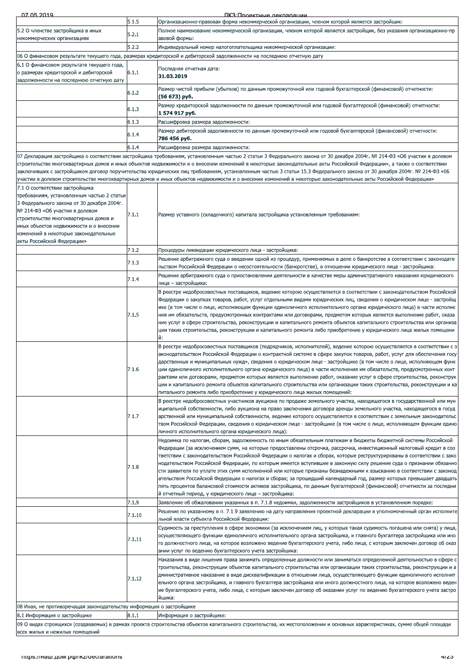| 5.2 О членстве застройщика в иных                                                 | 5.1.5  | Организационно-правовая форма некоммерческой организации, членом которой является застройщик:                                                                                                                                                                                                                                                     |
|-----------------------------------------------------------------------------------|--------|---------------------------------------------------------------------------------------------------------------------------------------------------------------------------------------------------------------------------------------------------------------------------------------------------------------------------------------------------|
|                                                                                   |        | Толное наименование некоммерческой организации, членом которой является застройщик, без указания организационно-пр                                                                                                                                                                                                                                |
| некоммерческих организациях                                                       | 5.2.1  | авовой формы:                                                                                                                                                                                                                                                                                                                                     |
|                                                                                   | 5.2.2  | Индивидуальный номер налогоплательщика некоммерческой организации:                                                                                                                                                                                                                                                                                |
|                                                                                   |        | 06 О финансовом результате текущего года, размерах кредиторской и дебиторской задолженности на последнюю отчетную дату                                                                                                                                                                                                                            |
| 6.1 О финансовом результате текущего года,                                        |        |                                                                                                                                                                                                                                                                                                                                                   |
| о размерах кредиторской и дебиторской<br>задолженности на последнюю отчетную дату | 6.1.1  | Тоследняя отчетная дата:<br>31.03.2019                                                                                                                                                                                                                                                                                                            |
|                                                                                   | 6.1.2  | Размер чистой прибыли (убытков) по данным промежуточной или годовой бухгалтерской (финансовой) отчетности:<br>(56 673) руб.                                                                                                                                                                                                                       |
|                                                                                   | 6.1.3  | Размер кредиторской задолженности по данным промежуточной или годовой бухгалтерской (финансовой) отчетности:<br>1 574 917 руб.                                                                                                                                                                                                                    |
|                                                                                   | 6.1.3  | Расшифровка размера задолженности:                                                                                                                                                                                                                                                                                                                |
|                                                                                   | 6.1.4  | Размер дебиторской задолженности по данным промежуточной или годовой бухгалтерской (финансовой) отчетности:                                                                                                                                                                                                                                       |
|                                                                                   |        | 786 456 руб.                                                                                                                                                                                                                                                                                                                                      |
|                                                                                   | 6.1.4  | Расшифровка размера задолженности:                                                                                                                                                                                                                                                                                                                |
|                                                                                   |        | 07 Декларация застройщика о соответствии застройщика требованиям, установленным частью 2 статьи 3 Федерального закона от 30 декабря 2004г. № 214-ФЗ «Об участии в долевом                                                                                                                                                                         |
|                                                                                   |        | строительстве многоквартирных домов и иных объектов недвижимости и о внесении изменений в некоторые законодательные акты Российской Федерации», а также о соответствии<br>заключивших с застройщиком договор поручительства юридических лиц требованиям, установленным частью 3 статьи 15.3 Федерального закона от 30 декабря 2004г. № 214-ФЗ «06 |
|                                                                                   |        | участии в долевом строительстве многоквартирных домов и иных объектов недвижимости и о внесении изменений в некоторые законодательные акты Российской Федерации»                                                                                                                                                                                  |
| 7.1 О соответствии застройщика                                                    |        |                                                                                                                                                                                                                                                                                                                                                   |
| требованиям, установленным частью 2 статьи                                        |        |                                                                                                                                                                                                                                                                                                                                                   |
| 3 Федерального закона от 30 декабря 2004г.                                        |        |                                                                                                                                                                                                                                                                                                                                                   |
| № 214-ФЗ «Об участии в долевом                                                    |        |                                                                                                                                                                                                                                                                                                                                                   |
| строительстве многоквартирных домов и                                             | 7.1.1  | Размер уставного (складочного) капитала застройщика установленным требованиям:                                                                                                                                                                                                                                                                    |
| иных объектов недвижимости и о внесении                                           |        |                                                                                                                                                                                                                                                                                                                                                   |
| изменений в некоторые законодательные                                             |        |                                                                                                                                                                                                                                                                                                                                                   |
| акты Российской Федерации»                                                        |        |                                                                                                                                                                                                                                                                                                                                                   |
|                                                                                   | 7.1.2  | Троцедуры ликвидации юридического лица - застройщика:                                                                                                                                                                                                                                                                                             |
|                                                                                   | 7.1.3  | Решение арбитражного суда о введении одной из процедур, применяемых в деле о банкротстве в соответствии с законодате                                                                                                                                                                                                                              |
|                                                                                   |        | льством Российской Федерации о несостоятельности (банкротстве), в отношении юридического лица - застройщика:                                                                                                                                                                                                                                      |
|                                                                                   | 7.1.4  | Решение арбитражного суда о приостановлении деятельности в качестве меры административного наказания юридического                                                                                                                                                                                                                                 |
|                                                                                   |        | лица – застройщика:                                                                                                                                                                                                                                                                                                                               |
|                                                                                   |        | В реестре недобросовестных поставщиков, ведение которою осуществляется в соответствии с законодательством Российской                                                                                                                                                                                                                              |
|                                                                                   |        | Федерации о закупках товаров, работ, услуг отдельными видами юридических лиц, сведения о юридическом лице - застройщ                                                                                                                                                                                                                              |
|                                                                                   |        | ике (в том числе о лице, исполняющем функции единоличного исполнительного органа юридического лица) в части исполне                                                                                                                                                                                                                               |
|                                                                                   | 7.1.5  | ния им обязательств, предусмотренных контрактами или договорами, предметом которых является выполнение работ, оказа                                                                                                                                                                                                                               |
|                                                                                   |        | ние услуг в сфере строительства, реконструкции и капитального ремонта объектов капитального строительства или организа                                                                                                                                                                                                                            |
|                                                                                   |        | чии таких строительства, реконструкции и капитального ремонта либо приобретение у юридического лица жилых помещени                                                                                                                                                                                                                                |
|                                                                                   |        | й:                                                                                                                                                                                                                                                                                                                                                |
|                                                                                   |        | реестре недобросовестных поставщиков (подрядчиков, исполнителей), ведение которою осуществляется в соответствии с з                                                                                                                                                                                                                               |
|                                                                                   |        | аконодательством Российской Федерации о контрактной системе в сфере закупок товаров, работ, услуг для обеспечения госу                                                                                                                                                                                                                            |
|                                                                                   |        | дарственных и муниципальных нужд», сведения о юридическом лице - застройщике (в том числе о лице, исполняющем функ                                                                                                                                                                                                                                |
|                                                                                   | 7.1.6  | ции единоличного исполнительного органа юридического лица) в части исполнения им обязательств, предусмотренных конт                                                                                                                                                                                                                               |
|                                                                                   |        | рактами или договорами, предметом которых является выполнение работ, оказание услуг в сфере строительства, реконструк                                                                                                                                                                                                                             |
|                                                                                   |        | чии и капитального ремонта объектов капитального строительства или организации таких строительства, реконструкции и ка                                                                                                                                                                                                                            |
|                                                                                   |        | питального ремонта либо приобретение у юридического лица жилых помещений:                                                                                                                                                                                                                                                                         |
|                                                                                   |        | В реестре недобросовестных участников аукциона по продаже земельного участка, находящегося в государственной или мун                                                                                                                                                                                                                              |
|                                                                                   |        | иципальной собственности, либо аукциона на право заключения договора аренды земельного участка, находящегося в госуд                                                                                                                                                                                                                              |
|                                                                                   | 7.1.7  | арственной или муниципальной собственности, ведение которого осуществляется в соответствии с земельным законодательс                                                                                                                                                                                                                              |
|                                                                                   |        | твом Российской Федерации, сведения о юридическом лице - застройщике (в том числе о лице, исполняющем функции едино                                                                                                                                                                                                                               |
|                                                                                   |        | пичного исполнительного органа юридического лица):                                                                                                                                                                                                                                                                                                |
|                                                                                   |        | Недоимка по налогам, сборам, задолженность по иным обязательным платежам в бюджеты бюджетной системы Российской                                                                                                                                                                                                                                   |
|                                                                                   |        | Федерации (за исключением сумм, на которые предоставлены отсрочка, рассрочка, инвестиционный налоговый кредит в соо                                                                                                                                                                                                                               |
|                                                                                   |        | тветствии с законодательством Российской Федерации о налогах и сборах, которые реструктурированы в соответствии с зако<br>нодательством Российской Федерации, по которым имеется вступившее в законную силу решение суда о признании обязанно                                                                                                     |
|                                                                                   | 7.1.8  |                                                                                                                                                                                                                                                                                                                                                   |
|                                                                                   |        | сти заявителя по уплате этих сумм исполненной или которые признаны безнадежными к взысканию в соответствии с законод<br>ательством Российской Федерации о налогах и сборах; за прошедший календарный год, размер которых превышает двадцать                                                                                                       |
|                                                                                   |        | пять процентов балансовой стоимости активов застройщика, по данным бухгалтерской (финансовой) отчетности за последни                                                                                                                                                                                                                              |
|                                                                                   |        | й отчетный период, у юридического лица – застройщика:                                                                                                                                                                                                                                                                                             |
|                                                                                   | 7.1.9  | Заявление об обжаловании указанных в п. 7.1.8 недоимки, задолженности застройщиков в установленном порядке:                                                                                                                                                                                                                                       |
|                                                                                   |        | Решение по указанному в п. 7.1.9 заявлению на дату направления проектной декларации в уполномоченный орган исполните                                                                                                                                                                                                                              |
|                                                                                   | 7.1.10 | льной власти субъекта Российской Федерации:                                                                                                                                                                                                                                                                                                       |
|                                                                                   |        |                                                                                                                                                                                                                                                                                                                                                   |
|                                                                                   |        | Судимость за преступления в сфере экономики (за исключением лиц, у которых такая судимость погашена или снята) у лица,                                                                                                                                                                                                                            |
|                                                                                   | 7.1.11 | осуществляющего функции единоличного исполнительного органа застройщика, и главного бухгалтера застройщика или ино                                                                                                                                                                                                                                |
|                                                                                   |        | о должностного лица, на которое возложено ведение бухгалтерского учета, либо лица, с которым заключен договор об оказ<br>ании услуг по ведению бухгалтерского учета застройщика:                                                                                                                                                                  |
|                                                                                   |        | Наказания в виде лишения права занимать определенные должности или заниматься определенной деятельностью в сфере с                                                                                                                                                                                                                                |
|                                                                                   |        | троительства, реконструкции объектов капитального строительства или организации таких строительства, реконструкции и а                                                                                                                                                                                                                            |
|                                                                                   |        | дминистративное наказание в виде дисквалификации в отношении лица, осуществляющего функции единоличного исполнит                                                                                                                                                                                                                                  |
|                                                                                   | 7.1.12 | ельного органа застройщика, и главного бухгалтера застройщика или иного должностного лица, на которое возложено веден                                                                                                                                                                                                                             |
|                                                                                   |        | ие бухгалтерского учета, либо лица, с которым заключен договор об оказании услуг по ведению бухгалтерского учета застро                                                                                                                                                                                                                           |
|                                                                                   |        | йщика:                                                                                                                                                                                                                                                                                                                                            |
|                                                                                   |        |                                                                                                                                                                                                                                                                                                                                                   |
| 08 Иная, не противоречащая законодательству информация о застройщике              |        |                                                                                                                                                                                                                                                                                                                                                   |
|                                                                                   |        |                                                                                                                                                                                                                                                                                                                                                   |
| 8.1 Информация о застройщике                                                      | 8.1.1  | Информация о застройщике:<br>09 О видах строящихся (создаваемых) в рамках проекта строительства объектов капитального строительства, их местоположении и основных характеристиках, сумме общей площади                                                                                                                                            |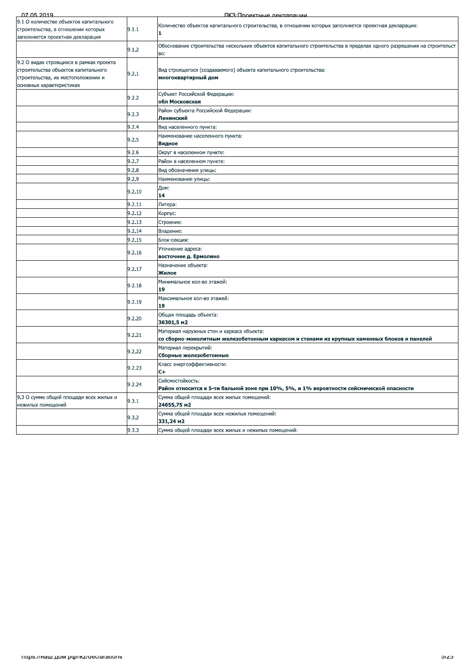| 07 05 2019                                                                                                                                       |        | ПКЗ:Проектные лекпарации                                                                                                                 |
|--------------------------------------------------------------------------------------------------------------------------------------------------|--------|------------------------------------------------------------------------------------------------------------------------------------------|
| 9.1 О количестве объектов капитального<br>строительства, в отношении которых<br>заполняется проектная декларация                                 | 9.1.1  | Количество объектов капитального строительства, в отношении которых заполняется проектная декларация:<br>1.                              |
|                                                                                                                                                  | 9.1.2  | Обоснование строительства нескольких объектов капитального строительства в пределах одного разрешения на строительст<br>BO:              |
| 9.2 О видах строящихся в рамках проекта<br>строительства объектов капитального<br>строительства, их местоположении и<br>основных характеристиках | 9.2.1  | Вид строящегося (создаваемого) объекта капитального строительства:<br>многоквартирный дом                                                |
|                                                                                                                                                  | 9.2.2  | Субъект Российской Федерации:<br>обл Московская                                                                                          |
|                                                                                                                                                  | 9.2.3  | Район субъекта Российской Федерации:<br>Ленинский                                                                                        |
|                                                                                                                                                  | 9.2.4  | Вид населенного пункта:                                                                                                                  |
|                                                                                                                                                  | 9.2.5  | Наименование населенного пункта:<br>Видное                                                                                               |
|                                                                                                                                                  | 9.2.6  | Округ в населенном пункте:                                                                                                               |
|                                                                                                                                                  | 9.2.7  | Район в населенном пункте:                                                                                                               |
|                                                                                                                                                  | 9.2.8  | Вид обозначения улицы:                                                                                                                   |
|                                                                                                                                                  | 9.2.9  | Наименование улицы:                                                                                                                      |
|                                                                                                                                                  |        | Дом:                                                                                                                                     |
|                                                                                                                                                  | 9.2.10 | 14                                                                                                                                       |
|                                                                                                                                                  | 9.2.11 | Литера:                                                                                                                                  |
|                                                                                                                                                  | 9.2.12 | Корпус:                                                                                                                                  |
|                                                                                                                                                  | 9.2.13 | Строение:                                                                                                                                |
|                                                                                                                                                  | 9.2.14 | Владение:                                                                                                                                |
|                                                                                                                                                  | 9.2.15 | Блок-секция:                                                                                                                             |
|                                                                                                                                                  |        | Уточнение адреса:                                                                                                                        |
|                                                                                                                                                  | 9.2.16 | восточнее д. Ермолино                                                                                                                    |
|                                                                                                                                                  | 9.2.17 | Назначение объекта:<br>Жилое                                                                                                             |
|                                                                                                                                                  | 9.2.18 | Минимальное кол-во этажей:<br>19                                                                                                         |
|                                                                                                                                                  | 9.2.19 | Максимальное кол-во этажей:<br>19                                                                                                        |
|                                                                                                                                                  | 9.2.20 | Общая площадь объекта:<br>36301,5 m2                                                                                                     |
|                                                                                                                                                  | 9.2.21 | Материал наружных стен и каркаса объекта:<br>со сборно-монолитным железобетонным каркасом и стенами из крупных каменных блоков и панелей |
|                                                                                                                                                  | 9.2.22 | Материал перекрытий:<br>Сборные железобетонные                                                                                           |
|                                                                                                                                                  | 9.2.23 | Класс энергоэффективности:<br>$C+$                                                                                                       |
|                                                                                                                                                  | 9.2.24 | Сейсмостойкость:<br>Район относится к 5-ти бальной зоне при 10%, 5%, и 1% вероятности сейсмической опасности                             |
| 9.3 О сумме общей площади всех жилых и<br>нежилых помещений                                                                                      | 9.3.1  | Сумма общей площади всех жилых помещений:<br>24655,75 m2                                                                                 |
|                                                                                                                                                  | 9.3.2  | Сумма общей площади всех нежилых помещений:<br>331,24 m2                                                                                 |
|                                                                                                                                                  | 9.3.3  | Сумма общей площади всех жилых и нежилых помещений:                                                                                      |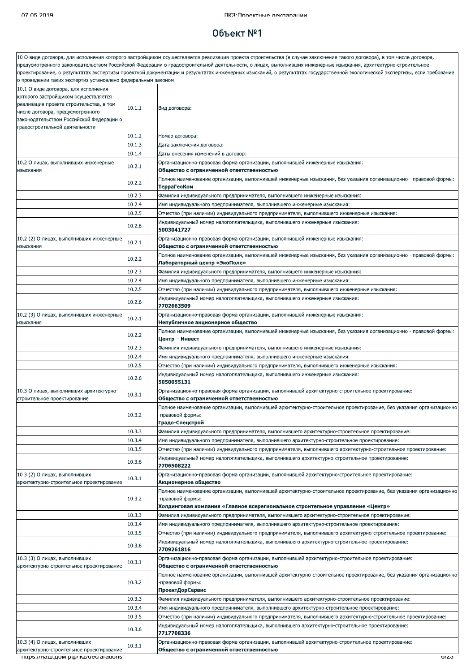### Объект №1

|                                                                                                                                                                                                                                           |                  | 10 О виде договора, для исполнения которого застройщиком осуществляется реализация проекта строительства (в случае заключения такого договора), в том числе договора,                                                                                                                                                                         |
|-------------------------------------------------------------------------------------------------------------------------------------------------------------------------------------------------------------------------------------------|------------------|-----------------------------------------------------------------------------------------------------------------------------------------------------------------------------------------------------------------------------------------------------------------------------------------------------------------------------------------------|
|                                                                                                                                                                                                                                           |                  | предусмотренного законодательством Российской Федерации о градостроительной деятельности, о лицах, выполнивших инженерные изыскания, архитектурно-строительное<br>проектирование, о результатах экспертизы проектной документации и результатах инженерных изысканий, о результатах государственной экологической экспертизы, если требование |
| о проведении таких экспертиз установлено федеральным законом                                                                                                                                                                              |                  |                                                                                                                                                                                                                                                                                                                                               |
| 10.1 О виде договора, для исполнения<br>которого застройщиком осуществляется<br>реализация проекта строительства, в том<br>числе договора, предусмотренного<br>законодательством Российской Федерации о<br>градостроительной деятельности | 10.1.1           | Вид договора:                                                                                                                                                                                                                                                                                                                                 |
|                                                                                                                                                                                                                                           | 10.1.2           | Номер договора:                                                                                                                                                                                                                                                                                                                               |
|                                                                                                                                                                                                                                           | 10.1.3           | Дата заключения договора:                                                                                                                                                                                                                                                                                                                     |
|                                                                                                                                                                                                                                           | 10.1.4           | Даты внесения изменений в договор:                                                                                                                                                                                                                                                                                                            |
| 10.2 О лицах, выполнивших инженерные                                                                                                                                                                                                      | 10.2.1           | Организационно-правовая форма организации, выполнившей инженерные изыскания:                                                                                                                                                                                                                                                                  |
| изыскания                                                                                                                                                                                                                                 | 10.2.2           | Общество с ограниченной ответственностью<br>Полное наименование организации, выполнившей инженерные изыскания, без указания организационно - правовой формы:                                                                                                                                                                                  |
|                                                                                                                                                                                                                                           |                  | ТерраГеоКом                                                                                                                                                                                                                                                                                                                                   |
|                                                                                                                                                                                                                                           | 10.2.3           | Фамилия индивидуального предпринимателя, выполнившего инженерные изыскания:                                                                                                                                                                                                                                                                   |
|                                                                                                                                                                                                                                           | 10.2.4<br>10.2.5 | Имя индивидуального предпринимателя, выполнившего инженерные изыскания:<br>Отчество (при наличии) индивидуального предпринимателя, выполнившего инженерные изыскания:                                                                                                                                                                         |
|                                                                                                                                                                                                                                           | 10.2.6           | Индивидуальный номер налогоплательщика, выполнившего инженерные изыскания:<br>5003041727                                                                                                                                                                                                                                                      |
| 10.2 (2) О лицах, выполнивших инженерные<br>изыскания                                                                                                                                                                                     | 10.2.1           | Организационно-правовая форма организации, выполнившей инженерные изыскания:<br>Общество с ограниченной ответственностью                                                                                                                                                                                                                      |
|                                                                                                                                                                                                                                           | 10.2.2           | Полное наименование организации, выполнившей инженерные изыскания, без указания организационно - правовой формы:<br>Лабораторный центр «ЭкоПоле»                                                                                                                                                                                              |
|                                                                                                                                                                                                                                           | 10.2.3           | Фамилия индивидуального предпринимателя, выполнившего инженерные изыскания:                                                                                                                                                                                                                                                                   |
|                                                                                                                                                                                                                                           | 10.2.4           | Имя индивидуального предпринимателя, выполнившего инженерные изыскания:                                                                                                                                                                                                                                                                       |
|                                                                                                                                                                                                                                           | 10.2.5           | Отчество (при наличии) индивидуального предпринимателя, выполнившего инженерные изыскания:                                                                                                                                                                                                                                                    |
|                                                                                                                                                                                                                                           | 10.2.6           | Индивидуальный номер налогоплательщика, выполнившего инженерные изыскания:<br>7702663509                                                                                                                                                                                                                                                      |
| 10.2 (3) О лицах, выполнивших инженерные<br>изыскания                                                                                                                                                                                     | 10.2.1           | Организационно-правовая форма организации, выполнившей инженерные изыскания:<br>Непубличное акционерное общество                                                                                                                                                                                                                              |
|                                                                                                                                                                                                                                           | 10.2.2           | Полное наименование организации, выполнившей инженерные изыскания, без указания организационно - правовой формы:<br>Центр — Инвест                                                                                                                                                                                                            |
|                                                                                                                                                                                                                                           | 10.2.3           | Фамилия индивидуального предпринимателя, выполнившего инженерные изыскания:                                                                                                                                                                                                                                                                   |
|                                                                                                                                                                                                                                           | 10.2.4           | Имя индивидуального предпринимателя, выполнившего инженерные изыскания:                                                                                                                                                                                                                                                                       |
|                                                                                                                                                                                                                                           | 10.2.5           | Отчество (при наличии) индивидуального предпринимателя, выполнившего инженерные изыскания:                                                                                                                                                                                                                                                    |
|                                                                                                                                                                                                                                           | 10.2.6           | Индивидуальный номер налогоплательщика, выполнившего инженерные изыскания:<br>5050055131                                                                                                                                                                                                                                                      |
| 10.3 О лицах, выполнивших архитектурно-<br>строительное проектирование                                                                                                                                                                    | 10.3.1           | Организационно-правовая форма организации, выполнившей архитектурно-строительное проектирование:<br>Общество с ограниченной ответственностью                                                                                                                                                                                                  |
|                                                                                                                                                                                                                                           | 10.3.2           | Полное наименование организации, выполнившей архитектурно-строительное проектирование, без указания организационно<br>-правовой формы:<br>Градо-Спецстрой                                                                                                                                                                                     |
|                                                                                                                                                                                                                                           | 10.3.3           | .Фамилия индивидуального предпринимателя, выполнившего архитектурно-строительное проектирование                                                                                                                                                                                                                                               |
|                                                                                                                                                                                                                                           | 10.3.4           | Имя индивидуального предпринимателя, выполнившего архитектурно-строительное проектирование:                                                                                                                                                                                                                                                   |
|                                                                                                                                                                                                                                           | 10.3.5           | Отчество (при наличии) индивидуального предпринимателя, выполнившего архитектурно-строительное проектирование:                                                                                                                                                                                                                                |
|                                                                                                                                                                                                                                           | 10.3.6           | "Индивидуальный номер налогоплательщика, выполнившего архитектурно-строительное проектирование<br>7706508222                                                                                                                                                                                                                                  |
| 10.3 (2) О лицах, выполнивших<br>архитектурно-строительное проектирование                                                                                                                                                                 | 10.3.1           | .Организационно-правовая форма организации, выполнившей архитектурно-строительное проектирование<br>Акционерное общество                                                                                                                                                                                                                      |
|                                                                                                                                                                                                                                           | 10.3.2           | Полное наименование организации, выполнившей архитектурно-строительное проектирование, без указания организационно<br>-правовой формы:                                                                                                                                                                                                        |
|                                                                                                                                                                                                                                           |                  | Холдинговая компания «Главное всерегиональное строительное управление «Центр»                                                                                                                                                                                                                                                                 |
|                                                                                                                                                                                                                                           | 10.3.3<br>10.3.4 | .Фамилия индивидуального предпринимателя, выполнившего архитектурно-строительное проектирование                                                                                                                                                                                                                                               |
|                                                                                                                                                                                                                                           | 10.3.5           | Имя индивидуального предпринимателя, выполнившего архитектурно-строительное проектирование:<br>Отчество (при наличии) индивидуального предпринимателя, выполнившего архитектурно-строительное проектирование:                                                                                                                                 |
|                                                                                                                                                                                                                                           | 10.3.6           | Индивидуальный номер налогоплательщика, выполнившего архитектурно-строительное проектирование:<br>7709261816                                                                                                                                                                                                                                  |
| 10.3 (3) О лицах, выполнивших<br>архитектурно-строительное проектирование                                                                                                                                                                 | 10.3.1           | Организационно-правовая форма организации, выполнившей архитектурно-строительное проектирование:<br>Общество с ограниченной ответственностью                                                                                                                                                                                                  |
|                                                                                                                                                                                                                                           | 10.3.2           | Полное наименование организации, выполнившей архитектурно-строительное проектирование, без указания организационно<br>-правовой формы:                                                                                                                                                                                                        |
|                                                                                                                                                                                                                                           |                  | ПроектДорСервис                                                                                                                                                                                                                                                                                                                               |
|                                                                                                                                                                                                                                           | 10.3.3           | Фамилия индивидуального предпринимателя, выполнившего архитектурно-строительное проектирование:                                                                                                                                                                                                                                               |
|                                                                                                                                                                                                                                           | 10.3.4           | Имя индивидуального предпринимателя, выполнившего архитектурно-строительное проектирование:                                                                                                                                                                                                                                                   |
|                                                                                                                                                                                                                                           | 10.3.5           | Отчество (при наличии) индивидуального предпринимателя, выполнившего архитектурно-строительное проектирование:                                                                                                                                                                                                                                |
|                                                                                                                                                                                                                                           | 10.3.6           | "Индивидуальный номер налогоплательщика, выполнившего архитектурно-строительное проектирование<br>7717708336                                                                                                                                                                                                                                  |
| 10.3 (4) О лицах, выполнивших<br>архитектурно-строительное проектирование                                                                                                                                                                 | 10.3.1           | .Организационно-правовая форма организации, выполнившей архитектурно-строительное проектирование<br>Общество с ограниченной ответственностью                                                                                                                                                                                                  |
| mups.//наш.дом.po//ikz/declarations                                                                                                                                                                                                       |                  | 0/ZJ                                                                                                                                                                                                                                                                                                                                          |
|                                                                                                                                                                                                                                           |                  |                                                                                                                                                                                                                                                                                                                                               |
|                                                                                                                                                                                                                                           |                  |                                                                                                                                                                                                                                                                                                                                               |
|                                                                                                                                                                                                                                           |                  |                                                                                                                                                                                                                                                                                                                                               |
|                                                                                                                                                                                                                                           |                  |                                                                                                                                                                                                                                                                                                                                               |
|                                                                                                                                                                                                                                           |                  |                                                                                                                                                                                                                                                                                                                                               |
|                                                                                                                                                                                                                                           |                  |                                                                                                                                                                                                                                                                                                                                               |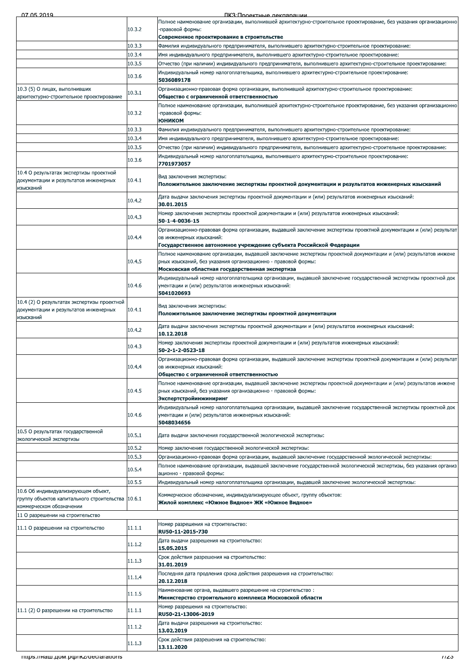| <u>በ7 በ5 2010</u> |  |  |
|-------------------|--|--|

ПКЗ: Проектные декларации

| .                                                                                                             |        | <u>IK. TIN JAR TEKLA 7120 BERTAHAN </u><br>Полное наименование организации, выполнившей архитектурно-строительное проектирование, без указания организационно                                                    |
|---------------------------------------------------------------------------------------------------------------|--------|------------------------------------------------------------------------------------------------------------------------------------------------------------------------------------------------------------------|
|                                                                                                               | 10.3.2 | правовой формы:                                                                                                                                                                                                  |
|                                                                                                               | 10.3.3 | Современное проектирование в строительстве<br>.Фамилия индивидуального предпринимателя, выполнившего архитектурно-строительное проектирование                                                                    |
|                                                                                                               | 10.3.4 | Имя индивидуального предпринимателя, выполнившего архитектурно-строительное проектирование:                                                                                                                      |
|                                                                                                               | 10.3.5 | Отчество (при наличии) индивидуального предпринимателя, выполнившего архитектурно-строительное проектирование:                                                                                                   |
|                                                                                                               | 10.3.6 | "Индивидуальный номер налогоплательщика, выполнившего архитектурно-строительное проектирование<br>5036089178                                                                                                     |
| 10.3 (5) О лицах, выполнивших<br>архитектурно-строительное проектирование                                     | 10.3.1 | .Организационно-правовая форма организации, выполнившей архитектурно-строительное проектирование<br>Общество с ограниченной ответственностью                                                                     |
|                                                                                                               | 10.3.2 | Полное наименование организации, выполнившей архитектурно-строительное проектирование, без указания организационно<br>-правовой формы:                                                                           |
|                                                                                                               |        | <b>ЮНИКОМ</b>                                                                                                                                                                                                    |
|                                                                                                               | 10.3.3 | Фамилия индивидуального предпринимателя, выполнившего архитектурно-строительное проектирование:                                                                                                                  |
|                                                                                                               | 10.3.4 | Имя индивидуального предпринимателя, выполнившего архитектурно-строительное проектирование:                                                                                                                      |
|                                                                                                               | 10.3.5 | Отчество (при наличии) индивидуального предпринимателя, выполнившего архитектурно-строительное проектирование:<br>Индивидуальный номер налогоплательщика, выполнившего архитектурно-строительное проектирование: |
|                                                                                                               | 10.3.6 | 7701973057                                                                                                                                                                                                       |
| 10.4 О результатах экспертизы проектной<br>документации и результатов инженерных<br>изысканий                 | 10.4.1 | Вид заключения экспертизы:<br>Положительное заключение экспертизы проектной документации и результатов инженерных изысканий                                                                                      |
|                                                                                                               | 10.4.2 | Дата выдачи заключения экспертизы проектной документации и (или) результатов инженерных изысканий:<br>30.01.2015                                                                                                 |
|                                                                                                               | 10.4.3 | Номер заключения экспертизы проектной документации и (или) результатов инженерных изысканий:<br>50-1-4-0036-15                                                                                                   |
|                                                                                                               |        | Организационно-правовая форма организации, выдавшей заключение экспертизы проектной документации и (или) результат                                                                                               |
|                                                                                                               | 10.4.4 | ов инженерных изысканий:                                                                                                                                                                                         |
|                                                                                                               |        | Государственное автономное учреждение субъекта Российской Федерации<br>Полное наименование организации, выдавшей заключение экспертизы проектной документации и (или) результатов инжене                         |
|                                                                                                               | 10.4.5 | рных изысканий, без указания организационно - правовой формы:                                                                                                                                                    |
|                                                                                                               |        | Московская областная государственная экспертиза                                                                                                                                                                  |
|                                                                                                               |        | Индивидуальный номер налогоплательщика организации, выдавшей заключение государственной экспертизы проектной док                                                                                                 |
|                                                                                                               | 10.4.6 | ументации и (или) результатов инженерных изысканий:<br>5041020693                                                                                                                                                |
| 10.4 (2) О результатах экспертизы проектной<br>документации и результатов инженерных<br>изысканий             | 10.4.1 | Вид заключения экспертизы:<br>Положительное заключение экспертизы проектной документации                                                                                                                         |
|                                                                                                               | 10.4.2 | Дата выдачи заключения экспертизы проектной документации и (или) результатов инженерных изысканий:<br>10.12.2018                                                                                                 |
|                                                                                                               | 10.4.3 | Номер заключения экспертизы проектной документации и (или) результатов инженерных изысканий:<br>50-2-1-2-0523-18                                                                                                 |
|                                                                                                               | 10.4.4 | Организационно-правовая форма организации, выдавшей заключение экспертизы проектной документации и (или) результат<br>ов инженерных изысканий:                                                                   |
|                                                                                                               |        | Общество с ограниченной ответственностью<br>Полное наименование организации, выдавшей заключение экспертизы проектной документации и (или) результатов инжене                                                    |
|                                                                                                               | 10.4.5 | рных изысканий, без указания организационно - правовой формы:<br>Экспертстройинжиниринг                                                                                                                          |
|                                                                                                               | 10.4.6 | Индивидуальный номер налогоплательщика организации, выдавшей заключение государственной экспертизы проектной док<br>ументации и (или) результатов инженерных изысканий:<br>5048034656                            |
| 10.5 О результатах государственной<br>экологической экспертизы                                                | 10.5.1 | Дата выдачи заключения государственной экологической экспертизы:                                                                                                                                                 |
|                                                                                                               | 10.5.2 | Номер заключения государственной экологической экспертизы:                                                                                                                                                       |
|                                                                                                               | 10.5.3 | Организационно-правовая форма организации, выдавшей заключение государственной экологической экспертизы:                                                                                                         |
|                                                                                                               | 10.5.4 | Полное наименование организации, выдавшей заключение государственной экологической экспертизы, без указания организ                                                                                              |
|                                                                                                               |        | ационно - правовой формы:                                                                                                                                                                                        |
|                                                                                                               | 10.5.5 | Индивидуальный номер налогоплательщика организации, выдавшей заключение экологической экспертизы:                                                                                                                |
| 10.6 Об индивидуализирующем объект,<br>группу объектов капитального строительства<br>коммерческом обозначении | 10.6.1 | Коммерческое обозначение, индивидуализирующее объект, группу объектов:<br>Жилой комплекс «Южное Видное» ЖК «Южное Видное»                                                                                        |
| 11 О разрешении на строительство                                                                              |        |                                                                                                                                                                                                                  |
|                                                                                                               |        | Номер разрешения на строительство:                                                                                                                                                                               |
| 11.1 О разрешении на строительство                                                                            | 11.1.1 | RU50-11-2015-730<br>Дата выдачи разрешения на строительство:                                                                                                                                                     |
|                                                                                                               | 11.1.2 | 15.05.2015                                                                                                                                                                                                       |
|                                                                                                               | 11.1.3 | Срок действия разрешения на строительство:<br>31.01.2019                                                                                                                                                         |
|                                                                                                               | 11.1.4 | Последняя дата продления срока действия разрешения на строительство:<br>20.12.2018                                                                                                                               |
|                                                                                                               | 11.1.5 | Наименование органа, выдавшего разрешение на строительство:<br>Министерство строительного комплекса Московской области                                                                                           |
| 11.1 (2) О разрешении на строительство                                                                        | 11.1.1 | Номер разрешения на строительство:<br>RU50-21-13006-2019                                                                                                                                                         |
|                                                                                                               | 11.1.2 | Дата выдачи разрешения на строительство:<br>13.02.2019                                                                                                                                                           |
|                                                                                                               | 11.1.3 | Срок действия разрешения на строительство:                                                                                                                                                                       |
|                                                                                                               |        | 13.11.2020                                                                                                                                                                                                       |
| mups.//Ham.gom.po//ikz/declarations                                                                           |        | 1123                                                                                                                                                                                                             |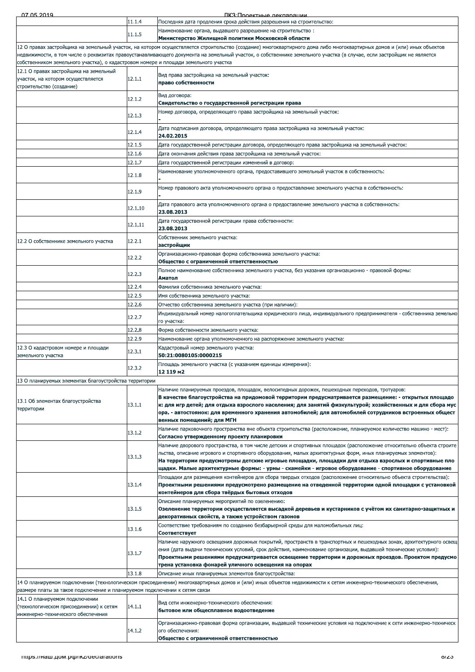| 07.05.2019                                                                                               |         | ПКЗ Подектные леклярации                                                                                                                                                                                                                                                                                                                                                                                                                                   |
|----------------------------------------------------------------------------------------------------------|---------|------------------------------------------------------------------------------------------------------------------------------------------------------------------------------------------------------------------------------------------------------------------------------------------------------------------------------------------------------------------------------------------------------------------------------------------------------------|
|                                                                                                          | 11.1.4  | Последняя дата продления срока действия разрешения на строительство:                                                                                                                                                                                                                                                                                                                                                                                       |
|                                                                                                          | 11.1.5  | Наименование органа, выдавшего разрешение на строительство:<br>Министерство Жилищной политики Московской области                                                                                                                                                                                                                                                                                                                                           |
| собственником земельного участка), о кадастровом номере и площади земельного участка                     |         | 12 О правах застройщика на земельный участок, на котором осуществляется строительство (создание) многоквартирного дома либо многоквартирных домов и (или) иных объектов<br>недвижимости, в том числе о реквизитах правоустанавливающего документа на земельный участок, о собственнике земельного участка (в случае, если застройщик не является                                                                                                           |
| 12.1 О правах застройщика на земельный<br>участок, на котором осуществляется<br>строительство (создание) | 12.1.1  | Вид права застройщика на земельный участок:<br>право собственности                                                                                                                                                                                                                                                                                                                                                                                         |
|                                                                                                          | 12.1.2  | Вид договора:<br>Свидетельство о государственной регистрации права                                                                                                                                                                                                                                                                                                                                                                                         |
|                                                                                                          | 12.1.3  | Номер договора, определяющего права застройщика на земельный участок:                                                                                                                                                                                                                                                                                                                                                                                      |
|                                                                                                          | 12.1.4  | Дата подписания договора, определяющего права застройщика на земельный участок:<br>24.02.2015                                                                                                                                                                                                                                                                                                                                                              |
|                                                                                                          | 12.1.5  | "Дата государственной регистрации договора, определяющего права застройщика на земельный участок                                                                                                                                                                                                                                                                                                                                                           |
|                                                                                                          | 12.1.6  | Дата окончания действия права застройщика на земельный участок:                                                                                                                                                                                                                                                                                                                                                                                            |
|                                                                                                          | 12.1.7  | Дата государственной регистрации изменений в договор:                                                                                                                                                                                                                                                                                                                                                                                                      |
|                                                                                                          | 12.1.8  | Наименование уполномоченного органа, предоставившего земельный участок в собственность:                                                                                                                                                                                                                                                                                                                                                                    |
|                                                                                                          | 12.1.9  | "Номер правового акта уполномоченного органа о предоставление земельного участка в собственность                                                                                                                                                                                                                                                                                                                                                           |
|                                                                                                          | 12.1.10 | "Дата правового акта уполномоченного органа о предоставление земельного участка в собственность<br>23.08.2013                                                                                                                                                                                                                                                                                                                                              |
|                                                                                                          | 12.1.11 | Дата государственной регистрации права собственности:<br>23.08.2013                                                                                                                                                                                                                                                                                                                                                                                        |
| 12.2 О собственнике земельного участка                                                                   | 12.2.1  | Собственник земельного участка:<br>застройщик                                                                                                                                                                                                                                                                                                                                                                                                              |
|                                                                                                          | 12.2.2  | Организационно-правовая форма собственника земельного участка:<br>Общество с ограниченной ответственностью                                                                                                                                                                                                                                                                                                                                                 |
|                                                                                                          | 12.2.3  | . Полное наименование собственника земельного участка, без указания организационно - правовой формы<br>Аматол                                                                                                                                                                                                                                                                                                                                              |
|                                                                                                          | 12.2.4  | Фамилия собственника земельного участка:                                                                                                                                                                                                                                                                                                                                                                                                                   |
|                                                                                                          | 12.2.5  | Имя собственника земельного участка:                                                                                                                                                                                                                                                                                                                                                                                                                       |
|                                                                                                          | 12.2.6  | Отчество собственника земельного участка (при наличии):                                                                                                                                                                                                                                                                                                                                                                                                    |
|                                                                                                          | 12.2.7  | Индивидуальный номер налогоплательщика юридического лица, индивидуального предпринимателя - собственника земельно<br>го участка:                                                                                                                                                                                                                                                                                                                           |
|                                                                                                          | 12.2.8  | Форма собственности земельного участка:                                                                                                                                                                                                                                                                                                                                                                                                                    |
|                                                                                                          | 12.2.9  | Наименование органа уполномоченного на распоряжение земельного участка:                                                                                                                                                                                                                                                                                                                                                                                    |
| 12.3 О кадастровом номере и площади<br>земельного участка                                                | 12.3.1  | Кадастровый номер земельного участка:<br>50:21:0080105:0000215                                                                                                                                                                                                                                                                                                                                                                                             |
|                                                                                                          | 12.3.2  | Площадь земельного участка (с указанием единицы измерения):<br>12 119 m2                                                                                                                                                                                                                                                                                                                                                                                   |
| 13 О планируемых элементах благоустройства территории                                                    |         |                                                                                                                                                                                                                                                                                                                                                                                                                                                            |
| 13.1 Об элементах благоустройства<br>территории                                                          | 13.1.1  | Наличие планируемых проездов, площадок, велосипедных дорожек, пешеходных переходов, тротуаров:<br>В качестве благоустройства на придомовой территории предусматривается размещение: - открытых площадо<br>к: для игр детей; для отдыха взрослого населения; для занятий физкультурой; хозяйственных и для сбора мус<br>ора. - автостоянок: для временного хранения автомобилей; для автомобилей сотрудников встроенных общест<br>венных помещений; для МГН |
|                                                                                                          | 13.1.2  | Наличие парковочного пространства вне объекта строительства (расположение, планируемое количество машино - мест):<br>Согласно утвержденному проекту планировки                                                                                                                                                                                                                                                                                             |
|                                                                                                          | 13.1.3  | Наличие дворового пространства, в том числе детских и спортивных площадок (расположение относительно объекта строите<br>льства, описание игрового и спортивного оборудования, малых архитектурных форм, иных планируемых элементов):<br>На территории предусмотрены детские игровые площадки, площадки для отдыха взрослых и спортивные пло<br>щадки. Малые архитектурные формы: - урны - скамейки - игровое оборудование - спортивное оборудование        |
|                                                                                                          | 13.1.4  | Площадки для размещения контейнеров для сбора твердых отходов (расположение относительно объекта строительства):<br>Проектными решениями предусмотрено размещение на отведенной территории одной площадки с установкой<br>контейнеров для сбора твёрдых бытовых отходов                                                                                                                                                                                    |
|                                                                                                          | 13.1.5  | Описание планируемых мероприятий по озеленению:<br>Озеленение территории осуществляется высадкой деревьев и кустарников с учётом их санитарно-защитных и<br>декоративных свойств, а также устройством газонов                                                                                                                                                                                                                                              |
|                                                                                                          | 13.1.6  | Соответствие требованиям по созданию безбарьерной среды для маломобильных лиц:<br>Соответствует                                                                                                                                                                                                                                                                                                                                                            |
|                                                                                                          | 13.1.7  | Наличие наружного освещения дорожных покрытий, пространств в транспортных и пешеходных зонах, архитектурного освещ<br>ения (дата выдачи технических условий, срок действия, наименование организации, выдавшей технические условия):<br>Проектными решениями предусматривается освещение территории и дорожных проездов. Проектом предусмо                                                                                                                 |
|                                                                                                          |         | трена установка фонарей уличного освещения на опорах                                                                                                                                                                                                                                                                                                                                                                                                       |
|                                                                                                          | 13.1.8  | Описание иных планируемых элементов благоустройства:<br>14 О планируемом подключении (технологическом присоединении) многоквартирных домов и (или) иных объектов недвижимости к сетям инженерно-технического обеспечения,                                                                                                                                                                                                                                  |
| размере платы за такое подключение и планируемом подключении к сетям связи                               |         |                                                                                                                                                                                                                                                                                                                                                                                                                                                            |
| 14.1 О планируемом подключении<br>(технологическом присоединении) к сетям                                | 14.1.1  | Вид сети инженерно-технического обеспечения:<br>бытовое или общесплавное водоотведение                                                                                                                                                                                                                                                                                                                                                                     |
| инженерно-технического обеспечения                                                                       |         |                                                                                                                                                                                                                                                                                                                                                                                                                                                            |
|                                                                                                          | 14.1.2  | Организационно-правовая форма организации, выдавшей технические условия на подключение к сети инженерно-техническ<br>ого обеспечения:<br>Общество с ограниченной ответственностью                                                                                                                                                                                                                                                                          |
|                                                                                                          |         |                                                                                                                                                                                                                                                                                                                                                                                                                                                            |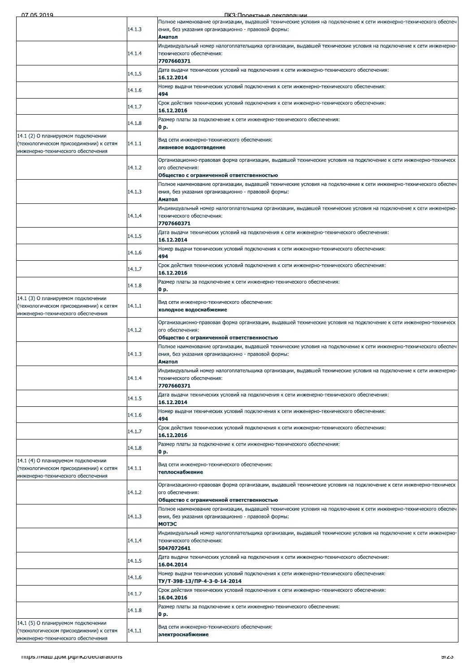ПКЗ:Проектные лекларации

| 07.05.2019                                                                                                          |        | TIK S'I INNAKTHLIA NAKRANATIMA                                                                                                                                                            |
|---------------------------------------------------------------------------------------------------------------------|--------|-------------------------------------------------------------------------------------------------------------------------------------------------------------------------------------------|
|                                                                                                                     | 14.1.3 | Полное наименование организации, выдавшей технические условия на подключение к сети инженерно-технического обеспеч<br>ения, без указания организационно - правовой формы:                 |
|                                                                                                                     |        | Аматол<br>Индивидуальный номер налогоплательщика организации, выдавшей технические условия на подключение к сети инженерно-                                                               |
|                                                                                                                     | 14.1.4 | технического обеспечения:<br>7707660371                                                                                                                                                   |
|                                                                                                                     | 14.1.5 | Дата выдачи технических условий на подключения к сети инженерно-технического обеспечения:<br>16.12.2014                                                                                   |
|                                                                                                                     | 14.1.6 | Номер выдачи технических условий подключения к сети инженерно-технического обеспечения:<br>494                                                                                            |
|                                                                                                                     | 14.1.7 | Срок действия технических условий подключения к сети инженерно-технического обеспечения:<br>16.12.2016                                                                                    |
|                                                                                                                     | 14.1.8 | Размер платы за подключение к сети инженерно-технического обеспечения:<br>0 p.                                                                                                            |
| 14.1 (2) О планируемом подключении<br>(технологическом присоединении) к сетям<br>инженерно-технического обеспечения | 14.1.1 | Вид сети инженерно-технического обеспечения:<br>ливневое водоотведение                                                                                                                    |
|                                                                                                                     | 14.1.2 | Организационно-правовая форма организации, выдавшей технические условия на подключение к сети инженерно-техническ<br>ого обеспечения:<br>Общество с ограниченной ответственностью         |
|                                                                                                                     | 14.1.3 | Полное наименование организации, выдавшей технические условия на подключение к сети инженерно-технического обеспеч<br>ения, без указания организационно - правовой формы:<br>Аматол       |
|                                                                                                                     | 14.1.4 | Индивидуальный номер налогоплательщика организации, выдавшей технические условия на подключение к сети инженерно-<br>технического обеспечения:                                            |
|                                                                                                                     | 14.1.5 | 7707660371<br>Дата выдачи технических условий на подключения к сети инженерно-технического обеспечения:                                                                                   |
|                                                                                                                     | 14.1.6 | 16.12.2014<br>Номер выдачи технических условий подключения к сети инженерно-технического обеспечения:                                                                                     |
|                                                                                                                     | 14.1.7 | 494<br>Срок действия технических условий подключения к сети инженерно-технического обеспечения:                                                                                           |
|                                                                                                                     | 14.1.8 | 16.12.2016<br>Размер платы за подключение к сети инженерно-технического обеспечения:                                                                                                      |
| 14.1 (3) О планируемом подключении                                                                                  |        | 0 p.                                                                                                                                                                                      |
| (технологическом присоединении) к сетям<br>инженерно-технического обеспечения                                       | 14.1.1 | Вид сети инженерно-технического обеспечения:<br>холодное водоснабжение                                                                                                                    |
|                                                                                                                     | 14.1.2 | Организационно-правовая форма организации, выдавшей технические условия на подключение к сети инженерно-техническ<br>ого обеспечения:<br>Общество с ограниченной ответственностью         |
|                                                                                                                     | 14.1.3 | Полное наименование организации, выдавшей технические условия на подключение к сети инженерно-технического обеспеч<br>ения, без указания организационно - правовой формы:<br>Аматол       |
|                                                                                                                     | 14.1.4 | Индивидуальный номер налогоплательщика организации, выдавшей технические условия на подключение к сети инженерно-<br>технического обеспечения:<br>7707660371                              |
|                                                                                                                     | 14.1.5 | Дата выдачи технических условий на подключения к сети инженерно-технического обеспечения:<br>16.12.2014                                                                                   |
|                                                                                                                     | 14.1.6 | Номер выдачи технических условий подключения к сети инженерно-технического обеспечения:<br>494                                                                                            |
|                                                                                                                     | 14.1.7 | Срок действия технических условий подключения к сети инженерно-технического обеспечения:<br>16.12.2016                                                                                    |
|                                                                                                                     | 14.1.8 | Размер платы за подключение к сети инженерно-технического обеспечения:<br>0 p.                                                                                                            |
| 14.1 (4) О планируемом подключении<br>(технологическом присоединении) к сетям<br>инженерно-технического обеспечения | 14.1.1 | Вид сети инженерно-технического обеспечения:<br>теплоснабжение                                                                                                                            |
|                                                                                                                     | 14.1.2 | Организационно-правовая форма организации, выдавшей технические условия на подключение к сети инженерно-техническ<br>ого обеспечения:<br>Общество с ограниченной ответственностью         |
|                                                                                                                     | 14.1.3 | Полное наименование организации, выдавшей технические условия на подключение к сети инженерно-технического обеспеч<br>ения, без указания организационно - правовой формы:<br><b>МОТЭС</b> |
|                                                                                                                     | 14.1.4 | Индивидуальный номер налогоплательщика организации, выдавшей технические условия на подключение к сети инженерно-<br>технического обеспечения:<br>5047072641                              |
|                                                                                                                     | 14.1.5 | Дата выдачи технических условий на подключения к сети инженерно-технического обеспечения:<br>16.04.2014                                                                                   |
|                                                                                                                     | 14.1.6 | Номер выдачи технических условий подключения к сети инженерно-технического обеспечения:<br>TY/T-398-13/ПР-4-3-0-14-2014                                                                   |
|                                                                                                                     | 14.1.7 | Срок действия технических условий подключения к сети инженерно-технического обеспечения:<br>16.04.2016                                                                                    |
|                                                                                                                     | 14.1.8 | Размер платы за подключение к сети инженерно-технического обеспечения:<br>0 p.                                                                                                            |
| 14.1 (5) О планируемом подключении<br>(технологическом присоединении) к сетям<br>инженерно-технического обеспечения | 14.1.1 | Вид сети инженерно-технического обеспечения:<br>электроснабжение                                                                                                                          |
|                                                                                                                     |        |                                                                                                                                                                                           |
| mups.//наш.дом.pф/ikz/declarations                                                                                  |        | ভাতত                                                                                                                                                                                      |
|                                                                                                                     |        |                                                                                                                                                                                           |
|                                                                                                                     |        |                                                                                                                                                                                           |
|                                                                                                                     |        |                                                                                                                                                                                           |
|                                                                                                                     |        |                                                                                                                                                                                           |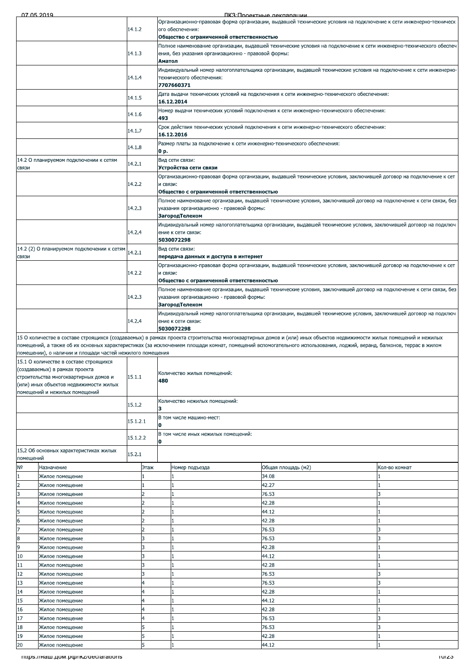| 07.05.2010 |  |  |
|------------|--|--|

ПКЗ Проектные лекларации

| Общество с ограниченной ответственностью<br>Полное наименование организации, выдавшей технические условия на подключение к сети инженерно-технического обеспеч<br>14.1.3<br>ения, без указания организационно - правовой формы:<br>Аматол<br>Индивидуальный номер налогоплательщика организации, выдавшей технические условия на подключение к сети инженерно<br>14.1.4<br>технического обеспечения:<br>7707660371<br>Дата выдачи технических условий на подключения к сети инженерно-технического обеспечения:<br>14.1.5<br>16.12.2014<br>Номер выдачи технических условий подключения к сети инженерно-технического обеспечения:<br>14.1.6<br>493<br>Срок действия технических условий подключения к сети инженерно-технического обеспечения:<br>14.1.7<br>16.12.2016<br>Размер платы за подключение к сети инженерно-технического обеспечения:<br>14.1.8<br>0 p.<br>Вид сети связи:<br>14.2 О планируемом подключении к сетям<br>14.2.1<br>Устройства сети связи<br>Организационно-правовая форма организации, выдавшей технические условия, заключившей договор на подключение к сет<br>14.2.2<br>и связи:<br>Общество с ограниченной ответственностью<br>Полное наименование организации, выдавшей технические условия, заключившей договор на подключение к сети связи, без<br>14.2.3<br>указания организационно - правовой формы:<br>ЗагородТелеком<br>Индивидуальный номер налогоплательщика организации, выдавшей технические условия, заключившей договор на подключ<br>14.2.4<br>ение к сети связи:<br>5030072298<br>14.2 (2) О планируемом подключении к сетям<br>Вид сети связи:<br>14.2.1<br>передача данных и доступа в интернет<br>Организационно-правовая форма организации, выдавшей технические условия, заключившей договор на подключение к сет<br>14.2.2<br>и связи:<br>Общество с ограниченной ответственностью<br>Полное наименование организации, выдавшей технические условия, заключившей договор на подключение к сети связи, без<br>14.2.3<br>указания организационно - правовой формы:<br>ЗагородТелеком<br>Индивидуальный номер налогоплательщика организации, выдавшей технические условия, заключившей договор на подключ<br>14.2.4<br>ение к сети связи:<br>5030072298<br>15 О количестве в составе строящихся (создаваемых) в рамках проекта строительства многоквартирных домов и (или) иных объектов недвижимости жилых помещений и нежилых<br>помещений, а также об их основных характеристиках (за исключением площади комнат, помещений вспомогательного использования, лоджий, веранд, балконов, террас в жилом<br>помещении), о наличии и площади частей нежилого помещения<br>15.1 О количестве в составе строящихся<br>(создаваемых) в рамках проекта<br>Количество жилых помещений:<br>15.1.1<br>строительства многоквартирных домов и<br>480<br>(или) иных объектов недвижимости жилых<br>помещений и нежилых помещений<br>Количество нежилых помещений:<br>15.1.2<br>з<br>В том числе машино-мест:<br>15.1.2.1<br>0<br>В том числе иных нежилых помещений:<br>15.1.2.2<br>0<br>15.2 Об основных характеристиках жилых<br>15.2.1<br>помещений<br>Назначение<br>Этаж<br>Общая площадь (м2)<br>Номер подъезда<br>Кол-во комнат<br>34.08<br>Жилое помещение<br>42.27<br>Жилое помещение<br>76.53<br>Жилое помещение<br>42.28<br>Жилое помещение<br>44.12<br>Жилое помещение<br>42.28<br>$\overline{2}$<br>Жилое помещение<br>1<br>76.53<br>Жилое помещение<br>1<br>8<br>76.53<br>Жилое помещение<br>42.28<br>Жилое помещение<br>3<br>44.12<br>10<br>Жилое помещение<br>42.28<br>Жилое помещение<br>3<br>76.53<br>Жилое помещение<br>1<br>76.53<br>4<br>Жилое помещение<br>1<br>٦<br>42.28<br>Жилое помещение<br>44.12<br>Жилое помещение<br>42.28<br>Жилое помещение<br>4<br>76.53<br>Жилое помещение<br>18<br>76.53<br>Жилое помещение<br>42.28<br>19<br>Жилое помещение<br>1<br>5<br>44.12<br>Жилое помешение<br>1<br>mups.//Ham.gom.po//IKZ/declarations |       |  | 14.1.2 |  |  | ого обеспечения: | Организационно-правовая форма организации, выдавшей технические условия на подключение к сети инженерно-техническ |       |  |
|--------------------------------------------------------------------------------------------------------------------------------------------------------------------------------------------------------------------------------------------------------------------------------------------------------------------------------------------------------------------------------------------------------------------------------------------------------------------------------------------------------------------------------------------------------------------------------------------------------------------------------------------------------------------------------------------------------------------------------------------------------------------------------------------------------------------------------------------------------------------------------------------------------------------------------------------------------------------------------------------------------------------------------------------------------------------------------------------------------------------------------------------------------------------------------------------------------------------------------------------------------------------------------------------------------------------------------------------------------------------------------------------------------------------------------------------------------------------------------------------------------------------------------------------------------------------------------------------------------------------------------------------------------------------------------------------------------------------------------------------------------------------------------------------------------------------------------------------------------------------------------------------------------------------------------------------------------------------------------------------------------------------------------------------------------------------------------------------------------------------------------------------------------------------------------------------------------------------------------------------------------------------------------------------------------------------------------------------------------------------------------------------------------------------------------------------------------------------------------------------------------------------------------------------------------------------------------------------------------------------------------------------------------------------------------------------------------------------------------------------------------------------------------------------------------------------------------------------------------------------------------------------------------------------------------------------------------------------------------------------------------------------------------------------------------------------------------------------------------------------------------------------------------------------------------------------------------------------------------------------------------------------------------------------------------------------------------------------------------------------------------------------------------------------------------------------------------------------------------------------------------------------------------------------------------------------------------------------------------------------------------------------------------------------------------------------------------------------------------------------------------------------------------------------------------------------------------------------------------------------------------------------------------|-------|--|--------|--|--|------------------|-------------------------------------------------------------------------------------------------------------------|-------|--|
|                                                                                                                                                                                                                                                                                                                                                                                                                                                                                                                                                                                                                                                                                                                                                                                                                                                                                                                                                                                                                                                                                                                                                                                                                                                                                                                                                                                                                                                                                                                                                                                                                                                                                                                                                                                                                                                                                                                                                                                                                                                                                                                                                                                                                                                                                                                                                                                                                                                                                                                                                                                                                                                                                                                                                                                                                                                                                                                                                                                                                                                                                                                                                                                                                                                                                                                                                                                                                                                                                                                                                                                                                                                                                                                                                                                                                                                                                                        |       |  |        |  |  |                  |                                                                                                                   |       |  |
|                                                                                                                                                                                                                                                                                                                                                                                                                                                                                                                                                                                                                                                                                                                                                                                                                                                                                                                                                                                                                                                                                                                                                                                                                                                                                                                                                                                                                                                                                                                                                                                                                                                                                                                                                                                                                                                                                                                                                                                                                                                                                                                                                                                                                                                                                                                                                                                                                                                                                                                                                                                                                                                                                                                                                                                                                                                                                                                                                                                                                                                                                                                                                                                                                                                                                                                                                                                                                                                                                                                                                                                                                                                                                                                                                                                                                                                                                                        |       |  |        |  |  |                  |                                                                                                                   |       |  |
|                                                                                                                                                                                                                                                                                                                                                                                                                                                                                                                                                                                                                                                                                                                                                                                                                                                                                                                                                                                                                                                                                                                                                                                                                                                                                                                                                                                                                                                                                                                                                                                                                                                                                                                                                                                                                                                                                                                                                                                                                                                                                                                                                                                                                                                                                                                                                                                                                                                                                                                                                                                                                                                                                                                                                                                                                                                                                                                                                                                                                                                                                                                                                                                                                                                                                                                                                                                                                                                                                                                                                                                                                                                                                                                                                                                                                                                                                                        |       |  |        |  |  |                  |                                                                                                                   |       |  |
|                                                                                                                                                                                                                                                                                                                                                                                                                                                                                                                                                                                                                                                                                                                                                                                                                                                                                                                                                                                                                                                                                                                                                                                                                                                                                                                                                                                                                                                                                                                                                                                                                                                                                                                                                                                                                                                                                                                                                                                                                                                                                                                                                                                                                                                                                                                                                                                                                                                                                                                                                                                                                                                                                                                                                                                                                                                                                                                                                                                                                                                                                                                                                                                                                                                                                                                                                                                                                                                                                                                                                                                                                                                                                                                                                                                                                                                                                                        |       |  |        |  |  |                  |                                                                                                                   |       |  |
|                                                                                                                                                                                                                                                                                                                                                                                                                                                                                                                                                                                                                                                                                                                                                                                                                                                                                                                                                                                                                                                                                                                                                                                                                                                                                                                                                                                                                                                                                                                                                                                                                                                                                                                                                                                                                                                                                                                                                                                                                                                                                                                                                                                                                                                                                                                                                                                                                                                                                                                                                                                                                                                                                                                                                                                                                                                                                                                                                                                                                                                                                                                                                                                                                                                                                                                                                                                                                                                                                                                                                                                                                                                                                                                                                                                                                                                                                                        |       |  |        |  |  |                  |                                                                                                                   |       |  |
|                                                                                                                                                                                                                                                                                                                                                                                                                                                                                                                                                                                                                                                                                                                                                                                                                                                                                                                                                                                                                                                                                                                                                                                                                                                                                                                                                                                                                                                                                                                                                                                                                                                                                                                                                                                                                                                                                                                                                                                                                                                                                                                                                                                                                                                                                                                                                                                                                                                                                                                                                                                                                                                                                                                                                                                                                                                                                                                                                                                                                                                                                                                                                                                                                                                                                                                                                                                                                                                                                                                                                                                                                                                                                                                                                                                                                                                                                                        |       |  |        |  |  |                  |                                                                                                                   |       |  |
|                                                                                                                                                                                                                                                                                                                                                                                                                                                                                                                                                                                                                                                                                                                                                                                                                                                                                                                                                                                                                                                                                                                                                                                                                                                                                                                                                                                                                                                                                                                                                                                                                                                                                                                                                                                                                                                                                                                                                                                                                                                                                                                                                                                                                                                                                                                                                                                                                                                                                                                                                                                                                                                                                                                                                                                                                                                                                                                                                                                                                                                                                                                                                                                                                                                                                                                                                                                                                                                                                                                                                                                                                                                                                                                                                                                                                                                                                                        |       |  |        |  |  |                  |                                                                                                                   |       |  |
|                                                                                                                                                                                                                                                                                                                                                                                                                                                                                                                                                                                                                                                                                                                                                                                                                                                                                                                                                                                                                                                                                                                                                                                                                                                                                                                                                                                                                                                                                                                                                                                                                                                                                                                                                                                                                                                                                                                                                                                                                                                                                                                                                                                                                                                                                                                                                                                                                                                                                                                                                                                                                                                                                                                                                                                                                                                                                                                                                                                                                                                                                                                                                                                                                                                                                                                                                                                                                                                                                                                                                                                                                                                                                                                                                                                                                                                                                                        |       |  |        |  |  |                  |                                                                                                                   |       |  |
|                                                                                                                                                                                                                                                                                                                                                                                                                                                                                                                                                                                                                                                                                                                                                                                                                                                                                                                                                                                                                                                                                                                                                                                                                                                                                                                                                                                                                                                                                                                                                                                                                                                                                                                                                                                                                                                                                                                                                                                                                                                                                                                                                                                                                                                                                                                                                                                                                                                                                                                                                                                                                                                                                                                                                                                                                                                                                                                                                                                                                                                                                                                                                                                                                                                                                                                                                                                                                                                                                                                                                                                                                                                                                                                                                                                                                                                                                                        |       |  |        |  |  |                  |                                                                                                                   |       |  |
|                                                                                                                                                                                                                                                                                                                                                                                                                                                                                                                                                                                                                                                                                                                                                                                                                                                                                                                                                                                                                                                                                                                                                                                                                                                                                                                                                                                                                                                                                                                                                                                                                                                                                                                                                                                                                                                                                                                                                                                                                                                                                                                                                                                                                                                                                                                                                                                                                                                                                                                                                                                                                                                                                                                                                                                                                                                                                                                                                                                                                                                                                                                                                                                                                                                                                                                                                                                                                                                                                                                                                                                                                                                                                                                                                                                                                                                                                                        |       |  |        |  |  |                  |                                                                                                                   |       |  |
|                                                                                                                                                                                                                                                                                                                                                                                                                                                                                                                                                                                                                                                                                                                                                                                                                                                                                                                                                                                                                                                                                                                                                                                                                                                                                                                                                                                                                                                                                                                                                                                                                                                                                                                                                                                                                                                                                                                                                                                                                                                                                                                                                                                                                                                                                                                                                                                                                                                                                                                                                                                                                                                                                                                                                                                                                                                                                                                                                                                                                                                                                                                                                                                                                                                                                                                                                                                                                                                                                                                                                                                                                                                                                                                                                                                                                                                                                                        |       |  |        |  |  |                  |                                                                                                                   |       |  |
|                                                                                                                                                                                                                                                                                                                                                                                                                                                                                                                                                                                                                                                                                                                                                                                                                                                                                                                                                                                                                                                                                                                                                                                                                                                                                                                                                                                                                                                                                                                                                                                                                                                                                                                                                                                                                                                                                                                                                                                                                                                                                                                                                                                                                                                                                                                                                                                                                                                                                                                                                                                                                                                                                                                                                                                                                                                                                                                                                                                                                                                                                                                                                                                                                                                                                                                                                                                                                                                                                                                                                                                                                                                                                                                                                                                                                                                                                                        | СВЯЗИ |  |        |  |  |                  |                                                                                                                   |       |  |
|                                                                                                                                                                                                                                                                                                                                                                                                                                                                                                                                                                                                                                                                                                                                                                                                                                                                                                                                                                                                                                                                                                                                                                                                                                                                                                                                                                                                                                                                                                                                                                                                                                                                                                                                                                                                                                                                                                                                                                                                                                                                                                                                                                                                                                                                                                                                                                                                                                                                                                                                                                                                                                                                                                                                                                                                                                                                                                                                                                                                                                                                                                                                                                                                                                                                                                                                                                                                                                                                                                                                                                                                                                                                                                                                                                                                                                                                                                        |       |  |        |  |  |                  |                                                                                                                   |       |  |
|                                                                                                                                                                                                                                                                                                                                                                                                                                                                                                                                                                                                                                                                                                                                                                                                                                                                                                                                                                                                                                                                                                                                                                                                                                                                                                                                                                                                                                                                                                                                                                                                                                                                                                                                                                                                                                                                                                                                                                                                                                                                                                                                                                                                                                                                                                                                                                                                                                                                                                                                                                                                                                                                                                                                                                                                                                                                                                                                                                                                                                                                                                                                                                                                                                                                                                                                                                                                                                                                                                                                                                                                                                                                                                                                                                                                                                                                                                        |       |  |        |  |  |                  |                                                                                                                   |       |  |
|                                                                                                                                                                                                                                                                                                                                                                                                                                                                                                                                                                                                                                                                                                                                                                                                                                                                                                                                                                                                                                                                                                                                                                                                                                                                                                                                                                                                                                                                                                                                                                                                                                                                                                                                                                                                                                                                                                                                                                                                                                                                                                                                                                                                                                                                                                                                                                                                                                                                                                                                                                                                                                                                                                                                                                                                                                                                                                                                                                                                                                                                                                                                                                                                                                                                                                                                                                                                                                                                                                                                                                                                                                                                                                                                                                                                                                                                                                        |       |  |        |  |  |                  |                                                                                                                   |       |  |
|                                                                                                                                                                                                                                                                                                                                                                                                                                                                                                                                                                                                                                                                                                                                                                                                                                                                                                                                                                                                                                                                                                                                                                                                                                                                                                                                                                                                                                                                                                                                                                                                                                                                                                                                                                                                                                                                                                                                                                                                                                                                                                                                                                                                                                                                                                                                                                                                                                                                                                                                                                                                                                                                                                                                                                                                                                                                                                                                                                                                                                                                                                                                                                                                                                                                                                                                                                                                                                                                                                                                                                                                                                                                                                                                                                                                                                                                                                        |       |  |        |  |  |                  |                                                                                                                   |       |  |
|                                                                                                                                                                                                                                                                                                                                                                                                                                                                                                                                                                                                                                                                                                                                                                                                                                                                                                                                                                                                                                                                                                                                                                                                                                                                                                                                                                                                                                                                                                                                                                                                                                                                                                                                                                                                                                                                                                                                                                                                                                                                                                                                                                                                                                                                                                                                                                                                                                                                                                                                                                                                                                                                                                                                                                                                                                                                                                                                                                                                                                                                                                                                                                                                                                                                                                                                                                                                                                                                                                                                                                                                                                                                                                                                                                                                                                                                                                        |       |  |        |  |  |                  |                                                                                                                   |       |  |
|                                                                                                                                                                                                                                                                                                                                                                                                                                                                                                                                                                                                                                                                                                                                                                                                                                                                                                                                                                                                                                                                                                                                                                                                                                                                                                                                                                                                                                                                                                                                                                                                                                                                                                                                                                                                                                                                                                                                                                                                                                                                                                                                                                                                                                                                                                                                                                                                                                                                                                                                                                                                                                                                                                                                                                                                                                                                                                                                                                                                                                                                                                                                                                                                                                                                                                                                                                                                                                                                                                                                                                                                                                                                                                                                                                                                                                                                                                        |       |  |        |  |  |                  |                                                                                                                   |       |  |
|                                                                                                                                                                                                                                                                                                                                                                                                                                                                                                                                                                                                                                                                                                                                                                                                                                                                                                                                                                                                                                                                                                                                                                                                                                                                                                                                                                                                                                                                                                                                                                                                                                                                                                                                                                                                                                                                                                                                                                                                                                                                                                                                                                                                                                                                                                                                                                                                                                                                                                                                                                                                                                                                                                                                                                                                                                                                                                                                                                                                                                                                                                                                                                                                                                                                                                                                                                                                                                                                                                                                                                                                                                                                                                                                                                                                                                                                                                        |       |  |        |  |  |                  |                                                                                                                   |       |  |
|                                                                                                                                                                                                                                                                                                                                                                                                                                                                                                                                                                                                                                                                                                                                                                                                                                                                                                                                                                                                                                                                                                                                                                                                                                                                                                                                                                                                                                                                                                                                                                                                                                                                                                                                                                                                                                                                                                                                                                                                                                                                                                                                                                                                                                                                                                                                                                                                                                                                                                                                                                                                                                                                                                                                                                                                                                                                                                                                                                                                                                                                                                                                                                                                                                                                                                                                                                                                                                                                                                                                                                                                                                                                                                                                                                                                                                                                                                        | СВЯЗИ |  |        |  |  |                  |                                                                                                                   |       |  |
|                                                                                                                                                                                                                                                                                                                                                                                                                                                                                                                                                                                                                                                                                                                                                                                                                                                                                                                                                                                                                                                                                                                                                                                                                                                                                                                                                                                                                                                                                                                                                                                                                                                                                                                                                                                                                                                                                                                                                                                                                                                                                                                                                                                                                                                                                                                                                                                                                                                                                                                                                                                                                                                                                                                                                                                                                                                                                                                                                                                                                                                                                                                                                                                                                                                                                                                                                                                                                                                                                                                                                                                                                                                                                                                                                                                                                                                                                                        |       |  |        |  |  |                  |                                                                                                                   |       |  |
|                                                                                                                                                                                                                                                                                                                                                                                                                                                                                                                                                                                                                                                                                                                                                                                                                                                                                                                                                                                                                                                                                                                                                                                                                                                                                                                                                                                                                                                                                                                                                                                                                                                                                                                                                                                                                                                                                                                                                                                                                                                                                                                                                                                                                                                                                                                                                                                                                                                                                                                                                                                                                                                                                                                                                                                                                                                                                                                                                                                                                                                                                                                                                                                                                                                                                                                                                                                                                                                                                                                                                                                                                                                                                                                                                                                                                                                                                                        |       |  |        |  |  |                  |                                                                                                                   |       |  |
|                                                                                                                                                                                                                                                                                                                                                                                                                                                                                                                                                                                                                                                                                                                                                                                                                                                                                                                                                                                                                                                                                                                                                                                                                                                                                                                                                                                                                                                                                                                                                                                                                                                                                                                                                                                                                                                                                                                                                                                                                                                                                                                                                                                                                                                                                                                                                                                                                                                                                                                                                                                                                                                                                                                                                                                                                                                                                                                                                                                                                                                                                                                                                                                                                                                                                                                                                                                                                                                                                                                                                                                                                                                                                                                                                                                                                                                                                                        |       |  |        |  |  |                  |                                                                                                                   |       |  |
|                                                                                                                                                                                                                                                                                                                                                                                                                                                                                                                                                                                                                                                                                                                                                                                                                                                                                                                                                                                                                                                                                                                                                                                                                                                                                                                                                                                                                                                                                                                                                                                                                                                                                                                                                                                                                                                                                                                                                                                                                                                                                                                                                                                                                                                                                                                                                                                                                                                                                                                                                                                                                                                                                                                                                                                                                                                                                                                                                                                                                                                                                                                                                                                                                                                                                                                                                                                                                                                                                                                                                                                                                                                                                                                                                                                                                                                                                                        |       |  |        |  |  |                  |                                                                                                                   |       |  |
|                                                                                                                                                                                                                                                                                                                                                                                                                                                                                                                                                                                                                                                                                                                                                                                                                                                                                                                                                                                                                                                                                                                                                                                                                                                                                                                                                                                                                                                                                                                                                                                                                                                                                                                                                                                                                                                                                                                                                                                                                                                                                                                                                                                                                                                                                                                                                                                                                                                                                                                                                                                                                                                                                                                                                                                                                                                                                                                                                                                                                                                                                                                                                                                                                                                                                                                                                                                                                                                                                                                                                                                                                                                                                                                                                                                                                                                                                                        |       |  |        |  |  |                  |                                                                                                                   |       |  |
|                                                                                                                                                                                                                                                                                                                                                                                                                                                                                                                                                                                                                                                                                                                                                                                                                                                                                                                                                                                                                                                                                                                                                                                                                                                                                                                                                                                                                                                                                                                                                                                                                                                                                                                                                                                                                                                                                                                                                                                                                                                                                                                                                                                                                                                                                                                                                                                                                                                                                                                                                                                                                                                                                                                                                                                                                                                                                                                                                                                                                                                                                                                                                                                                                                                                                                                                                                                                                                                                                                                                                                                                                                                                                                                                                                                                                                                                                                        |       |  |        |  |  |                  |                                                                                                                   |       |  |
|                                                                                                                                                                                                                                                                                                                                                                                                                                                                                                                                                                                                                                                                                                                                                                                                                                                                                                                                                                                                                                                                                                                                                                                                                                                                                                                                                                                                                                                                                                                                                                                                                                                                                                                                                                                                                                                                                                                                                                                                                                                                                                                                                                                                                                                                                                                                                                                                                                                                                                                                                                                                                                                                                                                                                                                                                                                                                                                                                                                                                                                                                                                                                                                                                                                                                                                                                                                                                                                                                                                                                                                                                                                                                                                                                                                                                                                                                                        |       |  |        |  |  |                  |                                                                                                                   |       |  |
|                                                                                                                                                                                                                                                                                                                                                                                                                                                                                                                                                                                                                                                                                                                                                                                                                                                                                                                                                                                                                                                                                                                                                                                                                                                                                                                                                                                                                                                                                                                                                                                                                                                                                                                                                                                                                                                                                                                                                                                                                                                                                                                                                                                                                                                                                                                                                                                                                                                                                                                                                                                                                                                                                                                                                                                                                                                                                                                                                                                                                                                                                                                                                                                                                                                                                                                                                                                                                                                                                                                                                                                                                                                                                                                                                                                                                                                                                                        |       |  |        |  |  |                  |                                                                                                                   |       |  |
|                                                                                                                                                                                                                                                                                                                                                                                                                                                                                                                                                                                                                                                                                                                                                                                                                                                                                                                                                                                                                                                                                                                                                                                                                                                                                                                                                                                                                                                                                                                                                                                                                                                                                                                                                                                                                                                                                                                                                                                                                                                                                                                                                                                                                                                                                                                                                                                                                                                                                                                                                                                                                                                                                                                                                                                                                                                                                                                                                                                                                                                                                                                                                                                                                                                                                                                                                                                                                                                                                                                                                                                                                                                                                                                                                                                                                                                                                                        |       |  |        |  |  |                  |                                                                                                                   |       |  |
|                                                                                                                                                                                                                                                                                                                                                                                                                                                                                                                                                                                                                                                                                                                                                                                                                                                                                                                                                                                                                                                                                                                                                                                                                                                                                                                                                                                                                                                                                                                                                                                                                                                                                                                                                                                                                                                                                                                                                                                                                                                                                                                                                                                                                                                                                                                                                                                                                                                                                                                                                                                                                                                                                                                                                                                                                                                                                                                                                                                                                                                                                                                                                                                                                                                                                                                                                                                                                                                                                                                                                                                                                                                                                                                                                                                                                                                                                                        |       |  |        |  |  |                  |                                                                                                                   |       |  |
|                                                                                                                                                                                                                                                                                                                                                                                                                                                                                                                                                                                                                                                                                                                                                                                                                                                                                                                                                                                                                                                                                                                                                                                                                                                                                                                                                                                                                                                                                                                                                                                                                                                                                                                                                                                                                                                                                                                                                                                                                                                                                                                                                                                                                                                                                                                                                                                                                                                                                                                                                                                                                                                                                                                                                                                                                                                                                                                                                                                                                                                                                                                                                                                                                                                                                                                                                                                                                                                                                                                                                                                                                                                                                                                                                                                                                                                                                                        |       |  |        |  |  |                  |                                                                                                                   |       |  |
|                                                                                                                                                                                                                                                                                                                                                                                                                                                                                                                                                                                                                                                                                                                                                                                                                                                                                                                                                                                                                                                                                                                                                                                                                                                                                                                                                                                                                                                                                                                                                                                                                                                                                                                                                                                                                                                                                                                                                                                                                                                                                                                                                                                                                                                                                                                                                                                                                                                                                                                                                                                                                                                                                                                                                                                                                                                                                                                                                                                                                                                                                                                                                                                                                                                                                                                                                                                                                                                                                                                                                                                                                                                                                                                                                                                                                                                                                                        |       |  |        |  |  |                  |                                                                                                                   |       |  |
|                                                                                                                                                                                                                                                                                                                                                                                                                                                                                                                                                                                                                                                                                                                                                                                                                                                                                                                                                                                                                                                                                                                                                                                                                                                                                                                                                                                                                                                                                                                                                                                                                                                                                                                                                                                                                                                                                                                                                                                                                                                                                                                                                                                                                                                                                                                                                                                                                                                                                                                                                                                                                                                                                                                                                                                                                                                                                                                                                                                                                                                                                                                                                                                                                                                                                                                                                                                                                                                                                                                                                                                                                                                                                                                                                                                                                                                                                                        |       |  |        |  |  |                  |                                                                                                                   |       |  |
|                                                                                                                                                                                                                                                                                                                                                                                                                                                                                                                                                                                                                                                                                                                                                                                                                                                                                                                                                                                                                                                                                                                                                                                                                                                                                                                                                                                                                                                                                                                                                                                                                                                                                                                                                                                                                                                                                                                                                                                                                                                                                                                                                                                                                                                                                                                                                                                                                                                                                                                                                                                                                                                                                                                                                                                                                                                                                                                                                                                                                                                                                                                                                                                                                                                                                                                                                                                                                                                                                                                                                                                                                                                                                                                                                                                                                                                                                                        |       |  |        |  |  |                  |                                                                                                                   |       |  |
|                                                                                                                                                                                                                                                                                                                                                                                                                                                                                                                                                                                                                                                                                                                                                                                                                                                                                                                                                                                                                                                                                                                                                                                                                                                                                                                                                                                                                                                                                                                                                                                                                                                                                                                                                                                                                                                                                                                                                                                                                                                                                                                                                                                                                                                                                                                                                                                                                                                                                                                                                                                                                                                                                                                                                                                                                                                                                                                                                                                                                                                                                                                                                                                                                                                                                                                                                                                                                                                                                                                                                                                                                                                                                                                                                                                                                                                                                                        |       |  |        |  |  |                  |                                                                                                                   |       |  |
|                                                                                                                                                                                                                                                                                                                                                                                                                                                                                                                                                                                                                                                                                                                                                                                                                                                                                                                                                                                                                                                                                                                                                                                                                                                                                                                                                                                                                                                                                                                                                                                                                                                                                                                                                                                                                                                                                                                                                                                                                                                                                                                                                                                                                                                                                                                                                                                                                                                                                                                                                                                                                                                                                                                                                                                                                                                                                                                                                                                                                                                                                                                                                                                                                                                                                                                                                                                                                                                                                                                                                                                                                                                                                                                                                                                                                                                                                                        |       |  |        |  |  |                  |                                                                                                                   |       |  |
|                                                                                                                                                                                                                                                                                                                                                                                                                                                                                                                                                                                                                                                                                                                                                                                                                                                                                                                                                                                                                                                                                                                                                                                                                                                                                                                                                                                                                                                                                                                                                                                                                                                                                                                                                                                                                                                                                                                                                                                                                                                                                                                                                                                                                                                                                                                                                                                                                                                                                                                                                                                                                                                                                                                                                                                                                                                                                                                                                                                                                                                                                                                                                                                                                                                                                                                                                                                                                                                                                                                                                                                                                                                                                                                                                                                                                                                                                                        |       |  |        |  |  |                  |                                                                                                                   |       |  |
|                                                                                                                                                                                                                                                                                                                                                                                                                                                                                                                                                                                                                                                                                                                                                                                                                                                                                                                                                                                                                                                                                                                                                                                                                                                                                                                                                                                                                                                                                                                                                                                                                                                                                                                                                                                                                                                                                                                                                                                                                                                                                                                                                                                                                                                                                                                                                                                                                                                                                                                                                                                                                                                                                                                                                                                                                                                                                                                                                                                                                                                                                                                                                                                                                                                                                                                                                                                                                                                                                                                                                                                                                                                                                                                                                                                                                                                                                                        |       |  |        |  |  |                  |                                                                                                                   |       |  |
|                                                                                                                                                                                                                                                                                                                                                                                                                                                                                                                                                                                                                                                                                                                                                                                                                                                                                                                                                                                                                                                                                                                                                                                                                                                                                                                                                                                                                                                                                                                                                                                                                                                                                                                                                                                                                                                                                                                                                                                                                                                                                                                                                                                                                                                                                                                                                                                                                                                                                                                                                                                                                                                                                                                                                                                                                                                                                                                                                                                                                                                                                                                                                                                                                                                                                                                                                                                                                                                                                                                                                                                                                                                                                                                                                                                                                                                                                                        | NΩ    |  |        |  |  |                  |                                                                                                                   |       |  |
|                                                                                                                                                                                                                                                                                                                                                                                                                                                                                                                                                                                                                                                                                                                                                                                                                                                                                                                                                                                                                                                                                                                                                                                                                                                                                                                                                                                                                                                                                                                                                                                                                                                                                                                                                                                                                                                                                                                                                                                                                                                                                                                                                                                                                                                                                                                                                                                                                                                                                                                                                                                                                                                                                                                                                                                                                                                                                                                                                                                                                                                                                                                                                                                                                                                                                                                                                                                                                                                                                                                                                                                                                                                                                                                                                                                                                                                                                                        |       |  |        |  |  |                  |                                                                                                                   |       |  |
|                                                                                                                                                                                                                                                                                                                                                                                                                                                                                                                                                                                                                                                                                                                                                                                                                                                                                                                                                                                                                                                                                                                                                                                                                                                                                                                                                                                                                                                                                                                                                                                                                                                                                                                                                                                                                                                                                                                                                                                                                                                                                                                                                                                                                                                                                                                                                                                                                                                                                                                                                                                                                                                                                                                                                                                                                                                                                                                                                                                                                                                                                                                                                                                                                                                                                                                                                                                                                                                                                                                                                                                                                                                                                                                                                                                                                                                                                                        | 2     |  |        |  |  |                  |                                                                                                                   |       |  |
|                                                                                                                                                                                                                                                                                                                                                                                                                                                                                                                                                                                                                                                                                                                                                                                                                                                                                                                                                                                                                                                                                                                                                                                                                                                                                                                                                                                                                                                                                                                                                                                                                                                                                                                                                                                                                                                                                                                                                                                                                                                                                                                                                                                                                                                                                                                                                                                                                                                                                                                                                                                                                                                                                                                                                                                                                                                                                                                                                                                                                                                                                                                                                                                                                                                                                                                                                                                                                                                                                                                                                                                                                                                                                                                                                                                                                                                                                                        | 3     |  |        |  |  |                  |                                                                                                                   |       |  |
|                                                                                                                                                                                                                                                                                                                                                                                                                                                                                                                                                                                                                                                                                                                                                                                                                                                                                                                                                                                                                                                                                                                                                                                                                                                                                                                                                                                                                                                                                                                                                                                                                                                                                                                                                                                                                                                                                                                                                                                                                                                                                                                                                                                                                                                                                                                                                                                                                                                                                                                                                                                                                                                                                                                                                                                                                                                                                                                                                                                                                                                                                                                                                                                                                                                                                                                                                                                                                                                                                                                                                                                                                                                                                                                                                                                                                                                                                                        |       |  |        |  |  |                  |                                                                                                                   |       |  |
|                                                                                                                                                                                                                                                                                                                                                                                                                                                                                                                                                                                                                                                                                                                                                                                                                                                                                                                                                                                                                                                                                                                                                                                                                                                                                                                                                                                                                                                                                                                                                                                                                                                                                                                                                                                                                                                                                                                                                                                                                                                                                                                                                                                                                                                                                                                                                                                                                                                                                                                                                                                                                                                                                                                                                                                                                                                                                                                                                                                                                                                                                                                                                                                                                                                                                                                                                                                                                                                                                                                                                                                                                                                                                                                                                                                                                                                                                                        | 5     |  |        |  |  |                  |                                                                                                                   |       |  |
|                                                                                                                                                                                                                                                                                                                                                                                                                                                                                                                                                                                                                                                                                                                                                                                                                                                                                                                                                                                                                                                                                                                                                                                                                                                                                                                                                                                                                                                                                                                                                                                                                                                                                                                                                                                                                                                                                                                                                                                                                                                                                                                                                                                                                                                                                                                                                                                                                                                                                                                                                                                                                                                                                                                                                                                                                                                                                                                                                                                                                                                                                                                                                                                                                                                                                                                                                                                                                                                                                                                                                                                                                                                                                                                                                                                                                                                                                                        | 6     |  |        |  |  |                  |                                                                                                                   |       |  |
|                                                                                                                                                                                                                                                                                                                                                                                                                                                                                                                                                                                                                                                                                                                                                                                                                                                                                                                                                                                                                                                                                                                                                                                                                                                                                                                                                                                                                                                                                                                                                                                                                                                                                                                                                                                                                                                                                                                                                                                                                                                                                                                                                                                                                                                                                                                                                                                                                                                                                                                                                                                                                                                                                                                                                                                                                                                                                                                                                                                                                                                                                                                                                                                                                                                                                                                                                                                                                                                                                                                                                                                                                                                                                                                                                                                                                                                                                                        |       |  |        |  |  |                  |                                                                                                                   |       |  |
|                                                                                                                                                                                                                                                                                                                                                                                                                                                                                                                                                                                                                                                                                                                                                                                                                                                                                                                                                                                                                                                                                                                                                                                                                                                                                                                                                                                                                                                                                                                                                                                                                                                                                                                                                                                                                                                                                                                                                                                                                                                                                                                                                                                                                                                                                                                                                                                                                                                                                                                                                                                                                                                                                                                                                                                                                                                                                                                                                                                                                                                                                                                                                                                                                                                                                                                                                                                                                                                                                                                                                                                                                                                                                                                                                                                                                                                                                                        | 9     |  |        |  |  |                  |                                                                                                                   |       |  |
|                                                                                                                                                                                                                                                                                                                                                                                                                                                                                                                                                                                                                                                                                                                                                                                                                                                                                                                                                                                                                                                                                                                                                                                                                                                                                                                                                                                                                                                                                                                                                                                                                                                                                                                                                                                                                                                                                                                                                                                                                                                                                                                                                                                                                                                                                                                                                                                                                                                                                                                                                                                                                                                                                                                                                                                                                                                                                                                                                                                                                                                                                                                                                                                                                                                                                                                                                                                                                                                                                                                                                                                                                                                                                                                                                                                                                                                                                                        |       |  |        |  |  |                  |                                                                                                                   |       |  |
|                                                                                                                                                                                                                                                                                                                                                                                                                                                                                                                                                                                                                                                                                                                                                                                                                                                                                                                                                                                                                                                                                                                                                                                                                                                                                                                                                                                                                                                                                                                                                                                                                                                                                                                                                                                                                                                                                                                                                                                                                                                                                                                                                                                                                                                                                                                                                                                                                                                                                                                                                                                                                                                                                                                                                                                                                                                                                                                                                                                                                                                                                                                                                                                                                                                                                                                                                                                                                                                                                                                                                                                                                                                                                                                                                                                                                                                                                                        | 11    |  |        |  |  |                  |                                                                                                                   |       |  |
|                                                                                                                                                                                                                                                                                                                                                                                                                                                                                                                                                                                                                                                                                                                                                                                                                                                                                                                                                                                                                                                                                                                                                                                                                                                                                                                                                                                                                                                                                                                                                                                                                                                                                                                                                                                                                                                                                                                                                                                                                                                                                                                                                                                                                                                                                                                                                                                                                                                                                                                                                                                                                                                                                                                                                                                                                                                                                                                                                                                                                                                                                                                                                                                                                                                                                                                                                                                                                                                                                                                                                                                                                                                                                                                                                                                                                                                                                                        | 12    |  |        |  |  |                  |                                                                                                                   |       |  |
|                                                                                                                                                                                                                                                                                                                                                                                                                                                                                                                                                                                                                                                                                                                                                                                                                                                                                                                                                                                                                                                                                                                                                                                                                                                                                                                                                                                                                                                                                                                                                                                                                                                                                                                                                                                                                                                                                                                                                                                                                                                                                                                                                                                                                                                                                                                                                                                                                                                                                                                                                                                                                                                                                                                                                                                                                                                                                                                                                                                                                                                                                                                                                                                                                                                                                                                                                                                                                                                                                                                                                                                                                                                                                                                                                                                                                                                                                                        | 13    |  |        |  |  |                  |                                                                                                                   |       |  |
|                                                                                                                                                                                                                                                                                                                                                                                                                                                                                                                                                                                                                                                                                                                                                                                                                                                                                                                                                                                                                                                                                                                                                                                                                                                                                                                                                                                                                                                                                                                                                                                                                                                                                                                                                                                                                                                                                                                                                                                                                                                                                                                                                                                                                                                                                                                                                                                                                                                                                                                                                                                                                                                                                                                                                                                                                                                                                                                                                                                                                                                                                                                                                                                                                                                                                                                                                                                                                                                                                                                                                                                                                                                                                                                                                                                                                                                                                                        | 14    |  |        |  |  |                  |                                                                                                                   |       |  |
|                                                                                                                                                                                                                                                                                                                                                                                                                                                                                                                                                                                                                                                                                                                                                                                                                                                                                                                                                                                                                                                                                                                                                                                                                                                                                                                                                                                                                                                                                                                                                                                                                                                                                                                                                                                                                                                                                                                                                                                                                                                                                                                                                                                                                                                                                                                                                                                                                                                                                                                                                                                                                                                                                                                                                                                                                                                                                                                                                                                                                                                                                                                                                                                                                                                                                                                                                                                                                                                                                                                                                                                                                                                                                                                                                                                                                                                                                                        | 15    |  |        |  |  |                  |                                                                                                                   |       |  |
|                                                                                                                                                                                                                                                                                                                                                                                                                                                                                                                                                                                                                                                                                                                                                                                                                                                                                                                                                                                                                                                                                                                                                                                                                                                                                                                                                                                                                                                                                                                                                                                                                                                                                                                                                                                                                                                                                                                                                                                                                                                                                                                                                                                                                                                                                                                                                                                                                                                                                                                                                                                                                                                                                                                                                                                                                                                                                                                                                                                                                                                                                                                                                                                                                                                                                                                                                                                                                                                                                                                                                                                                                                                                                                                                                                                                                                                                                                        | 16    |  |        |  |  |                  |                                                                                                                   |       |  |
|                                                                                                                                                                                                                                                                                                                                                                                                                                                                                                                                                                                                                                                                                                                                                                                                                                                                                                                                                                                                                                                                                                                                                                                                                                                                                                                                                                                                                                                                                                                                                                                                                                                                                                                                                                                                                                                                                                                                                                                                                                                                                                                                                                                                                                                                                                                                                                                                                                                                                                                                                                                                                                                                                                                                                                                                                                                                                                                                                                                                                                                                                                                                                                                                                                                                                                                                                                                                                                                                                                                                                                                                                                                                                                                                                                                                                                                                                                        | 17    |  |        |  |  |                  |                                                                                                                   |       |  |
|                                                                                                                                                                                                                                                                                                                                                                                                                                                                                                                                                                                                                                                                                                                                                                                                                                                                                                                                                                                                                                                                                                                                                                                                                                                                                                                                                                                                                                                                                                                                                                                                                                                                                                                                                                                                                                                                                                                                                                                                                                                                                                                                                                                                                                                                                                                                                                                                                                                                                                                                                                                                                                                                                                                                                                                                                                                                                                                                                                                                                                                                                                                                                                                                                                                                                                                                                                                                                                                                                                                                                                                                                                                                                                                                                                                                                                                                                                        |       |  |        |  |  |                  |                                                                                                                   |       |  |
|                                                                                                                                                                                                                                                                                                                                                                                                                                                                                                                                                                                                                                                                                                                                                                                                                                                                                                                                                                                                                                                                                                                                                                                                                                                                                                                                                                                                                                                                                                                                                                                                                                                                                                                                                                                                                                                                                                                                                                                                                                                                                                                                                                                                                                                                                                                                                                                                                                                                                                                                                                                                                                                                                                                                                                                                                                                                                                                                                                                                                                                                                                                                                                                                                                                                                                                                                                                                                                                                                                                                                                                                                                                                                                                                                                                                                                                                                                        | 20    |  |        |  |  |                  |                                                                                                                   |       |  |
|                                                                                                                                                                                                                                                                                                                                                                                                                                                                                                                                                                                                                                                                                                                                                                                                                                                                                                                                                                                                                                                                                                                                                                                                                                                                                                                                                                                                                                                                                                                                                                                                                                                                                                                                                                                                                                                                                                                                                                                                                                                                                                                                                                                                                                                                                                                                                                                                                                                                                                                                                                                                                                                                                                                                                                                                                                                                                                                                                                                                                                                                                                                                                                                                                                                                                                                                                                                                                                                                                                                                                                                                                                                                                                                                                                                                                                                                                                        |       |  |        |  |  |                  |                                                                                                                   | TU/ZJ |  |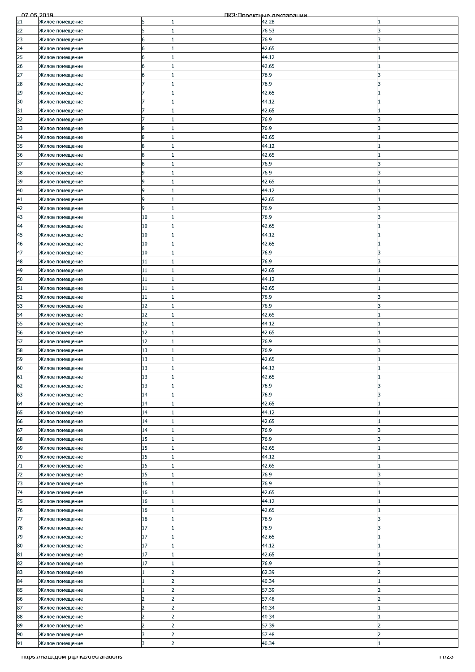| 07.05.2019 |                                 |                |                | ПКЗ Проектные лекляряции |                          |
|------------|---------------------------------|----------------|----------------|--------------------------|--------------------------|
| 21         | Жилое помещение                 | 15             | 1              | 42.28                    |                          |
| 22         | Жилое помещение                 | 5              | 1              | 76.53                    | 3                        |
| 23         |                                 | 6              | $\mathbf{1}$   | 76.9                     | 3                        |
|            | Жилое помещение                 |                |                |                          |                          |
| 24         | Жилое помещение                 | 6              | 1              | 42.65                    |                          |
| 25         | Жилое помещение                 | 6              | 1              | 44.12                    |                          |
| 26         | Жилое помещение                 | 6              |                | 42.65                    |                          |
| 27         |                                 | 6              | $\mathbf{1}$   | 76.9                     | 3                        |
|            | Жилое помещение                 |                |                |                          |                          |
| 28         | Жилое помещение                 | 7              | 1              | 76.9                     | 3                        |
| 29         | Жилое помещение                 |                | $\mathbf{1}$   | 42.65                    |                          |
| 30         | Жилое помещение                 |                | 1              | 44.12                    |                          |
| 31         |                                 |                |                | 42.65                    |                          |
|            | Жилое помещение                 |                |                |                          |                          |
| 32         | Жилое помещение                 |                | 1              | 76.9                     |                          |
| 33         | Жилое помещение                 | 8              |                | 76.9                     |                          |
| 34         | Жилое помещение                 | 8              | $\mathbf{1}$   | 42.65                    |                          |
| 35         | Жилое помещение                 | 8              | 1              | 44.12                    |                          |
|            |                                 |                |                |                          |                          |
| 36         | Жилое помещение                 | 8              | $\mathbf{1}$   | 42.65                    |                          |
| 37         | Жилое помещение                 | 8              |                | 76.9                     | 3                        |
| 38         | Жилое помещение                 | 9              | 1              | 76.9                     | 3                        |
| 39         |                                 | 9              | 1              | 42.65                    |                          |
|            | Жилое помещение                 |                |                |                          |                          |
| 40         | Жилое помещение                 | 9              |                | 44.12                    |                          |
| 41         | Жилое помещение                 | 9              | 1              | 42.65                    |                          |
| 42         | Жилое помещение                 | 9              | $\mathbf{1}$   | 76.9                     | 3                        |
| 43         | Жилое помещение                 | 10             | 1              | 76.9                     | 3                        |
|            |                                 |                |                |                          |                          |
| 44         | Жилое помещение                 | 10             |                | 42.65                    |                          |
| 45         | Жилое помещение                 | 10             | 1              | 44.12                    |                          |
| 46         | Жилое помещение                 | 10             | 1              | 42.65                    |                          |
| 47         |                                 | 10             |                | 76.9                     | ς                        |
|            | Жилое помещение                 |                |                |                          |                          |
| 48         | Жилое помещение                 | 11             | $\mathbf{1}$   | 76.9                     | 3                        |
| 49         | Жилое помещение                 | 11             | $\mathbf{1}$   | 42.65                    |                          |
| 50         | Жилое помещение                 | 11             | 1              | 44.12                    |                          |
|            |                                 |                |                |                          |                          |
| 51         | Жилое помещение                 | 11             | 1              | 42.65                    |                          |
| 52         | Жилое помещение                 | 11             | 1              | 76.9                     | 3                        |
| 53         | Жилое помещение                 | 12             | 1              | 76.9                     | 3                        |
| 54         | Жилое помещение                 | 12             | $\mathbf{1}$   | 42.65                    |                          |
|            |                                 |                |                |                          |                          |
| 55         | Жилое помещение                 | 12             | $\mathbf{1}$   | 44.12                    |                          |
| 56         | Жилое помещение                 | 12             | 1              | 42.65                    |                          |
| 57         | Жилое помещение                 | 12             |                | 76.9                     | 3                        |
| 58         | Жилое помещение                 | 13             | 1              | 76.9                     | 3                        |
|            |                                 |                |                |                          |                          |
| 59         | Жилое помещение                 | 13             | 1              | 42.65                    |                          |
| 60         | Жилое помещение                 | 13             |                | 44.12                    |                          |
| 61         | Жилое помещение                 | 13             | 1              | 42.65                    |                          |
| 62         | Жилое помещение                 | 13             | 1              | 76.9                     | 3                        |
|            |                                 |                |                |                          |                          |
| 63         | Жилое помещение                 | 14             | $\mathbf{1}$   | 76.9                     | 3                        |
| 64         | Жилое помещение                 | 14             | 1              | 42.65                    |                          |
| 65         | Жилое помещение                 | 14             | $\mathbf{1}$   | 44.12                    |                          |
| 66         |                                 | 14             | $\mathbf{1}$   | 42.65                    |                          |
|            | Жилое помещение                 |                |                |                          |                          |
| 67         | Жилое помещение                 | 14             | $\mathbf{1}$   | 76.9                     | 3                        |
| 68         | Жилое помещение                 | 15             | $\mathbf{1}$   | 76.9                     | 3                        |
| 69         | Жилое помещение                 | 15             | 1              | 42.65                    |                          |
| 70         |                                 | 15             | $\mathbf{1}$   | 44.12                    |                          |
|            | Жилое помещение                 |                |                |                          |                          |
| 71         | Жилое помещение                 | 15             |                | 42.65                    |                          |
| 72         | Жилое помещение                 | 15             | $\mathbf{1}$   | 76.9                     | 3                        |
| 73         | Жилое помещение                 | 16             | $\mathbf{1}$   | 76.9                     | 3                        |
| 74         |                                 | 16             | 1              | 42.65                    |                          |
|            | Жилое помещение                 |                |                |                          |                          |
| 75         | Жилое помещение                 | 16             | $\mathbf{1}$   | 44.12                    |                          |
| 76         | Жилое помещение                 | 16             | $\mathbf{1}$   | 42.65                    |                          |
| 77         | Жилое помещение                 | 16             | 1              | 76.9                     | 3                        |
| 78         | Жилое помещение                 | 17             | 1              | 76.9                     | 3                        |
|            |                                 |                |                |                          |                          |
| 79         | Жилое помещение                 | 17             | $\mathbf{1}$   | 42.65                    |                          |
| 80         | Жилое помещение                 | 17             | $\mathbf{1}$   | 44.12                    |                          |
| 81         | Жилое помещение                 | 17             | 1              | 42.65                    |                          |
| 82         | Жилое помещение                 | 17             | $\mathbf{1}$   | 76.9                     | 3                        |
|            |                                 |                |                |                          |                          |
| 83         | Жилое помещение                 |                | 2              | 62.39                    | 2                        |
| 84         | Жилое помещение                 |                | $\overline{2}$ | 40.34                    |                          |
| 85         | Жилое помещение                 |                | 2              | 57.39                    | $\overline{2}$           |
| 86         | Жилое помещение                 | 2              | 2              | 57.48                    | 2                        |
|            |                                 |                |                |                          |                          |
| 87         | Жилое помещение                 | $\overline{c}$ | 2              | 40.34                    |                          |
| 88         | Жилое помещение                 |                | l2             | 40.34                    |                          |
| 89         | Жилое помещение                 | $\overline{2}$ | 2              | 57.39                    | $\overline{\phantom{a}}$ |
| 90         |                                 | 3              | $\overline{2}$ | 57.48                    | $\overline{2}$           |
|            | Жилое помещение                 |                |                |                          |                          |
| 91         | Жилое помещение                 | 3              | $\overline{2}$ | 40.34                    |                          |
|            | mups.mam.gom.pomkz/declarations |                |                |                          | 11/23                    |
|            |                                 |                |                |                          |                          |
|            |                                 |                |                |                          |                          |
|            |                                 |                |                |                          |                          |
|            |                                 |                |                |                          |                          |
|            |                                 |                |                |                          |                          |
|            |                                 |                |                |                          |                          |
|            |                                 |                |                |                          |                          |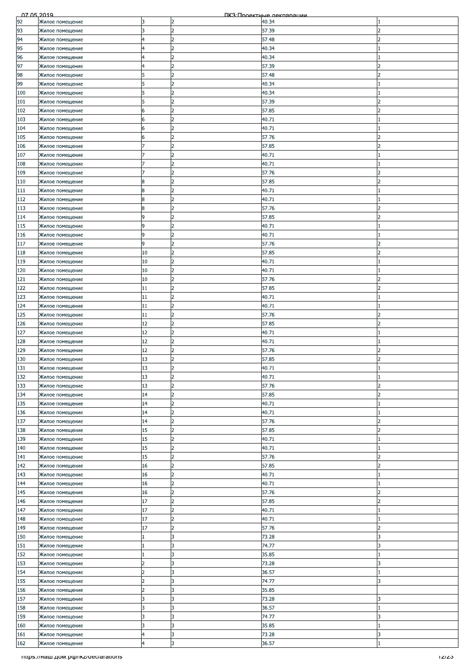| 92<br>Жилое помещение<br>13<br>2<br>40.34<br>3<br>$\overline{2}$<br>93<br>57.39<br>Жилое помещение<br>フ<br>$\overline{2}$<br>94<br>4<br>57.48<br>Жилое помещение<br>$\overline{\phantom{a}}$<br>95<br>$\overline{2}$<br>4<br>40.34<br>Жилое помещение<br>96<br>2<br>40.34<br>Жилое помещение<br>4<br>97<br>57.39<br>Жилое помещение<br>$\overline{2}$<br>57.48<br>98<br>$\overline{\phantom{a}}$<br>Жилое помещение<br>5<br>$\overline{2}$<br>99<br>5<br>40.34<br>Жилое помещение<br>$\overline{2}$<br>40.34<br>100<br>5<br>Жилое помещение<br>$\overline{2}$<br>57.39<br>101<br>Жилое помещение<br>5<br>$\overline{\phantom{a}}$<br>57.85<br>102<br>2<br>Жилое помещение<br>6<br>103<br>$\overline{2}$<br>40.71<br>Жилое помещение<br>6<br>104<br>2<br>40.71<br>Жилое помещение<br>6<br>$\overline{2}$<br>57.76<br>105<br>フ<br>Жилое помещение<br>6<br>$\overline{2}$<br>106<br>57.85<br>Жилое помещение<br>$\overline{2}$<br>7<br>$\overline{2}$<br>107<br>40.71<br>Жилое помещение<br>$\overline{2}$<br>40.71<br>108<br>Жилое помещение<br>2<br>57.76<br>109<br>Жилое помещение<br>2<br>57.85<br>110<br>2<br>Жилое помещение<br>8<br>2<br>111<br>8<br>40.71<br>Жилое помещение<br>$\overline{2}$<br>8<br>112<br>40.71<br>Жилое помещение<br>$\overline{2}$<br>113<br>8<br>57.76<br>$\overline{2}$<br>Жилое помещение<br>2<br>9<br>57.85<br>114<br>2<br>Жилое помещение<br>$\overline{2}$<br>9<br>40.71<br>115<br>Жилое помещение<br>9<br>2<br>40.71<br>116<br>Жилое помещение<br>117<br>57.76<br>9<br>2<br>Жилое помещение<br>$\overline{2}$<br>118<br>10<br>57.85<br>$\overline{z}$<br>Жилое помещение<br>$\overline{2}$<br>119<br>10<br>Жилое помещение<br>40.71<br>$\overline{2}$<br>120<br>10<br>40.71<br>Жилое помещение<br>$\overline{2}$<br>121<br>10<br>57.76<br>Жилое помещение<br>2<br>57.85<br>122<br>11<br>Жилое помещение<br>っ<br>123<br>2<br>40.71<br>Жилое помещение<br>11<br>124<br>11<br>$\overline{2}$<br>40.71<br>Жилое помещение<br>2<br>125<br>11<br>57.76<br>$\overline{\phantom{a}}$<br>Жилое помещение<br>$\overline{2}$<br>12<br>126<br>57.85<br>Жилое помещение<br>2<br>$\overline{2}$<br>127<br>12<br>40.71<br>Жилое помещение<br>12<br>l2<br>128<br>40.71<br>Жилое помещение<br>$\overline{2}$<br>12<br>57.76<br>129<br>Жилое помещение<br>っ<br>$\overline{2}$<br>130<br>13<br>57.85<br>$\overline{\phantom{a}}$<br>Жилое помещение<br>13<br>131<br>$\overline{2}$<br>40.71<br>Жилое помещение<br>132<br>13<br>2<br>40.71<br>Жилое помещение<br>133<br>57.76<br>13<br>Жилое помещение<br>2<br>2<br>$\overline{2}$<br>57.85<br>134<br>14<br>Жилое помещение<br>2<br>2<br>135<br>14<br>40.71<br>Жилое помещение<br>$\overline{2}$<br>14<br>40.71<br>136<br>Жилое помещение<br>137<br>$\overline{2}$<br>14<br>57.76<br>$\overline{2}$<br>Жилое помещение<br>15<br>2<br>138<br>57.85<br>$\mathcal{P}$<br>Жилое помещение<br>15<br>2<br>139<br>40.71<br>Жилое помещение<br>$\overline{2}$<br>140<br>15<br>40.71<br>Жилое помещение<br>2<br>15<br>141<br>57.76<br><sup>2</sup><br>Жилое помещение<br>2<br>16<br>57.85<br>142<br>$\overline{\phantom{a}}$<br>Жилое помещение<br>$\overline{2}$<br>16<br>40.71<br>143<br>Жилое помещение<br>$\overline{2}$<br>144<br>16<br>40.71<br>Жилое помещение<br>2<br>16<br>57.76<br>145<br>っ<br>Жилое помещение<br>$\overline{2}$<br>17<br>57.85<br>$\overline{2}$<br>146<br>Жилое помещение<br>$\overline{2}$<br>147<br>17<br>40.71<br>Жилое помещение<br>$\overline{2}$<br>17<br>148<br>40.71<br>Жилое помещение<br>17<br>$\overline{2}$<br>57.76<br>149<br>$\overline{\mathbf{z}}$<br>Жилое помещение<br>3<br>150<br>73.28<br>Жилое помещение<br>3<br>151<br>3<br>74.77<br>3<br>Жилое помещение<br>152<br>35.85<br>3<br>Жилое помещение<br>l3<br>153<br>$\overline{2}$<br>73.28<br>3<br>Жилое помещение<br>154<br>3<br>$\overline{2}$<br>36.57<br>Жилое помещение<br>3<br>155<br>$\overline{2}$<br>74.77<br>3<br>Жилое помещение<br>$\overline{2}$<br>l3<br>156<br>35.85<br>Жилое помещение<br>157<br>3<br>3<br>73.28<br>Жилое помещение<br>3<br>158<br>36.57<br>Жилое помещение<br>3<br>3<br>159<br>3<br>74.77<br>3<br>Жилое помещение<br>3<br>3<br>3<br>160<br>35.85<br>Жилое помещение<br>3<br>161<br>4<br>73.28<br>3<br>Жилое помещение<br>3<br>$\overline{4}$<br>162<br>36.57<br>Жилое помещение<br>Titips.//Ham.pom.po/ikz/declarations<br>12/23 | 07 05 2019 |  | ПКЗ Проектные лекляряции |  |
|-------------------------------------------------------------------------------------------------------------------------------------------------------------------------------------------------------------------------------------------------------------------------------------------------------------------------------------------------------------------------------------------------------------------------------------------------------------------------------------------------------------------------------------------------------------------------------------------------------------------------------------------------------------------------------------------------------------------------------------------------------------------------------------------------------------------------------------------------------------------------------------------------------------------------------------------------------------------------------------------------------------------------------------------------------------------------------------------------------------------------------------------------------------------------------------------------------------------------------------------------------------------------------------------------------------------------------------------------------------------------------------------------------------------------------------------------------------------------------------------------------------------------------------------------------------------------------------------------------------------------------------------------------------------------------------------------------------------------------------------------------------------------------------------------------------------------------------------------------------------------------------------------------------------------------------------------------------------------------------------------------------------------------------------------------------------------------------------------------------------------------------------------------------------------------------------------------------------------------------------------------------------------------------------------------------------------------------------------------------------------------------------------------------------------------------------------------------------------------------------------------------------------------------------------------------------------------------------------------------------------------------------------------------------------------------------------------------------------------------------------------------------------------------------------------------------------------------------------------------------------------------------------------------------------------------------------------------------------------------------------------------------------------------------------------------------------------------------------------------------------------------------------------------------------------------------------------------------------------------------------------------------------------------------------------------------------------------------------------------------------------------------------------------------------------------------------------------------------------------------------------------------------------------------------------------------------------------------------------------------------------------------------------------------------------------------------------------------------------------------------------------------------------------------------------------------------------------------------------------------------------------------------------------------------------------------------------------------------------------------------------------------------------------------------------------------------------------------------------------------------------------------------------------------------------------------------------------------------------------------------------------------------------------------------------------------------|------------|--|--------------------------|--|
|                                                                                                                                                                                                                                                                                                                                                                                                                                                                                                                                                                                                                                                                                                                                                                                                                                                                                                                                                                                                                                                                                                                                                                                                                                                                                                                                                                                                                                                                                                                                                                                                                                                                                                                                                                                                                                                                                                                                                                                                                                                                                                                                                                                                                                                                                                                                                                                                                                                                                                                                                                                                                                                                                                                                                                                                                                                                                                                                                                                                                                                                                                                                                                                                                                                                                                                                                                                                                                                                                                                                                                                                                                                                                                                                                                                                                                                                                                                                                                                                                                                                                                                                                                                                                                                                                                                         |            |  |                          |  |
|                                                                                                                                                                                                                                                                                                                                                                                                                                                                                                                                                                                                                                                                                                                                                                                                                                                                                                                                                                                                                                                                                                                                                                                                                                                                                                                                                                                                                                                                                                                                                                                                                                                                                                                                                                                                                                                                                                                                                                                                                                                                                                                                                                                                                                                                                                                                                                                                                                                                                                                                                                                                                                                                                                                                                                                                                                                                                                                                                                                                                                                                                                                                                                                                                                                                                                                                                                                                                                                                                                                                                                                                                                                                                                                                                                                                                                                                                                                                                                                                                                                                                                                                                                                                                                                                                                                         |            |  |                          |  |
|                                                                                                                                                                                                                                                                                                                                                                                                                                                                                                                                                                                                                                                                                                                                                                                                                                                                                                                                                                                                                                                                                                                                                                                                                                                                                                                                                                                                                                                                                                                                                                                                                                                                                                                                                                                                                                                                                                                                                                                                                                                                                                                                                                                                                                                                                                                                                                                                                                                                                                                                                                                                                                                                                                                                                                                                                                                                                                                                                                                                                                                                                                                                                                                                                                                                                                                                                                                                                                                                                                                                                                                                                                                                                                                                                                                                                                                                                                                                                                                                                                                                                                                                                                                                                                                                                                                         |            |  |                          |  |
|                                                                                                                                                                                                                                                                                                                                                                                                                                                                                                                                                                                                                                                                                                                                                                                                                                                                                                                                                                                                                                                                                                                                                                                                                                                                                                                                                                                                                                                                                                                                                                                                                                                                                                                                                                                                                                                                                                                                                                                                                                                                                                                                                                                                                                                                                                                                                                                                                                                                                                                                                                                                                                                                                                                                                                                                                                                                                                                                                                                                                                                                                                                                                                                                                                                                                                                                                                                                                                                                                                                                                                                                                                                                                                                                                                                                                                                                                                                                                                                                                                                                                                                                                                                                                                                                                                                         |            |  |                          |  |
|                                                                                                                                                                                                                                                                                                                                                                                                                                                                                                                                                                                                                                                                                                                                                                                                                                                                                                                                                                                                                                                                                                                                                                                                                                                                                                                                                                                                                                                                                                                                                                                                                                                                                                                                                                                                                                                                                                                                                                                                                                                                                                                                                                                                                                                                                                                                                                                                                                                                                                                                                                                                                                                                                                                                                                                                                                                                                                                                                                                                                                                                                                                                                                                                                                                                                                                                                                                                                                                                                                                                                                                                                                                                                                                                                                                                                                                                                                                                                                                                                                                                                                                                                                                                                                                                                                                         |            |  |                          |  |
|                                                                                                                                                                                                                                                                                                                                                                                                                                                                                                                                                                                                                                                                                                                                                                                                                                                                                                                                                                                                                                                                                                                                                                                                                                                                                                                                                                                                                                                                                                                                                                                                                                                                                                                                                                                                                                                                                                                                                                                                                                                                                                                                                                                                                                                                                                                                                                                                                                                                                                                                                                                                                                                                                                                                                                                                                                                                                                                                                                                                                                                                                                                                                                                                                                                                                                                                                                                                                                                                                                                                                                                                                                                                                                                                                                                                                                                                                                                                                                                                                                                                                                                                                                                                                                                                                                                         |            |  |                          |  |
|                                                                                                                                                                                                                                                                                                                                                                                                                                                                                                                                                                                                                                                                                                                                                                                                                                                                                                                                                                                                                                                                                                                                                                                                                                                                                                                                                                                                                                                                                                                                                                                                                                                                                                                                                                                                                                                                                                                                                                                                                                                                                                                                                                                                                                                                                                                                                                                                                                                                                                                                                                                                                                                                                                                                                                                                                                                                                                                                                                                                                                                                                                                                                                                                                                                                                                                                                                                                                                                                                                                                                                                                                                                                                                                                                                                                                                                                                                                                                                                                                                                                                                                                                                                                                                                                                                                         |            |  |                          |  |
|                                                                                                                                                                                                                                                                                                                                                                                                                                                                                                                                                                                                                                                                                                                                                                                                                                                                                                                                                                                                                                                                                                                                                                                                                                                                                                                                                                                                                                                                                                                                                                                                                                                                                                                                                                                                                                                                                                                                                                                                                                                                                                                                                                                                                                                                                                                                                                                                                                                                                                                                                                                                                                                                                                                                                                                                                                                                                                                                                                                                                                                                                                                                                                                                                                                                                                                                                                                                                                                                                                                                                                                                                                                                                                                                                                                                                                                                                                                                                                                                                                                                                                                                                                                                                                                                                                                         |            |  |                          |  |
|                                                                                                                                                                                                                                                                                                                                                                                                                                                                                                                                                                                                                                                                                                                                                                                                                                                                                                                                                                                                                                                                                                                                                                                                                                                                                                                                                                                                                                                                                                                                                                                                                                                                                                                                                                                                                                                                                                                                                                                                                                                                                                                                                                                                                                                                                                                                                                                                                                                                                                                                                                                                                                                                                                                                                                                                                                                                                                                                                                                                                                                                                                                                                                                                                                                                                                                                                                                                                                                                                                                                                                                                                                                                                                                                                                                                                                                                                                                                                                                                                                                                                                                                                                                                                                                                                                                         |            |  |                          |  |
|                                                                                                                                                                                                                                                                                                                                                                                                                                                                                                                                                                                                                                                                                                                                                                                                                                                                                                                                                                                                                                                                                                                                                                                                                                                                                                                                                                                                                                                                                                                                                                                                                                                                                                                                                                                                                                                                                                                                                                                                                                                                                                                                                                                                                                                                                                                                                                                                                                                                                                                                                                                                                                                                                                                                                                                                                                                                                                                                                                                                                                                                                                                                                                                                                                                                                                                                                                                                                                                                                                                                                                                                                                                                                                                                                                                                                                                                                                                                                                                                                                                                                                                                                                                                                                                                                                                         |            |  |                          |  |
|                                                                                                                                                                                                                                                                                                                                                                                                                                                                                                                                                                                                                                                                                                                                                                                                                                                                                                                                                                                                                                                                                                                                                                                                                                                                                                                                                                                                                                                                                                                                                                                                                                                                                                                                                                                                                                                                                                                                                                                                                                                                                                                                                                                                                                                                                                                                                                                                                                                                                                                                                                                                                                                                                                                                                                                                                                                                                                                                                                                                                                                                                                                                                                                                                                                                                                                                                                                                                                                                                                                                                                                                                                                                                                                                                                                                                                                                                                                                                                                                                                                                                                                                                                                                                                                                                                                         |            |  |                          |  |
|                                                                                                                                                                                                                                                                                                                                                                                                                                                                                                                                                                                                                                                                                                                                                                                                                                                                                                                                                                                                                                                                                                                                                                                                                                                                                                                                                                                                                                                                                                                                                                                                                                                                                                                                                                                                                                                                                                                                                                                                                                                                                                                                                                                                                                                                                                                                                                                                                                                                                                                                                                                                                                                                                                                                                                                                                                                                                                                                                                                                                                                                                                                                                                                                                                                                                                                                                                                                                                                                                                                                                                                                                                                                                                                                                                                                                                                                                                                                                                                                                                                                                                                                                                                                                                                                                                                         |            |  |                          |  |
|                                                                                                                                                                                                                                                                                                                                                                                                                                                                                                                                                                                                                                                                                                                                                                                                                                                                                                                                                                                                                                                                                                                                                                                                                                                                                                                                                                                                                                                                                                                                                                                                                                                                                                                                                                                                                                                                                                                                                                                                                                                                                                                                                                                                                                                                                                                                                                                                                                                                                                                                                                                                                                                                                                                                                                                                                                                                                                                                                                                                                                                                                                                                                                                                                                                                                                                                                                                                                                                                                                                                                                                                                                                                                                                                                                                                                                                                                                                                                                                                                                                                                                                                                                                                                                                                                                                         |            |  |                          |  |
|                                                                                                                                                                                                                                                                                                                                                                                                                                                                                                                                                                                                                                                                                                                                                                                                                                                                                                                                                                                                                                                                                                                                                                                                                                                                                                                                                                                                                                                                                                                                                                                                                                                                                                                                                                                                                                                                                                                                                                                                                                                                                                                                                                                                                                                                                                                                                                                                                                                                                                                                                                                                                                                                                                                                                                                                                                                                                                                                                                                                                                                                                                                                                                                                                                                                                                                                                                                                                                                                                                                                                                                                                                                                                                                                                                                                                                                                                                                                                                                                                                                                                                                                                                                                                                                                                                                         |            |  |                          |  |
|                                                                                                                                                                                                                                                                                                                                                                                                                                                                                                                                                                                                                                                                                                                                                                                                                                                                                                                                                                                                                                                                                                                                                                                                                                                                                                                                                                                                                                                                                                                                                                                                                                                                                                                                                                                                                                                                                                                                                                                                                                                                                                                                                                                                                                                                                                                                                                                                                                                                                                                                                                                                                                                                                                                                                                                                                                                                                                                                                                                                                                                                                                                                                                                                                                                                                                                                                                                                                                                                                                                                                                                                                                                                                                                                                                                                                                                                                                                                                                                                                                                                                                                                                                                                                                                                                                                         |            |  |                          |  |
|                                                                                                                                                                                                                                                                                                                                                                                                                                                                                                                                                                                                                                                                                                                                                                                                                                                                                                                                                                                                                                                                                                                                                                                                                                                                                                                                                                                                                                                                                                                                                                                                                                                                                                                                                                                                                                                                                                                                                                                                                                                                                                                                                                                                                                                                                                                                                                                                                                                                                                                                                                                                                                                                                                                                                                                                                                                                                                                                                                                                                                                                                                                                                                                                                                                                                                                                                                                                                                                                                                                                                                                                                                                                                                                                                                                                                                                                                                                                                                                                                                                                                                                                                                                                                                                                                                                         |            |  |                          |  |
|                                                                                                                                                                                                                                                                                                                                                                                                                                                                                                                                                                                                                                                                                                                                                                                                                                                                                                                                                                                                                                                                                                                                                                                                                                                                                                                                                                                                                                                                                                                                                                                                                                                                                                                                                                                                                                                                                                                                                                                                                                                                                                                                                                                                                                                                                                                                                                                                                                                                                                                                                                                                                                                                                                                                                                                                                                                                                                                                                                                                                                                                                                                                                                                                                                                                                                                                                                                                                                                                                                                                                                                                                                                                                                                                                                                                                                                                                                                                                                                                                                                                                                                                                                                                                                                                                                                         |            |  |                          |  |
|                                                                                                                                                                                                                                                                                                                                                                                                                                                                                                                                                                                                                                                                                                                                                                                                                                                                                                                                                                                                                                                                                                                                                                                                                                                                                                                                                                                                                                                                                                                                                                                                                                                                                                                                                                                                                                                                                                                                                                                                                                                                                                                                                                                                                                                                                                                                                                                                                                                                                                                                                                                                                                                                                                                                                                                                                                                                                                                                                                                                                                                                                                                                                                                                                                                                                                                                                                                                                                                                                                                                                                                                                                                                                                                                                                                                                                                                                                                                                                                                                                                                                                                                                                                                                                                                                                                         |            |  |                          |  |
|                                                                                                                                                                                                                                                                                                                                                                                                                                                                                                                                                                                                                                                                                                                                                                                                                                                                                                                                                                                                                                                                                                                                                                                                                                                                                                                                                                                                                                                                                                                                                                                                                                                                                                                                                                                                                                                                                                                                                                                                                                                                                                                                                                                                                                                                                                                                                                                                                                                                                                                                                                                                                                                                                                                                                                                                                                                                                                                                                                                                                                                                                                                                                                                                                                                                                                                                                                                                                                                                                                                                                                                                                                                                                                                                                                                                                                                                                                                                                                                                                                                                                                                                                                                                                                                                                                                         |            |  |                          |  |
|                                                                                                                                                                                                                                                                                                                                                                                                                                                                                                                                                                                                                                                                                                                                                                                                                                                                                                                                                                                                                                                                                                                                                                                                                                                                                                                                                                                                                                                                                                                                                                                                                                                                                                                                                                                                                                                                                                                                                                                                                                                                                                                                                                                                                                                                                                                                                                                                                                                                                                                                                                                                                                                                                                                                                                                                                                                                                                                                                                                                                                                                                                                                                                                                                                                                                                                                                                                                                                                                                                                                                                                                                                                                                                                                                                                                                                                                                                                                                                                                                                                                                                                                                                                                                                                                                                                         |            |  |                          |  |
|                                                                                                                                                                                                                                                                                                                                                                                                                                                                                                                                                                                                                                                                                                                                                                                                                                                                                                                                                                                                                                                                                                                                                                                                                                                                                                                                                                                                                                                                                                                                                                                                                                                                                                                                                                                                                                                                                                                                                                                                                                                                                                                                                                                                                                                                                                                                                                                                                                                                                                                                                                                                                                                                                                                                                                                                                                                                                                                                                                                                                                                                                                                                                                                                                                                                                                                                                                                                                                                                                                                                                                                                                                                                                                                                                                                                                                                                                                                                                                                                                                                                                                                                                                                                                                                                                                                         |            |  |                          |  |
|                                                                                                                                                                                                                                                                                                                                                                                                                                                                                                                                                                                                                                                                                                                                                                                                                                                                                                                                                                                                                                                                                                                                                                                                                                                                                                                                                                                                                                                                                                                                                                                                                                                                                                                                                                                                                                                                                                                                                                                                                                                                                                                                                                                                                                                                                                                                                                                                                                                                                                                                                                                                                                                                                                                                                                                                                                                                                                                                                                                                                                                                                                                                                                                                                                                                                                                                                                                                                                                                                                                                                                                                                                                                                                                                                                                                                                                                                                                                                                                                                                                                                                                                                                                                                                                                                                                         |            |  |                          |  |
|                                                                                                                                                                                                                                                                                                                                                                                                                                                                                                                                                                                                                                                                                                                                                                                                                                                                                                                                                                                                                                                                                                                                                                                                                                                                                                                                                                                                                                                                                                                                                                                                                                                                                                                                                                                                                                                                                                                                                                                                                                                                                                                                                                                                                                                                                                                                                                                                                                                                                                                                                                                                                                                                                                                                                                                                                                                                                                                                                                                                                                                                                                                                                                                                                                                                                                                                                                                                                                                                                                                                                                                                                                                                                                                                                                                                                                                                                                                                                                                                                                                                                                                                                                                                                                                                                                                         |            |  |                          |  |
|                                                                                                                                                                                                                                                                                                                                                                                                                                                                                                                                                                                                                                                                                                                                                                                                                                                                                                                                                                                                                                                                                                                                                                                                                                                                                                                                                                                                                                                                                                                                                                                                                                                                                                                                                                                                                                                                                                                                                                                                                                                                                                                                                                                                                                                                                                                                                                                                                                                                                                                                                                                                                                                                                                                                                                                                                                                                                                                                                                                                                                                                                                                                                                                                                                                                                                                                                                                                                                                                                                                                                                                                                                                                                                                                                                                                                                                                                                                                                                                                                                                                                                                                                                                                                                                                                                                         |            |  |                          |  |
|                                                                                                                                                                                                                                                                                                                                                                                                                                                                                                                                                                                                                                                                                                                                                                                                                                                                                                                                                                                                                                                                                                                                                                                                                                                                                                                                                                                                                                                                                                                                                                                                                                                                                                                                                                                                                                                                                                                                                                                                                                                                                                                                                                                                                                                                                                                                                                                                                                                                                                                                                                                                                                                                                                                                                                                                                                                                                                                                                                                                                                                                                                                                                                                                                                                                                                                                                                                                                                                                                                                                                                                                                                                                                                                                                                                                                                                                                                                                                                                                                                                                                                                                                                                                                                                                                                                         |            |  |                          |  |
|                                                                                                                                                                                                                                                                                                                                                                                                                                                                                                                                                                                                                                                                                                                                                                                                                                                                                                                                                                                                                                                                                                                                                                                                                                                                                                                                                                                                                                                                                                                                                                                                                                                                                                                                                                                                                                                                                                                                                                                                                                                                                                                                                                                                                                                                                                                                                                                                                                                                                                                                                                                                                                                                                                                                                                                                                                                                                                                                                                                                                                                                                                                                                                                                                                                                                                                                                                                                                                                                                                                                                                                                                                                                                                                                                                                                                                                                                                                                                                                                                                                                                                                                                                                                                                                                                                                         |            |  |                          |  |
|                                                                                                                                                                                                                                                                                                                                                                                                                                                                                                                                                                                                                                                                                                                                                                                                                                                                                                                                                                                                                                                                                                                                                                                                                                                                                                                                                                                                                                                                                                                                                                                                                                                                                                                                                                                                                                                                                                                                                                                                                                                                                                                                                                                                                                                                                                                                                                                                                                                                                                                                                                                                                                                                                                                                                                                                                                                                                                                                                                                                                                                                                                                                                                                                                                                                                                                                                                                                                                                                                                                                                                                                                                                                                                                                                                                                                                                                                                                                                                                                                                                                                                                                                                                                                                                                                                                         |            |  |                          |  |
|                                                                                                                                                                                                                                                                                                                                                                                                                                                                                                                                                                                                                                                                                                                                                                                                                                                                                                                                                                                                                                                                                                                                                                                                                                                                                                                                                                                                                                                                                                                                                                                                                                                                                                                                                                                                                                                                                                                                                                                                                                                                                                                                                                                                                                                                                                                                                                                                                                                                                                                                                                                                                                                                                                                                                                                                                                                                                                                                                                                                                                                                                                                                                                                                                                                                                                                                                                                                                                                                                                                                                                                                                                                                                                                                                                                                                                                                                                                                                                                                                                                                                                                                                                                                                                                                                                                         |            |  |                          |  |
|                                                                                                                                                                                                                                                                                                                                                                                                                                                                                                                                                                                                                                                                                                                                                                                                                                                                                                                                                                                                                                                                                                                                                                                                                                                                                                                                                                                                                                                                                                                                                                                                                                                                                                                                                                                                                                                                                                                                                                                                                                                                                                                                                                                                                                                                                                                                                                                                                                                                                                                                                                                                                                                                                                                                                                                                                                                                                                                                                                                                                                                                                                                                                                                                                                                                                                                                                                                                                                                                                                                                                                                                                                                                                                                                                                                                                                                                                                                                                                                                                                                                                                                                                                                                                                                                                                                         |            |  |                          |  |
|                                                                                                                                                                                                                                                                                                                                                                                                                                                                                                                                                                                                                                                                                                                                                                                                                                                                                                                                                                                                                                                                                                                                                                                                                                                                                                                                                                                                                                                                                                                                                                                                                                                                                                                                                                                                                                                                                                                                                                                                                                                                                                                                                                                                                                                                                                                                                                                                                                                                                                                                                                                                                                                                                                                                                                                                                                                                                                                                                                                                                                                                                                                                                                                                                                                                                                                                                                                                                                                                                                                                                                                                                                                                                                                                                                                                                                                                                                                                                                                                                                                                                                                                                                                                                                                                                                                         |            |  |                          |  |
|                                                                                                                                                                                                                                                                                                                                                                                                                                                                                                                                                                                                                                                                                                                                                                                                                                                                                                                                                                                                                                                                                                                                                                                                                                                                                                                                                                                                                                                                                                                                                                                                                                                                                                                                                                                                                                                                                                                                                                                                                                                                                                                                                                                                                                                                                                                                                                                                                                                                                                                                                                                                                                                                                                                                                                                                                                                                                                                                                                                                                                                                                                                                                                                                                                                                                                                                                                                                                                                                                                                                                                                                                                                                                                                                                                                                                                                                                                                                                                                                                                                                                                                                                                                                                                                                                                                         |            |  |                          |  |
|                                                                                                                                                                                                                                                                                                                                                                                                                                                                                                                                                                                                                                                                                                                                                                                                                                                                                                                                                                                                                                                                                                                                                                                                                                                                                                                                                                                                                                                                                                                                                                                                                                                                                                                                                                                                                                                                                                                                                                                                                                                                                                                                                                                                                                                                                                                                                                                                                                                                                                                                                                                                                                                                                                                                                                                                                                                                                                                                                                                                                                                                                                                                                                                                                                                                                                                                                                                                                                                                                                                                                                                                                                                                                                                                                                                                                                                                                                                                                                                                                                                                                                                                                                                                                                                                                                                         |            |  |                          |  |
|                                                                                                                                                                                                                                                                                                                                                                                                                                                                                                                                                                                                                                                                                                                                                                                                                                                                                                                                                                                                                                                                                                                                                                                                                                                                                                                                                                                                                                                                                                                                                                                                                                                                                                                                                                                                                                                                                                                                                                                                                                                                                                                                                                                                                                                                                                                                                                                                                                                                                                                                                                                                                                                                                                                                                                                                                                                                                                                                                                                                                                                                                                                                                                                                                                                                                                                                                                                                                                                                                                                                                                                                                                                                                                                                                                                                                                                                                                                                                                                                                                                                                                                                                                                                                                                                                                                         |            |  |                          |  |
|                                                                                                                                                                                                                                                                                                                                                                                                                                                                                                                                                                                                                                                                                                                                                                                                                                                                                                                                                                                                                                                                                                                                                                                                                                                                                                                                                                                                                                                                                                                                                                                                                                                                                                                                                                                                                                                                                                                                                                                                                                                                                                                                                                                                                                                                                                                                                                                                                                                                                                                                                                                                                                                                                                                                                                                                                                                                                                                                                                                                                                                                                                                                                                                                                                                                                                                                                                                                                                                                                                                                                                                                                                                                                                                                                                                                                                                                                                                                                                                                                                                                                                                                                                                                                                                                                                                         |            |  |                          |  |
|                                                                                                                                                                                                                                                                                                                                                                                                                                                                                                                                                                                                                                                                                                                                                                                                                                                                                                                                                                                                                                                                                                                                                                                                                                                                                                                                                                                                                                                                                                                                                                                                                                                                                                                                                                                                                                                                                                                                                                                                                                                                                                                                                                                                                                                                                                                                                                                                                                                                                                                                                                                                                                                                                                                                                                                                                                                                                                                                                                                                                                                                                                                                                                                                                                                                                                                                                                                                                                                                                                                                                                                                                                                                                                                                                                                                                                                                                                                                                                                                                                                                                                                                                                                                                                                                                                                         |            |  |                          |  |
|                                                                                                                                                                                                                                                                                                                                                                                                                                                                                                                                                                                                                                                                                                                                                                                                                                                                                                                                                                                                                                                                                                                                                                                                                                                                                                                                                                                                                                                                                                                                                                                                                                                                                                                                                                                                                                                                                                                                                                                                                                                                                                                                                                                                                                                                                                                                                                                                                                                                                                                                                                                                                                                                                                                                                                                                                                                                                                                                                                                                                                                                                                                                                                                                                                                                                                                                                                                                                                                                                                                                                                                                                                                                                                                                                                                                                                                                                                                                                                                                                                                                                                                                                                                                                                                                                                                         |            |  |                          |  |
|                                                                                                                                                                                                                                                                                                                                                                                                                                                                                                                                                                                                                                                                                                                                                                                                                                                                                                                                                                                                                                                                                                                                                                                                                                                                                                                                                                                                                                                                                                                                                                                                                                                                                                                                                                                                                                                                                                                                                                                                                                                                                                                                                                                                                                                                                                                                                                                                                                                                                                                                                                                                                                                                                                                                                                                                                                                                                                                                                                                                                                                                                                                                                                                                                                                                                                                                                                                                                                                                                                                                                                                                                                                                                                                                                                                                                                                                                                                                                                                                                                                                                                                                                                                                                                                                                                                         |            |  |                          |  |
|                                                                                                                                                                                                                                                                                                                                                                                                                                                                                                                                                                                                                                                                                                                                                                                                                                                                                                                                                                                                                                                                                                                                                                                                                                                                                                                                                                                                                                                                                                                                                                                                                                                                                                                                                                                                                                                                                                                                                                                                                                                                                                                                                                                                                                                                                                                                                                                                                                                                                                                                                                                                                                                                                                                                                                                                                                                                                                                                                                                                                                                                                                                                                                                                                                                                                                                                                                                                                                                                                                                                                                                                                                                                                                                                                                                                                                                                                                                                                                                                                                                                                                                                                                                                                                                                                                                         |            |  |                          |  |
|                                                                                                                                                                                                                                                                                                                                                                                                                                                                                                                                                                                                                                                                                                                                                                                                                                                                                                                                                                                                                                                                                                                                                                                                                                                                                                                                                                                                                                                                                                                                                                                                                                                                                                                                                                                                                                                                                                                                                                                                                                                                                                                                                                                                                                                                                                                                                                                                                                                                                                                                                                                                                                                                                                                                                                                                                                                                                                                                                                                                                                                                                                                                                                                                                                                                                                                                                                                                                                                                                                                                                                                                                                                                                                                                                                                                                                                                                                                                                                                                                                                                                                                                                                                                                                                                                                                         |            |  |                          |  |
|                                                                                                                                                                                                                                                                                                                                                                                                                                                                                                                                                                                                                                                                                                                                                                                                                                                                                                                                                                                                                                                                                                                                                                                                                                                                                                                                                                                                                                                                                                                                                                                                                                                                                                                                                                                                                                                                                                                                                                                                                                                                                                                                                                                                                                                                                                                                                                                                                                                                                                                                                                                                                                                                                                                                                                                                                                                                                                                                                                                                                                                                                                                                                                                                                                                                                                                                                                                                                                                                                                                                                                                                                                                                                                                                                                                                                                                                                                                                                                                                                                                                                                                                                                                                                                                                                                                         |            |  |                          |  |
|                                                                                                                                                                                                                                                                                                                                                                                                                                                                                                                                                                                                                                                                                                                                                                                                                                                                                                                                                                                                                                                                                                                                                                                                                                                                                                                                                                                                                                                                                                                                                                                                                                                                                                                                                                                                                                                                                                                                                                                                                                                                                                                                                                                                                                                                                                                                                                                                                                                                                                                                                                                                                                                                                                                                                                                                                                                                                                                                                                                                                                                                                                                                                                                                                                                                                                                                                                                                                                                                                                                                                                                                                                                                                                                                                                                                                                                                                                                                                                                                                                                                                                                                                                                                                                                                                                                         |            |  |                          |  |
|                                                                                                                                                                                                                                                                                                                                                                                                                                                                                                                                                                                                                                                                                                                                                                                                                                                                                                                                                                                                                                                                                                                                                                                                                                                                                                                                                                                                                                                                                                                                                                                                                                                                                                                                                                                                                                                                                                                                                                                                                                                                                                                                                                                                                                                                                                                                                                                                                                                                                                                                                                                                                                                                                                                                                                                                                                                                                                                                                                                                                                                                                                                                                                                                                                                                                                                                                                                                                                                                                                                                                                                                                                                                                                                                                                                                                                                                                                                                                                                                                                                                                                                                                                                                                                                                                                                         |            |  |                          |  |
|                                                                                                                                                                                                                                                                                                                                                                                                                                                                                                                                                                                                                                                                                                                                                                                                                                                                                                                                                                                                                                                                                                                                                                                                                                                                                                                                                                                                                                                                                                                                                                                                                                                                                                                                                                                                                                                                                                                                                                                                                                                                                                                                                                                                                                                                                                                                                                                                                                                                                                                                                                                                                                                                                                                                                                                                                                                                                                                                                                                                                                                                                                                                                                                                                                                                                                                                                                                                                                                                                                                                                                                                                                                                                                                                                                                                                                                                                                                                                                                                                                                                                                                                                                                                                                                                                                                         |            |  |                          |  |
|                                                                                                                                                                                                                                                                                                                                                                                                                                                                                                                                                                                                                                                                                                                                                                                                                                                                                                                                                                                                                                                                                                                                                                                                                                                                                                                                                                                                                                                                                                                                                                                                                                                                                                                                                                                                                                                                                                                                                                                                                                                                                                                                                                                                                                                                                                                                                                                                                                                                                                                                                                                                                                                                                                                                                                                                                                                                                                                                                                                                                                                                                                                                                                                                                                                                                                                                                                                                                                                                                                                                                                                                                                                                                                                                                                                                                                                                                                                                                                                                                                                                                                                                                                                                                                                                                                                         |            |  |                          |  |
|                                                                                                                                                                                                                                                                                                                                                                                                                                                                                                                                                                                                                                                                                                                                                                                                                                                                                                                                                                                                                                                                                                                                                                                                                                                                                                                                                                                                                                                                                                                                                                                                                                                                                                                                                                                                                                                                                                                                                                                                                                                                                                                                                                                                                                                                                                                                                                                                                                                                                                                                                                                                                                                                                                                                                                                                                                                                                                                                                                                                                                                                                                                                                                                                                                                                                                                                                                                                                                                                                                                                                                                                                                                                                                                                                                                                                                                                                                                                                                                                                                                                                                                                                                                                                                                                                                                         |            |  |                          |  |
|                                                                                                                                                                                                                                                                                                                                                                                                                                                                                                                                                                                                                                                                                                                                                                                                                                                                                                                                                                                                                                                                                                                                                                                                                                                                                                                                                                                                                                                                                                                                                                                                                                                                                                                                                                                                                                                                                                                                                                                                                                                                                                                                                                                                                                                                                                                                                                                                                                                                                                                                                                                                                                                                                                                                                                                                                                                                                                                                                                                                                                                                                                                                                                                                                                                                                                                                                                                                                                                                                                                                                                                                                                                                                                                                                                                                                                                                                                                                                                                                                                                                                                                                                                                                                                                                                                                         |            |  |                          |  |
|                                                                                                                                                                                                                                                                                                                                                                                                                                                                                                                                                                                                                                                                                                                                                                                                                                                                                                                                                                                                                                                                                                                                                                                                                                                                                                                                                                                                                                                                                                                                                                                                                                                                                                                                                                                                                                                                                                                                                                                                                                                                                                                                                                                                                                                                                                                                                                                                                                                                                                                                                                                                                                                                                                                                                                                                                                                                                                                                                                                                                                                                                                                                                                                                                                                                                                                                                                                                                                                                                                                                                                                                                                                                                                                                                                                                                                                                                                                                                                                                                                                                                                                                                                                                                                                                                                                         |            |  |                          |  |
|                                                                                                                                                                                                                                                                                                                                                                                                                                                                                                                                                                                                                                                                                                                                                                                                                                                                                                                                                                                                                                                                                                                                                                                                                                                                                                                                                                                                                                                                                                                                                                                                                                                                                                                                                                                                                                                                                                                                                                                                                                                                                                                                                                                                                                                                                                                                                                                                                                                                                                                                                                                                                                                                                                                                                                                                                                                                                                                                                                                                                                                                                                                                                                                                                                                                                                                                                                                                                                                                                                                                                                                                                                                                                                                                                                                                                                                                                                                                                                                                                                                                                                                                                                                                                                                                                                                         |            |  |                          |  |
|                                                                                                                                                                                                                                                                                                                                                                                                                                                                                                                                                                                                                                                                                                                                                                                                                                                                                                                                                                                                                                                                                                                                                                                                                                                                                                                                                                                                                                                                                                                                                                                                                                                                                                                                                                                                                                                                                                                                                                                                                                                                                                                                                                                                                                                                                                                                                                                                                                                                                                                                                                                                                                                                                                                                                                                                                                                                                                                                                                                                                                                                                                                                                                                                                                                                                                                                                                                                                                                                                                                                                                                                                                                                                                                                                                                                                                                                                                                                                                                                                                                                                                                                                                                                                                                                                                                         |            |  |                          |  |
|                                                                                                                                                                                                                                                                                                                                                                                                                                                                                                                                                                                                                                                                                                                                                                                                                                                                                                                                                                                                                                                                                                                                                                                                                                                                                                                                                                                                                                                                                                                                                                                                                                                                                                                                                                                                                                                                                                                                                                                                                                                                                                                                                                                                                                                                                                                                                                                                                                                                                                                                                                                                                                                                                                                                                                                                                                                                                                                                                                                                                                                                                                                                                                                                                                                                                                                                                                                                                                                                                                                                                                                                                                                                                                                                                                                                                                                                                                                                                                                                                                                                                                                                                                                                                                                                                                                         |            |  |                          |  |
|                                                                                                                                                                                                                                                                                                                                                                                                                                                                                                                                                                                                                                                                                                                                                                                                                                                                                                                                                                                                                                                                                                                                                                                                                                                                                                                                                                                                                                                                                                                                                                                                                                                                                                                                                                                                                                                                                                                                                                                                                                                                                                                                                                                                                                                                                                                                                                                                                                                                                                                                                                                                                                                                                                                                                                                                                                                                                                                                                                                                                                                                                                                                                                                                                                                                                                                                                                                                                                                                                                                                                                                                                                                                                                                                                                                                                                                                                                                                                                                                                                                                                                                                                                                                                                                                                                                         |            |  |                          |  |
|                                                                                                                                                                                                                                                                                                                                                                                                                                                                                                                                                                                                                                                                                                                                                                                                                                                                                                                                                                                                                                                                                                                                                                                                                                                                                                                                                                                                                                                                                                                                                                                                                                                                                                                                                                                                                                                                                                                                                                                                                                                                                                                                                                                                                                                                                                                                                                                                                                                                                                                                                                                                                                                                                                                                                                                                                                                                                                                                                                                                                                                                                                                                                                                                                                                                                                                                                                                                                                                                                                                                                                                                                                                                                                                                                                                                                                                                                                                                                                                                                                                                                                                                                                                                                                                                                                                         |            |  |                          |  |
|                                                                                                                                                                                                                                                                                                                                                                                                                                                                                                                                                                                                                                                                                                                                                                                                                                                                                                                                                                                                                                                                                                                                                                                                                                                                                                                                                                                                                                                                                                                                                                                                                                                                                                                                                                                                                                                                                                                                                                                                                                                                                                                                                                                                                                                                                                                                                                                                                                                                                                                                                                                                                                                                                                                                                                                                                                                                                                                                                                                                                                                                                                                                                                                                                                                                                                                                                                                                                                                                                                                                                                                                                                                                                                                                                                                                                                                                                                                                                                                                                                                                                                                                                                                                                                                                                                                         |            |  |                          |  |
|                                                                                                                                                                                                                                                                                                                                                                                                                                                                                                                                                                                                                                                                                                                                                                                                                                                                                                                                                                                                                                                                                                                                                                                                                                                                                                                                                                                                                                                                                                                                                                                                                                                                                                                                                                                                                                                                                                                                                                                                                                                                                                                                                                                                                                                                                                                                                                                                                                                                                                                                                                                                                                                                                                                                                                                                                                                                                                                                                                                                                                                                                                                                                                                                                                                                                                                                                                                                                                                                                                                                                                                                                                                                                                                                                                                                                                                                                                                                                                                                                                                                                                                                                                                                                                                                                                                         |            |  |                          |  |
|                                                                                                                                                                                                                                                                                                                                                                                                                                                                                                                                                                                                                                                                                                                                                                                                                                                                                                                                                                                                                                                                                                                                                                                                                                                                                                                                                                                                                                                                                                                                                                                                                                                                                                                                                                                                                                                                                                                                                                                                                                                                                                                                                                                                                                                                                                                                                                                                                                                                                                                                                                                                                                                                                                                                                                                                                                                                                                                                                                                                                                                                                                                                                                                                                                                                                                                                                                                                                                                                                                                                                                                                                                                                                                                                                                                                                                                                                                                                                                                                                                                                                                                                                                                                                                                                                                                         |            |  |                          |  |
|                                                                                                                                                                                                                                                                                                                                                                                                                                                                                                                                                                                                                                                                                                                                                                                                                                                                                                                                                                                                                                                                                                                                                                                                                                                                                                                                                                                                                                                                                                                                                                                                                                                                                                                                                                                                                                                                                                                                                                                                                                                                                                                                                                                                                                                                                                                                                                                                                                                                                                                                                                                                                                                                                                                                                                                                                                                                                                                                                                                                                                                                                                                                                                                                                                                                                                                                                                                                                                                                                                                                                                                                                                                                                                                                                                                                                                                                                                                                                                                                                                                                                                                                                                                                                                                                                                                         |            |  |                          |  |
|                                                                                                                                                                                                                                                                                                                                                                                                                                                                                                                                                                                                                                                                                                                                                                                                                                                                                                                                                                                                                                                                                                                                                                                                                                                                                                                                                                                                                                                                                                                                                                                                                                                                                                                                                                                                                                                                                                                                                                                                                                                                                                                                                                                                                                                                                                                                                                                                                                                                                                                                                                                                                                                                                                                                                                                                                                                                                                                                                                                                                                                                                                                                                                                                                                                                                                                                                                                                                                                                                                                                                                                                                                                                                                                                                                                                                                                                                                                                                                                                                                                                                                                                                                                                                                                                                                                         |            |  |                          |  |
|                                                                                                                                                                                                                                                                                                                                                                                                                                                                                                                                                                                                                                                                                                                                                                                                                                                                                                                                                                                                                                                                                                                                                                                                                                                                                                                                                                                                                                                                                                                                                                                                                                                                                                                                                                                                                                                                                                                                                                                                                                                                                                                                                                                                                                                                                                                                                                                                                                                                                                                                                                                                                                                                                                                                                                                                                                                                                                                                                                                                                                                                                                                                                                                                                                                                                                                                                                                                                                                                                                                                                                                                                                                                                                                                                                                                                                                                                                                                                                                                                                                                                                                                                                                                                                                                                                                         |            |  |                          |  |
|                                                                                                                                                                                                                                                                                                                                                                                                                                                                                                                                                                                                                                                                                                                                                                                                                                                                                                                                                                                                                                                                                                                                                                                                                                                                                                                                                                                                                                                                                                                                                                                                                                                                                                                                                                                                                                                                                                                                                                                                                                                                                                                                                                                                                                                                                                                                                                                                                                                                                                                                                                                                                                                                                                                                                                                                                                                                                                                                                                                                                                                                                                                                                                                                                                                                                                                                                                                                                                                                                                                                                                                                                                                                                                                                                                                                                                                                                                                                                                                                                                                                                                                                                                                                                                                                                                                         |            |  |                          |  |
|                                                                                                                                                                                                                                                                                                                                                                                                                                                                                                                                                                                                                                                                                                                                                                                                                                                                                                                                                                                                                                                                                                                                                                                                                                                                                                                                                                                                                                                                                                                                                                                                                                                                                                                                                                                                                                                                                                                                                                                                                                                                                                                                                                                                                                                                                                                                                                                                                                                                                                                                                                                                                                                                                                                                                                                                                                                                                                                                                                                                                                                                                                                                                                                                                                                                                                                                                                                                                                                                                                                                                                                                                                                                                                                                                                                                                                                                                                                                                                                                                                                                                                                                                                                                                                                                                                                         |            |  |                          |  |
|                                                                                                                                                                                                                                                                                                                                                                                                                                                                                                                                                                                                                                                                                                                                                                                                                                                                                                                                                                                                                                                                                                                                                                                                                                                                                                                                                                                                                                                                                                                                                                                                                                                                                                                                                                                                                                                                                                                                                                                                                                                                                                                                                                                                                                                                                                                                                                                                                                                                                                                                                                                                                                                                                                                                                                                                                                                                                                                                                                                                                                                                                                                                                                                                                                                                                                                                                                                                                                                                                                                                                                                                                                                                                                                                                                                                                                                                                                                                                                                                                                                                                                                                                                                                                                                                                                                         |            |  |                          |  |
|                                                                                                                                                                                                                                                                                                                                                                                                                                                                                                                                                                                                                                                                                                                                                                                                                                                                                                                                                                                                                                                                                                                                                                                                                                                                                                                                                                                                                                                                                                                                                                                                                                                                                                                                                                                                                                                                                                                                                                                                                                                                                                                                                                                                                                                                                                                                                                                                                                                                                                                                                                                                                                                                                                                                                                                                                                                                                                                                                                                                                                                                                                                                                                                                                                                                                                                                                                                                                                                                                                                                                                                                                                                                                                                                                                                                                                                                                                                                                                                                                                                                                                                                                                                                                                                                                                                         |            |  |                          |  |
|                                                                                                                                                                                                                                                                                                                                                                                                                                                                                                                                                                                                                                                                                                                                                                                                                                                                                                                                                                                                                                                                                                                                                                                                                                                                                                                                                                                                                                                                                                                                                                                                                                                                                                                                                                                                                                                                                                                                                                                                                                                                                                                                                                                                                                                                                                                                                                                                                                                                                                                                                                                                                                                                                                                                                                                                                                                                                                                                                                                                                                                                                                                                                                                                                                                                                                                                                                                                                                                                                                                                                                                                                                                                                                                                                                                                                                                                                                                                                                                                                                                                                                                                                                                                                                                                                                                         |            |  |                          |  |
|                                                                                                                                                                                                                                                                                                                                                                                                                                                                                                                                                                                                                                                                                                                                                                                                                                                                                                                                                                                                                                                                                                                                                                                                                                                                                                                                                                                                                                                                                                                                                                                                                                                                                                                                                                                                                                                                                                                                                                                                                                                                                                                                                                                                                                                                                                                                                                                                                                                                                                                                                                                                                                                                                                                                                                                                                                                                                                                                                                                                                                                                                                                                                                                                                                                                                                                                                                                                                                                                                                                                                                                                                                                                                                                                                                                                                                                                                                                                                                                                                                                                                                                                                                                                                                                                                                                         |            |  |                          |  |
|                                                                                                                                                                                                                                                                                                                                                                                                                                                                                                                                                                                                                                                                                                                                                                                                                                                                                                                                                                                                                                                                                                                                                                                                                                                                                                                                                                                                                                                                                                                                                                                                                                                                                                                                                                                                                                                                                                                                                                                                                                                                                                                                                                                                                                                                                                                                                                                                                                                                                                                                                                                                                                                                                                                                                                                                                                                                                                                                                                                                                                                                                                                                                                                                                                                                                                                                                                                                                                                                                                                                                                                                                                                                                                                                                                                                                                                                                                                                                                                                                                                                                                                                                                                                                                                                                                                         |            |  |                          |  |
|                                                                                                                                                                                                                                                                                                                                                                                                                                                                                                                                                                                                                                                                                                                                                                                                                                                                                                                                                                                                                                                                                                                                                                                                                                                                                                                                                                                                                                                                                                                                                                                                                                                                                                                                                                                                                                                                                                                                                                                                                                                                                                                                                                                                                                                                                                                                                                                                                                                                                                                                                                                                                                                                                                                                                                                                                                                                                                                                                                                                                                                                                                                                                                                                                                                                                                                                                                                                                                                                                                                                                                                                                                                                                                                                                                                                                                                                                                                                                                                                                                                                                                                                                                                                                                                                                                                         |            |  |                          |  |
|                                                                                                                                                                                                                                                                                                                                                                                                                                                                                                                                                                                                                                                                                                                                                                                                                                                                                                                                                                                                                                                                                                                                                                                                                                                                                                                                                                                                                                                                                                                                                                                                                                                                                                                                                                                                                                                                                                                                                                                                                                                                                                                                                                                                                                                                                                                                                                                                                                                                                                                                                                                                                                                                                                                                                                                                                                                                                                                                                                                                                                                                                                                                                                                                                                                                                                                                                                                                                                                                                                                                                                                                                                                                                                                                                                                                                                                                                                                                                                                                                                                                                                                                                                                                                                                                                                                         |            |  |                          |  |
|                                                                                                                                                                                                                                                                                                                                                                                                                                                                                                                                                                                                                                                                                                                                                                                                                                                                                                                                                                                                                                                                                                                                                                                                                                                                                                                                                                                                                                                                                                                                                                                                                                                                                                                                                                                                                                                                                                                                                                                                                                                                                                                                                                                                                                                                                                                                                                                                                                                                                                                                                                                                                                                                                                                                                                                                                                                                                                                                                                                                                                                                                                                                                                                                                                                                                                                                                                                                                                                                                                                                                                                                                                                                                                                                                                                                                                                                                                                                                                                                                                                                                                                                                                                                                                                                                                                         |            |  |                          |  |
|                                                                                                                                                                                                                                                                                                                                                                                                                                                                                                                                                                                                                                                                                                                                                                                                                                                                                                                                                                                                                                                                                                                                                                                                                                                                                                                                                                                                                                                                                                                                                                                                                                                                                                                                                                                                                                                                                                                                                                                                                                                                                                                                                                                                                                                                                                                                                                                                                                                                                                                                                                                                                                                                                                                                                                                                                                                                                                                                                                                                                                                                                                                                                                                                                                                                                                                                                                                                                                                                                                                                                                                                                                                                                                                                                                                                                                                                                                                                                                                                                                                                                                                                                                                                                                                                                                                         |            |  |                          |  |
|                                                                                                                                                                                                                                                                                                                                                                                                                                                                                                                                                                                                                                                                                                                                                                                                                                                                                                                                                                                                                                                                                                                                                                                                                                                                                                                                                                                                                                                                                                                                                                                                                                                                                                                                                                                                                                                                                                                                                                                                                                                                                                                                                                                                                                                                                                                                                                                                                                                                                                                                                                                                                                                                                                                                                                                                                                                                                                                                                                                                                                                                                                                                                                                                                                                                                                                                                                                                                                                                                                                                                                                                                                                                                                                                                                                                                                                                                                                                                                                                                                                                                                                                                                                                                                                                                                                         |            |  |                          |  |
|                                                                                                                                                                                                                                                                                                                                                                                                                                                                                                                                                                                                                                                                                                                                                                                                                                                                                                                                                                                                                                                                                                                                                                                                                                                                                                                                                                                                                                                                                                                                                                                                                                                                                                                                                                                                                                                                                                                                                                                                                                                                                                                                                                                                                                                                                                                                                                                                                                                                                                                                                                                                                                                                                                                                                                                                                                                                                                                                                                                                                                                                                                                                                                                                                                                                                                                                                                                                                                                                                                                                                                                                                                                                                                                                                                                                                                                                                                                                                                                                                                                                                                                                                                                                                                                                                                                         |            |  |                          |  |
|                                                                                                                                                                                                                                                                                                                                                                                                                                                                                                                                                                                                                                                                                                                                                                                                                                                                                                                                                                                                                                                                                                                                                                                                                                                                                                                                                                                                                                                                                                                                                                                                                                                                                                                                                                                                                                                                                                                                                                                                                                                                                                                                                                                                                                                                                                                                                                                                                                                                                                                                                                                                                                                                                                                                                                                                                                                                                                                                                                                                                                                                                                                                                                                                                                                                                                                                                                                                                                                                                                                                                                                                                                                                                                                                                                                                                                                                                                                                                                                                                                                                                                                                                                                                                                                                                                                         |            |  |                          |  |
|                                                                                                                                                                                                                                                                                                                                                                                                                                                                                                                                                                                                                                                                                                                                                                                                                                                                                                                                                                                                                                                                                                                                                                                                                                                                                                                                                                                                                                                                                                                                                                                                                                                                                                                                                                                                                                                                                                                                                                                                                                                                                                                                                                                                                                                                                                                                                                                                                                                                                                                                                                                                                                                                                                                                                                                                                                                                                                                                                                                                                                                                                                                                                                                                                                                                                                                                                                                                                                                                                                                                                                                                                                                                                                                                                                                                                                                                                                                                                                                                                                                                                                                                                                                                                                                                                                                         |            |  |                          |  |
|                                                                                                                                                                                                                                                                                                                                                                                                                                                                                                                                                                                                                                                                                                                                                                                                                                                                                                                                                                                                                                                                                                                                                                                                                                                                                                                                                                                                                                                                                                                                                                                                                                                                                                                                                                                                                                                                                                                                                                                                                                                                                                                                                                                                                                                                                                                                                                                                                                                                                                                                                                                                                                                                                                                                                                                                                                                                                                                                                                                                                                                                                                                                                                                                                                                                                                                                                                                                                                                                                                                                                                                                                                                                                                                                                                                                                                                                                                                                                                                                                                                                                                                                                                                                                                                                                                                         |            |  |                          |  |
|                                                                                                                                                                                                                                                                                                                                                                                                                                                                                                                                                                                                                                                                                                                                                                                                                                                                                                                                                                                                                                                                                                                                                                                                                                                                                                                                                                                                                                                                                                                                                                                                                                                                                                                                                                                                                                                                                                                                                                                                                                                                                                                                                                                                                                                                                                                                                                                                                                                                                                                                                                                                                                                                                                                                                                                                                                                                                                                                                                                                                                                                                                                                                                                                                                                                                                                                                                                                                                                                                                                                                                                                                                                                                                                                                                                                                                                                                                                                                                                                                                                                                                                                                                                                                                                                                                                         |            |  |                          |  |
|                                                                                                                                                                                                                                                                                                                                                                                                                                                                                                                                                                                                                                                                                                                                                                                                                                                                                                                                                                                                                                                                                                                                                                                                                                                                                                                                                                                                                                                                                                                                                                                                                                                                                                                                                                                                                                                                                                                                                                                                                                                                                                                                                                                                                                                                                                                                                                                                                                                                                                                                                                                                                                                                                                                                                                                                                                                                                                                                                                                                                                                                                                                                                                                                                                                                                                                                                                                                                                                                                                                                                                                                                                                                                                                                                                                                                                                                                                                                                                                                                                                                                                                                                                                                                                                                                                                         |            |  |                          |  |
|                                                                                                                                                                                                                                                                                                                                                                                                                                                                                                                                                                                                                                                                                                                                                                                                                                                                                                                                                                                                                                                                                                                                                                                                                                                                                                                                                                                                                                                                                                                                                                                                                                                                                                                                                                                                                                                                                                                                                                                                                                                                                                                                                                                                                                                                                                                                                                                                                                                                                                                                                                                                                                                                                                                                                                                                                                                                                                                                                                                                                                                                                                                                                                                                                                                                                                                                                                                                                                                                                                                                                                                                                                                                                                                                                                                                                                                                                                                                                                                                                                                                                                                                                                                                                                                                                                                         |            |  |                          |  |
|                                                                                                                                                                                                                                                                                                                                                                                                                                                                                                                                                                                                                                                                                                                                                                                                                                                                                                                                                                                                                                                                                                                                                                                                                                                                                                                                                                                                                                                                                                                                                                                                                                                                                                                                                                                                                                                                                                                                                                                                                                                                                                                                                                                                                                                                                                                                                                                                                                                                                                                                                                                                                                                                                                                                                                                                                                                                                                                                                                                                                                                                                                                                                                                                                                                                                                                                                                                                                                                                                                                                                                                                                                                                                                                                                                                                                                                                                                                                                                                                                                                                                                                                                                                                                                                                                                                         |            |  |                          |  |
|                                                                                                                                                                                                                                                                                                                                                                                                                                                                                                                                                                                                                                                                                                                                                                                                                                                                                                                                                                                                                                                                                                                                                                                                                                                                                                                                                                                                                                                                                                                                                                                                                                                                                                                                                                                                                                                                                                                                                                                                                                                                                                                                                                                                                                                                                                                                                                                                                                                                                                                                                                                                                                                                                                                                                                                                                                                                                                                                                                                                                                                                                                                                                                                                                                                                                                                                                                                                                                                                                                                                                                                                                                                                                                                                                                                                                                                                                                                                                                                                                                                                                                                                                                                                                                                                                                                         |            |  |                          |  |
|                                                                                                                                                                                                                                                                                                                                                                                                                                                                                                                                                                                                                                                                                                                                                                                                                                                                                                                                                                                                                                                                                                                                                                                                                                                                                                                                                                                                                                                                                                                                                                                                                                                                                                                                                                                                                                                                                                                                                                                                                                                                                                                                                                                                                                                                                                                                                                                                                                                                                                                                                                                                                                                                                                                                                                                                                                                                                                                                                                                                                                                                                                                                                                                                                                                                                                                                                                                                                                                                                                                                                                                                                                                                                                                                                                                                                                                                                                                                                                                                                                                                                                                                                                                                                                                                                                                         |            |  |                          |  |
|                                                                                                                                                                                                                                                                                                                                                                                                                                                                                                                                                                                                                                                                                                                                                                                                                                                                                                                                                                                                                                                                                                                                                                                                                                                                                                                                                                                                                                                                                                                                                                                                                                                                                                                                                                                                                                                                                                                                                                                                                                                                                                                                                                                                                                                                                                                                                                                                                                                                                                                                                                                                                                                                                                                                                                                                                                                                                                                                                                                                                                                                                                                                                                                                                                                                                                                                                                                                                                                                                                                                                                                                                                                                                                                                                                                                                                                                                                                                                                                                                                                                                                                                                                                                                                                                                                                         |            |  |                          |  |
|                                                                                                                                                                                                                                                                                                                                                                                                                                                                                                                                                                                                                                                                                                                                                                                                                                                                                                                                                                                                                                                                                                                                                                                                                                                                                                                                                                                                                                                                                                                                                                                                                                                                                                                                                                                                                                                                                                                                                                                                                                                                                                                                                                                                                                                                                                                                                                                                                                                                                                                                                                                                                                                                                                                                                                                                                                                                                                                                                                                                                                                                                                                                                                                                                                                                                                                                                                                                                                                                                                                                                                                                                                                                                                                                                                                                                                                                                                                                                                                                                                                                                                                                                                                                                                                                                                                         |            |  |                          |  |
|                                                                                                                                                                                                                                                                                                                                                                                                                                                                                                                                                                                                                                                                                                                                                                                                                                                                                                                                                                                                                                                                                                                                                                                                                                                                                                                                                                                                                                                                                                                                                                                                                                                                                                                                                                                                                                                                                                                                                                                                                                                                                                                                                                                                                                                                                                                                                                                                                                                                                                                                                                                                                                                                                                                                                                                                                                                                                                                                                                                                                                                                                                                                                                                                                                                                                                                                                                                                                                                                                                                                                                                                                                                                                                                                                                                                                                                                                                                                                                                                                                                                                                                                                                                                                                                                                                                         |            |  |                          |  |
|                                                                                                                                                                                                                                                                                                                                                                                                                                                                                                                                                                                                                                                                                                                                                                                                                                                                                                                                                                                                                                                                                                                                                                                                                                                                                                                                                                                                                                                                                                                                                                                                                                                                                                                                                                                                                                                                                                                                                                                                                                                                                                                                                                                                                                                                                                                                                                                                                                                                                                                                                                                                                                                                                                                                                                                                                                                                                                                                                                                                                                                                                                                                                                                                                                                                                                                                                                                                                                                                                                                                                                                                                                                                                                                                                                                                                                                                                                                                                                                                                                                                                                                                                                                                                                                                                                                         |            |  |                          |  |
|                                                                                                                                                                                                                                                                                                                                                                                                                                                                                                                                                                                                                                                                                                                                                                                                                                                                                                                                                                                                                                                                                                                                                                                                                                                                                                                                                                                                                                                                                                                                                                                                                                                                                                                                                                                                                                                                                                                                                                                                                                                                                                                                                                                                                                                                                                                                                                                                                                                                                                                                                                                                                                                                                                                                                                                                                                                                                                                                                                                                                                                                                                                                                                                                                                                                                                                                                                                                                                                                                                                                                                                                                                                                                                                                                                                                                                                                                                                                                                                                                                                                                                                                                                                                                                                                                                                         |            |  |                          |  |
|                                                                                                                                                                                                                                                                                                                                                                                                                                                                                                                                                                                                                                                                                                                                                                                                                                                                                                                                                                                                                                                                                                                                                                                                                                                                                                                                                                                                                                                                                                                                                                                                                                                                                                                                                                                                                                                                                                                                                                                                                                                                                                                                                                                                                                                                                                                                                                                                                                                                                                                                                                                                                                                                                                                                                                                                                                                                                                                                                                                                                                                                                                                                                                                                                                                                                                                                                                                                                                                                                                                                                                                                                                                                                                                                                                                                                                                                                                                                                                                                                                                                                                                                                                                                                                                                                                                         |            |  |                          |  |
|                                                                                                                                                                                                                                                                                                                                                                                                                                                                                                                                                                                                                                                                                                                                                                                                                                                                                                                                                                                                                                                                                                                                                                                                                                                                                                                                                                                                                                                                                                                                                                                                                                                                                                                                                                                                                                                                                                                                                                                                                                                                                                                                                                                                                                                                                                                                                                                                                                                                                                                                                                                                                                                                                                                                                                                                                                                                                                                                                                                                                                                                                                                                                                                                                                                                                                                                                                                                                                                                                                                                                                                                                                                                                                                                                                                                                                                                                                                                                                                                                                                                                                                                                                                                                                                                                                                         |            |  |                          |  |
|                                                                                                                                                                                                                                                                                                                                                                                                                                                                                                                                                                                                                                                                                                                                                                                                                                                                                                                                                                                                                                                                                                                                                                                                                                                                                                                                                                                                                                                                                                                                                                                                                                                                                                                                                                                                                                                                                                                                                                                                                                                                                                                                                                                                                                                                                                                                                                                                                                                                                                                                                                                                                                                                                                                                                                                                                                                                                                                                                                                                                                                                                                                                                                                                                                                                                                                                                                                                                                                                                                                                                                                                                                                                                                                                                                                                                                                                                                                                                                                                                                                                                                                                                                                                                                                                                                                         |            |  |                          |  |
|                                                                                                                                                                                                                                                                                                                                                                                                                                                                                                                                                                                                                                                                                                                                                                                                                                                                                                                                                                                                                                                                                                                                                                                                                                                                                                                                                                                                                                                                                                                                                                                                                                                                                                                                                                                                                                                                                                                                                                                                                                                                                                                                                                                                                                                                                                                                                                                                                                                                                                                                                                                                                                                                                                                                                                                                                                                                                                                                                                                                                                                                                                                                                                                                                                                                                                                                                                                                                                                                                                                                                                                                                                                                                                                                                                                                                                                                                                                                                                                                                                                                                                                                                                                                                                                                                                                         |            |  |                          |  |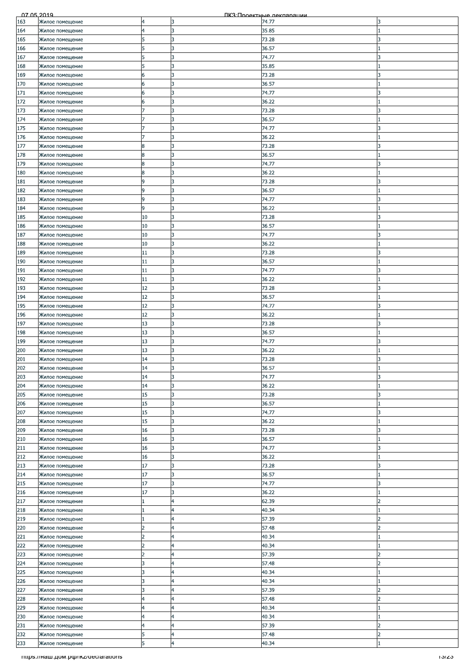| 07.05.2019 |                                      |                |                 | ПКЗ Проектные лекляряции |                          |
|------------|--------------------------------------|----------------|-----------------|--------------------------|--------------------------|
| 163        | Жилое помещение                      | 4              | 3               | 74.77                    | 3                        |
| 164        | Жилое помещение                      | 4              | 3               | 35.85                    |                          |
| 165        |                                      | 5              | 3               | 73.28                    | 3                        |
|            | Жилое помещение                      |                |                 |                          |                          |
| 166        | Жилое помещение                      | 5              | 3               | 36.57                    |                          |
| 167        | Жилое помещение                      | 5              | 3               | 74.77                    | 3                        |
| 168        | Жилое помещение                      |                | 3               | 35.85                    |                          |
| 169        |                                      | 6              | 3               | 73.28                    | 3                        |
|            | Жилое помещение                      |                |                 |                          |                          |
| 170        | Жилое помещение                      | 6              | 3               | 36.57                    |                          |
| 171        | Жилое помещение                      | 6              | 3               | 74.77                    | 3                        |
| 172        | Жилое помещение                      | 6              | 3               | 36.22                    |                          |
| 173        |                                      |                | 3               | 73.28                    | 3                        |
|            | Жилое помещение                      |                |                 |                          |                          |
| 174        | Жилое помещение                      |                | 3               | 36.57                    |                          |
| 175        | Жилое помещение                      |                | 3               | 74.77                    |                          |
| 176        | Жилое помещение                      |                | 3               | 36.22                    |                          |
| 177        | Жилое помещение                      | 8              | 3               | 73.28                    | 3                        |
|            |                                      |                |                 |                          |                          |
| 178        | Жилое помещение                      | 8              | 3               | 36.57                    |                          |
| 179        | Жилое помещение                      | 8              | l3              | 74.77                    | 3                        |
| 180        | Жилое помещение                      | 8              | IЗ              | 36.22                    |                          |
| 181        | Жилое помещение                      | 9              | 3               | 73.28                    |                          |
|            |                                      |                |                 |                          |                          |
| 182        | Жилое помещение                      | 9              | 3               | 36.57                    |                          |
| 183        | Жилое помещение                      | 9              | l3              | 74.77                    | 3                        |
| 184        | Жилое помещение                      | 9              | 3               | 36.22                    |                          |
| 185        | Жилое помещение                      | 10             | 3               | 73.28                    | 3                        |
|            |                                      |                |                 |                          |                          |
| 186        | Жилое помещение                      | 10             | l3              | 36.57                    |                          |
| 187        | Жилое помещение                      | 10             | 3               | 74.77                    | 3                        |
| 188        | Жилое помещение                      | 10             | 3               | 36.22                    |                          |
|            |                                      |                | 3               |                          | ς                        |
| 189        | Жилое помещение                      | 11             |                 | 73.28                    |                          |
| 190        | Жилое помещение                      | 11             | 3               | 36.57                    |                          |
| 191        | Жилое помещение                      | 11             | 3               | 74.77                    | 3                        |
| 192        | Жилое помещение                      | 11             | 3               | 36.22                    |                          |
|            |                                      |                |                 |                          |                          |
| 193        | Жилое помещение                      | 12             | l3              | 73.28                    | 3                        |
| 194        | Жилое помещение                      | 12             | 3               | 36.57                    |                          |
| 195        | Жилое помещение                      | 12             | 3               | 74.77                    |                          |
| 196        | Жилое помещение                      | 12             | 3               | 36.22                    |                          |
|            |                                      |                |                 |                          |                          |
| 197        | Жилое помещение                      | 13             | 3               | 73.28                    | 3                        |
| 198        | Жилое помещение                      | 13             | 3               | 36.57                    |                          |
| 199        | Жилое помещение                      | 13             | 3               | 74.77                    | 3                        |
| 200        | Жилое помещение                      | 13             | 3               | 36.22                    |                          |
|            |                                      |                |                 |                          |                          |
| 201        | Жилое помещение                      | 14             | 3               | 73.28                    | 3                        |
| 202        | Жилое помещение                      | 14             | 3               | 36.57                    |                          |
| 203        | Жилое помещение                      | 14             | 3               | 74.77                    | 3                        |
| 204        | Жилое помещение                      | 14             | 3               | 36.22                    |                          |
|            |                                      |                |                 |                          |                          |
| 205        | Жилое помещение                      | 15             | 3               | 73.28                    | 3                        |
| 206        | Жилое помещение                      | 15             | 3               | 36.57                    |                          |
| 207        | Жилое помещение                      | 15             | l3              | 74.77                    | 3                        |
|            |                                      | 15             | 3               | 36.22                    |                          |
| 208        | Жилое помещение                      |                |                 |                          |                          |
| 209        | Жилое помещение                      | 16             | 3               | 73.28                    | 3                        |
| 210        | Жилое помещение                      | 16             | 3               | 36.57                    |                          |
| 211        | Жилое помещение                      | 16             | 3               | 74.77                    | 3                        |
|            |                                      |                |                 |                          |                          |
| 212        | Жилое помещение                      | 16             | 3               | 36.22                    |                          |
| 213        | Жилое помещение                      | 17             | 3               | 73.28                    | 3                        |
| 214        | Жилое помещение                      | 17             | 3               | 36.57                    |                          |
| 215        | Жилое помещение                      | 17             | 3               | 74.77                    | 3                        |
|            |                                      |                |                 |                          |                          |
| 216        | Жилое помещение                      | 17             | 3               | 36.22                    |                          |
| 217        | Жилое помещение                      |                | $\overline{4}$  | 62.39                    | $\overline{\phantom{a}}$ |
| 218        | Жилое помещение                      |                | $\overline{4}$  | 40.34                    |                          |
| 219        | Жилое помещение                      |                | 4               | 57.39                    | フ                        |
|            |                                      | $\overline{2}$ |                 |                          | $\overline{\mathbf{z}}$  |
| 220        | Жилое помещение                      |                | $\overline{14}$ | 57.48                    |                          |
| 221        | Жилое помещение                      | 2              | $\overline{4}$  | 40.34                    |                          |
| 222        | Жилое помещение                      | 2              | 4               | 40.34                    |                          |
| 223        | Жилое помещение                      |                | $\overline{4}$  | 57.39                    |                          |
|            |                                      |                |                 |                          | $\overline{\phantom{a}}$ |
| 224        | Жилое помещение                      | 3              | $\overline{4}$  | 57.48                    |                          |
| 225        | Жилое помещение                      | 3              | $\overline{4}$  | 40.34                    |                          |
| 226        | Жилое помещение                      | 3              | 4               | 40.34                    |                          |
| 227        | Жилое помещение                      | 3              | $\overline{4}$  | 57.39                    | $\overline{2}$           |
|            |                                      |                |                 |                          | 2                        |
| 228        | Жилое помещение                      | 4              | 4               | 57.48                    |                          |
| 229        | Жилое помещение                      | 4              | 4               | 40.34                    |                          |
| 230        | Жилое помещение                      | 4              | $\overline{4}$  | 40.34                    |                          |
| 231        | Жилое помещение                      | 4              | $\overline{4}$  | 57.39                    | $\overline{\phantom{a}}$ |
|            |                                      |                |                 |                          |                          |
| 232        | Жилое помещение                      | 5              | $\overline{a}$  | 57.48                    | $\overline{2}$           |
| 233        | Жилое помещение                      | 5              | $\overline{a}$  | 40.34                    |                          |
|            | Titips.//Ham.pom.po/ikz/declarations |                |                 |                          | າວ/ຂວ                    |
|            |                                      |                |                 |                          |                          |
|            |                                      |                |                 |                          |                          |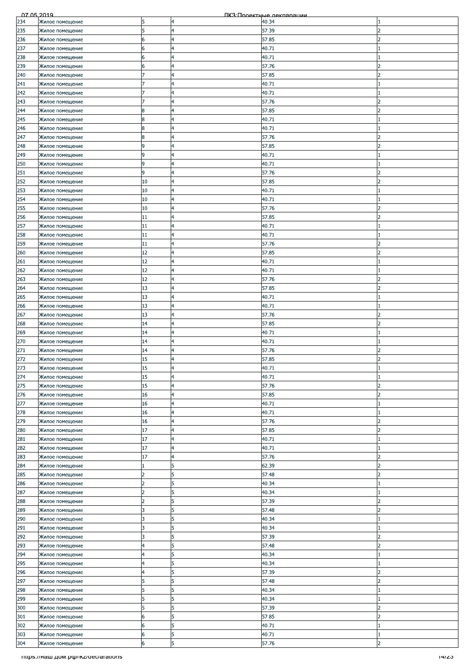| 07.05.2019 |                                      |                |                         | ПКЗ Проектные лекляряции |                          |
|------------|--------------------------------------|----------------|-------------------------|--------------------------|--------------------------|
| 234        | Жилое помещение                      | 5              | 4                       | 40.34                    |                          |
| 235        | Жилое помещение                      | 5              | $\overline{a}$          | 57.39                    | フ                        |
|            |                                      |                | $\overline{4}$          |                          | $\overline{\phantom{a}}$ |
| 236        | Жилое помещение                      | 6              |                         | 57.85                    |                          |
| 237        | Жилое помещение                      | 6              | $\overline{4}$          | 40.71                    |                          |
| 238        | Жилое помещение                      | 6              | 4                       | 40.71                    |                          |
| 239        | Жилое помещение                      | 6              | 4                       | 57.76                    |                          |
| 240        | Жилое помещение                      |                | $\overline{4}$          | 57.85                    | $\mathcal{P}$            |
|            |                                      |                |                         |                          |                          |
| 241        | Жилое помещение                      | 7              | $\overline{4}$          | 40.71                    |                          |
| 242        | Жилое помещение                      |                | $\overline{a}$          | 40.71                    |                          |
| 243        | Жилое помещение                      |                | 4                       | 57.76                    | $\overline{\phantom{a}}$ |
| 244        | Жилое помещение                      | 8              | 4                       | 57.85                    |                          |
| 245        |                                      | 8              | 4                       | 40.71                    |                          |
|            | Жилое помещение                      |                |                         |                          |                          |
| 246        | Жилое помещение                      | 8              | 4                       | 40.71                    |                          |
| 247        | Жилое помещение                      | 8              | 4                       | 57.76                    | フ                        |
| 248        | Жилое помещение                      | 9              | $\overline{4}$          | 57.85                    | $\overline{2}$           |
| 249        | Жилое помещение                      | 9              | $\overline{a}$          | 40.71                    |                          |
|            |                                      | 9              | 4                       |                          |                          |
| 250        | Жилое помещение                      |                |                         | 40.71                    |                          |
| 251        | Жилое помещение                      | 9              | 4                       | 57.76                    | 2                        |
| 252        | Жилое помещение                      | 10             | 4                       | 57.85                    |                          |
| 253        | Жилое помещение                      | 10             | 4                       | 40.71                    |                          |
| 254        | Жилое помещение                      | 10             | $\overline{a}$          | 40.71                    |                          |
|            |                                      |                |                         |                          |                          |
| 255        | Жилое помещение                      | 10             | $\overline{4}$          | 57.76                    | 2                        |
| 256        | Жилое помещение                      | 11             | $\overline{a}$          | 57.85                    | 2                        |
| 257        | Жилое помещение                      | 11             | 4                       | 40.71                    |                          |
| 258        | Жилое помещение                      | 11             | 4                       | 40.71                    |                          |
| 259        |                                      | 11             | 4                       | 57.76                    |                          |
|            | Жилое помещение                      |                |                         |                          |                          |
| 260        | Жилое помещение                      | 12             | $\overline{4}$          | 57.85                    |                          |
| 261        | Жилое помещение                      | 12             | $\overline{4}$          | 40.71                    |                          |
| 262        | Жилое помещение                      | 12             | $\overline{4}$          | 40.71                    |                          |
| 263        | Жилое помещение                      | 12             | 4                       | 57.76                    |                          |
|            |                                      |                |                         |                          |                          |
| 264        | Жилое помещение                      | 13             | $\overline{4}$          | 57.85                    | っ                        |
| 265        | Жилое помещение                      | 13             | 4                       | 40.71                    |                          |
| 266        | Жилое помещение                      | 13             | 4                       | 40.71                    |                          |
| 267        | Жилое помещение                      | 13             | $\overline{4}$          | 57.76                    | $\overline{z}$           |
|            |                                      |                |                         |                          | 2                        |
| 268        | Жилое помещение                      | 14             | $\overline{a}$          | 57.85                    |                          |
| 269        | Жилое помещение                      | 14             | $\overline{4}$          | 40.71                    |                          |
| 270        | Жилое помещение                      | 14             | 4                       | 40.71                    |                          |
| 271        | Жилое помещение                      | 14             | $\overline{4}$          | 57.76                    | っ                        |
| 272        | Жилое помещение                      | 15             | $\overline{4}$          | 57.85                    | $\overline{\mathcal{L}}$ |
|            |                                      |                |                         |                          |                          |
| 273        | Жилое помещение                      | 15             | 4                       | 40.71                    |                          |
| 274        | Жилое помещение                      | 15             | $\overline{4}$          | 40.71                    |                          |
| 275        | Жилое помещение                      | 15             | 4                       | 57.76                    |                          |
| 276        | Жилое помещение                      | 16             | $\overline{4}$          | 57.85                    | 2                        |
|            |                                      |                |                         |                          |                          |
| 277        | Жилое помещение                      | 16             | $\overline{4}$          | 40.71                    |                          |
| 278        | Жилое помещение                      | 16             | $\overline{4}$          | 40.71                    |                          |
| 279        | Жилое помещение                      | 16             | $\overline{\mathbf{4}}$ | 57.76                    | $\overline{2}$           |
| 280        | Жилое помещение                      | 17             | $\overline{a}$          | 57.85                    | フ                        |
| 281        | Жилое помещение                      | 17             | $\overline{4}$          | 40.71                    |                          |
|            |                                      |                |                         |                          |                          |
| 282        | Жилое помещение                      | 17             | $\overline{4}$          | 40.71                    |                          |
| 283        | Жилое помещение                      | 17             | $\overline{a}$          | 57.76                    | 2                        |
| 284        | Жилое помещение                      |                | 5                       | 62.39                    | $\overline{\phantom{a}}$ |
| 285        | Жилое помещение                      | $\overline{2}$ | 5                       | 57.48                    | $\overline{2}$           |
|            |                                      | 2              |                         |                          |                          |
| 286        | Жилое помещение                      |                | 5                       | 40.34                    |                          |
| 287        | Жилое помещение                      |                | 5                       | 40.34                    |                          |
| 288        | Жилое помещение                      | $\overline{2}$ | 5                       | 57.39                    | $\overline{\phantom{a}}$ |
| 289        | Жилое помещение                      | 3              | 5                       | 57.48                    | 2                        |
| 290        | Жилое помещение                      | 3              | 5                       | 40.34                    |                          |
|            |                                      |                | 5                       |                          |                          |
| 291        | Жилое помещение                      | 3              |                         | 40.34                    |                          |
| 292        | Жилое помещение                      | 3              | 5                       | 57.39                    | 2                        |
| 293        | Жилое помещение                      | 4              | 5                       | 57.48                    | フ                        |
| 294        | Жилое помещение                      | 4              | 5                       | 40.34                    |                          |
| 295        | Жилое помещение                      | $\overline{4}$ | 5                       | 40.34                    |                          |
|            |                                      |                |                         |                          |                          |
| 296        | Жилое помещение                      | 4              | 5                       | 57.39                    | 2                        |
| 297        | Жилое помещение                      | 5              | 5                       | 57.48                    | $\overline{\phantom{a}}$ |
| 298        | Жилое помещение                      | 5              | 5                       | 40.34                    |                          |
| 299        | Жилое помещение                      | 5              | 5                       | 40.34                    |                          |
| 300        | Жилое помещение                      | 5              | 5                       | 57.39                    | 2                        |
|            |                                      |                |                         |                          |                          |
| 301        | Жилое помещение                      | 6              | 5                       | 57.85                    | フ                        |
| 302        | Жилое помещение                      | 6              | 5                       | 40.71                    |                          |
| 303        | Жилое помещение                      | 6              | 5                       | 40.71                    |                          |
| 304        | Жилое помещение                      | 6              | 5                       | 57.76                    | $\overline{2}$           |
|            |                                      |                |                         |                          |                          |
|            | Titips.//Ham.pom.po/ikz/declarations |                |                         |                          | 14/ZJ                    |
|            |                                      |                |                         |                          |                          |
|            |                                      |                |                         |                          |                          |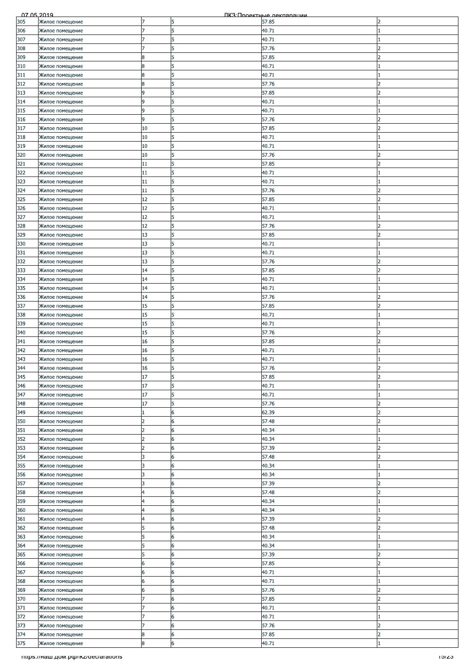| 07.05.2019 |                                    |                |                 | ПКЗ Проектные лекляряции |                          |
|------------|------------------------------------|----------------|-----------------|--------------------------|--------------------------|
| 305        | Жилое помещение                    | 7              | 5               | 57.85                    | 2                        |
| 306        | Жилое помещение                    | 7              | 5               | 40.71                    |                          |
| 307        | Жилое помещение                    |                | 5               | 40.71                    |                          |
| 308        | Жилое помещение                    |                | 5               | 57.76                    | 2                        |
|            |                                    |                |                 |                          |                          |
| 309        | Жилое помещение                    | 8              | 5               | 57.85                    |                          |
| 310        | Жилое помещение                    | 8              | 5               | 40.71                    |                          |
| 311        | Жилое помещение                    | 8              | 5               | 40.71                    |                          |
| 312        | Жилое помещение                    | 8              | 5               | 57.76                    | $\overline{\mathcal{L}}$ |
| 313        | Жилое помещение                    | 9              | 5               | 57.85                    | 2                        |
| 314        | Жилое помещение                    | 9              | 5               | 40.71                    |                          |
| 315        | Жилое помещение                    | 9              | 5               | 40.71                    |                          |
| 316        | Жилое помещение                    | 9              | 5               | 57.76                    |                          |
| 317        | Жилое помещение                    | 10             | 5               | 57.85                    |                          |
| 318        | Жилое помещение                    | 10             | 5               | 40.71                    |                          |
|            |                                    |                |                 |                          |                          |
| 319        | Жилое помещение                    | 10             | 5               | 40.71                    |                          |
| 320        | Жилое помещение                    | 10             | 5               | 57.76                    | 2                        |
| 321        | Жилое помещение                    | 11             | 5               | 57.85                    | っ                        |
| 322        | Жилое помещение                    | 11             | 5               | 40.71                    |                          |
| 323        | Жилое помещение                    | 11             | 5               | 40.71                    |                          |
| 324        | Жилое помещение                    | 11             | 5               | 57.76                    |                          |
| 325        | Жилое помещение                    | 12             | 5               | 57.85                    | $\overline{2}$           |
| 326        | Жилое помещение                    | 12             | 5               | 40.71                    |                          |
| 327        |                                    | 12             | 5               | 40.71                    |                          |
| 328        | Жилое помещение<br>Жилое помещение | 12             | 5               | 57.76                    | っ                        |
|            |                                    |                |                 |                          |                          |
| 329        | Жилое помещение                    | 13             | 5               | 57.85                    | 2                        |
| 330        | Жилое помещение                    | 13             | 5               | 40.71                    |                          |
| 331        | Жилое помещение                    | 13             | 5               | 40.71                    |                          |
| 332        | Жилое помещение                    | 13             | 5               | 57.76                    | 2                        |
| 333        | Жилое помещение                    | 14             | 5               | 57.85                    | っ                        |
| 334        | Жилое помещение                    | 14             | 5               | 40.71                    |                          |
| 335        | Жилое помещение                    | 14             | 5               | 40.71                    |                          |
| 336        | Жилое помещение                    | 14             | 5               | 57.76                    |                          |
|            |                                    |                |                 |                          |                          |
| 337        | Жилое помещение                    | 15             | 5               | 57.85                    |                          |
| 338        | Жилое помещение                    | 15             | 5               | 40.71                    |                          |
| 339        | Жилое помещение                    | 15             | 5               | 40.71                    |                          |
| 340        | Жилое помещение                    | 15             | 5               | 57.76                    | 2                        |
| 341        | Жилое помещение                    | 16             | 5               | 57.85                    | 2                        |
| 342        | Жилое помещение                    | 16             | 5               | 40.71                    |                          |
| 343        | Жилое помещение                    | 16             | 5               | 40.71                    |                          |
| 344        | Жилое помещение                    | 16             | 5               | 57.76                    | C                        |
| 345        | Жилое помещение                    | 17             | 5               | 57.85                    | $\overline{2}$           |
| 346        |                                    | 17             | 5               | 40.71                    |                          |
|            | Жилое помещение                    |                |                 |                          |                          |
| 347        | Жилое помещение                    | 17             | 5               | 40.71                    |                          |
| 348        | Жилое помещение                    | 17             | 5               | 57.76                    | $\overline{2}$           |
| 349        | Жилое помещение                    |                | 6               | 62.39                    | $\mathcal{P}$            |
| 350        | Жилое помещение                    | $\overline{2}$ | 6               | 57.48                    | $\overline{2}$           |
| 351        | Жилое помещение                    | 2              | 6               | 40.34                    |                          |
| 352        | Жилое помещение                    | $\overline{2}$ | 6               | 40.34                    |                          |
| 353        | Жилое помещение                    | $\overline{2}$ | 6               | 57.39                    | 2                        |
| 354        | Жилое помещение                    | 3              | 6               | 57.48                    | <sup>2</sup>             |
| 355        | Жилое помещение                    | 3              | 6               | 40.34                    |                          |
|            |                                    |                |                 |                          |                          |
| 356        | Жилое помещение                    | 3              | 6               | 40.34                    | $\mathcal{P}$            |
| 357        | Жилое помещение                    | 3              | 6               | 57.39                    |                          |
| 358        | Жилое помещение                    | 4              | 6               | 57.48                    | っ                        |
| 359        | Жилое помещение                    | 4              | 6               | 40.34                    |                          |
| 360        | Жилое помещение                    | 4              | 6               | 40.34                    |                          |
| 361        | Жилое помещение                    | 4              | 6               | 57.39                    | 2                        |
| 362        | Жилое помещение                    | 5              | 6               | 57.48                    | $\overline{\mathbf{z}}$  |
| 363        | Жилое помещение                    | 5              | 6               | 40.34                    |                          |
| 364        | Жилое помещение                    | 5              | 6               | 40.34                    |                          |
| 365        | Жилое помещение                    |                | 6               | 57.39                    |                          |
| 366        | Жилое помещение                    | 6              | 6               | 57.85                    | $\overline{\phantom{a}}$ |
| 367        |                                    | 6              | 6               |                          |                          |
|            | Жилое помещение                    |                |                 | 40.71                    |                          |
| 368        | Жилое помещение                    | 6              | 6               | 40.71                    |                          |
| 369        | Жилое помещение                    | 6              | 6               | 57.76                    | $\overline{2}$           |
| 370        | Жилое помещение                    |                | 6               | 57.85                    | 2                        |
| 371        | Жилое помещение                    |                | 6               | 40.71                    |                          |
| 372        | Жилое помещение                    |                | 6               | 40.71                    |                          |
| 373        | Жилое помещение                    |                | 6               | 57.76                    | $\overline{\phantom{a}}$ |
| 374        | Жилое помещение                    | 8              | 6               | 57.85                    | $\overline{2}$           |
| 375        | Жилое помещение                    | 8              | $6\overline{6}$ | 40.71                    |                          |
|            |                                    |                |                 |                          |                          |
|            | mups.//наш.дом.рф/ikz/declarations |                |                 |                          | באפו                     |
|            |                                    |                |                 |                          |                          |
|            |                                    |                |                 |                          |                          |
|            |                                    |                |                 |                          |                          |
|            |                                    |                |                 |                          |                          |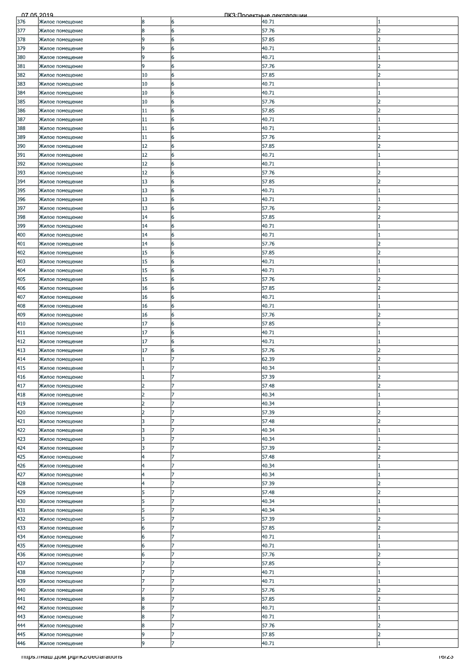| 07.05.2019 |                                    |                |                | ПКЗ Проектные лекляряции |                          |
|------------|------------------------------------|----------------|----------------|--------------------------|--------------------------|
| 376        | Жилое помещение                    | 8              | 6              | 40.71                    |                          |
| 377        | Жилое помещение                    | 8              | 6              | 57.76                    | フ                        |
| 378        |                                    | 9              | 6              | 57.85                    | $\overline{\phantom{a}}$ |
|            | Жилое помещение                    |                |                |                          |                          |
| 379        | Жилое помещение                    | 9              | 6              | 40.71                    |                          |
| 380        | Жилое помещение                    | 9              | 6              | 40.71                    |                          |
| 381        | Жилое помещение                    | 9              | 6              | 57.76                    |                          |
|            |                                    |                | 6              |                          | $\mathcal{P}$            |
| 382        | Жилое помещение                    | 10             |                | 57.85                    |                          |
| 383        | Жилое помещение                    | 10             | 6              | 40.71                    |                          |
| 384        | Жилое помещение                    | 10             | 6              | 40.71                    |                          |
| 385        | Жилое помещение                    | 10             | 6              | 57.76                    | $\overline{\phantom{a}}$ |
|            |                                    |                |                |                          |                          |
| 386        | Жилое помещение                    | 11             | 6              | 57.85                    |                          |
| 387        | Жилое помещение                    | 11             | 6              | 40.71                    |                          |
| 388        | Жилое помещение                    | 11             | 6              | 40.71                    |                          |
|            |                                    | 11             | 6              | 57.76                    | 2                        |
| 389        | Жилое помещение                    |                |                |                          |                          |
| 390        | Жилое помещение                    | 12             | 6              | 57.85                    | $\overline{2}$           |
| 391        | Жилое помещение                    | 12             | 6              | 40.71                    |                          |
| 392        | Жилое помещение                    | 12             | 6              | 40.71                    |                          |
|            |                                    |                |                |                          |                          |
| 393        | Жилое помещение                    | 12             | 6              | 57.76                    | 2                        |
| 394        | Жилое помещение                    | 13             | 6              | 57.85                    |                          |
| 395        | Жилое помещение                    | 13             | 6              | 40.71                    |                          |
| 396        | Жилое помещение                    | 13             | 6              | 40.71                    |                          |
|            |                                    |                |                |                          |                          |
| 397        | Жилое помещение                    | 13             | 6              | 57.76                    | 2                        |
| 398        | Жилое помещение                    | 14             | 6              | 57.85                    | 2                        |
| 399        | Жилое помещение                    | 14             | 6              | 40.71                    |                          |
|            |                                    |                |                |                          |                          |
| 400        | Жилое помещение                    | 14             | 6              | 40.71                    |                          |
| 401        | Жилое помещение                    | 14             | 6              | 57.76                    |                          |
| 402        | Жилое помещение                    | 15             | 6              | 57.85                    |                          |
|            |                                    |                |                |                          |                          |
| 403        | Жилое помещение                    | 15             | 6              | 40.71                    |                          |
| 404        | Жилое помещение                    | 15             | 6              | 40.71                    |                          |
| 405        | Жилое помещение                    | 15             | 6              | 57.76                    |                          |
| 406        | Жилое помещение                    | 16             | 6              | 57.85                    | っ                        |
|            |                                    |                |                |                          |                          |
| 407        | Жилое помещение                    | 16             | 6              | 40.71                    |                          |
| 408        | Жилое помещение                    | 16             | 6              | 40.71                    |                          |
| 409        | Жилое помещение                    | 16             | 6              | 57.76                    | $\overline{z}$           |
|            |                                    |                |                |                          | 2                        |
| 410        | Жилое помещение                    | 17             | 6              | 57.85                    |                          |
| 411        | Жилое помещение                    | 17             | 6              | 40.71                    |                          |
| 412        | Жилое помещение                    | 17             | 6              | 40.71                    |                          |
| 413        | Жилое помещение                    | 17             | 6              | 57.76                    | っ                        |
|            |                                    |                |                |                          |                          |
| 414        | Жилое помещение                    | 1              | 17             | 62.39                    | $\overline{\mathcal{L}}$ |
| 415        | Жилое помещение                    |                | 7              | 40.34                    |                          |
| 416        | Жилое помещение                    |                | 17             | 57.39                    | $\overline{2}$           |
|            |                                    | 2              |                |                          | 2                        |
| 417        | Жилое помещение                    |                |                | 57.48                    |                          |
| 418        | Жилое помещение                    | $\overline{2}$ | 7              | 40.34                    |                          |
| 419        | Жилое помещение                    | 2              | 7              | 40.34                    |                          |
| 420        |                                    | $\overline{2}$ | 7              | 57.39                    | $\overline{c}$           |
|            | Жилое помещение                    |                |                |                          |                          |
| 421        | Жилое помещение                    | 3              | 7              | 57.48                    | $\overline{2}$           |
| 422        | Жилое помещение                    | 3              | 7              | 40.34                    |                          |
| 423        | Жилое помещение                    | 3              | 17             | 40.34                    |                          |
|            |                                    |                |                |                          |                          |
| 424        | Жилое помещение                    | 3              | 7              | 57.39                    | 2                        |
| 425        | Жилое помещение                    | 4              | 7              | 57.48                    | <sup>2</sup>             |
| 426        | Жилое помещение                    | 4              | 7              | 40.34                    |                          |
|            |                                    | 4              | 7              |                          |                          |
| 427        | Жилое помещение                    |                |                | 40.34                    |                          |
| 428        | Жилое помещение                    | 4              | 7              | 57.39                    | $\mathcal{P}$            |
| 429        | Жилое помещение                    | 5              |                | 57.48                    | $\overline{\phantom{a}}$ |
| 430        | Жилое помещение                    | 5              | 17             | 40.34                    |                          |
|            |                                    |                |                |                          |                          |
| 431        | Жилое помещение                    | 5              | $\overline{7}$ | 40.34                    |                          |
| 432        | Жилое помещение                    | 5              | 7              | 57.39                    | フ                        |
| 433        | Жилое помещение                    | 6              | 7              | 57.85                    | $\overline{\mathbf{z}}$  |
| 434        | Жилое помещение                    | 6              | 7              | 40.71                    |                          |
|            |                                    |                |                |                          |                          |
| 435        | Жилое помещение                    | 6              | 7              | 40.71                    |                          |
| 436        | Жилое помещение                    | 6              |                | 57.76                    |                          |
| 437        | Жилое помещение                    |                | 17             | 57.85                    | $\overline{\phantom{a}}$ |
|            |                                    |                | 7              |                          |                          |
| 438        | Жилое помещение                    |                |                | 40.71                    |                          |
| 439        | Жилое помещение                    |                | 7              | 40.71                    |                          |
| 440        | Жилое помещение                    |                | 7              | 57.76                    | $\overline{2}$           |
| 441        | Жилое помещение                    | 8              | 7              | 57.85                    | 2                        |
|            |                                    |                |                |                          |                          |
| 442        | Жилое помещение                    | 8              | 17             | 40.71                    |                          |
| 443        | Жилое помещение                    | 8              |                | 40.71                    |                          |
| 444        | Жилое помещение                    | 8              | 17             | 57.76                    | $\overline{\phantom{a}}$ |
|            |                                    |                |                |                          |                          |
| 445        | Жилое помещение                    | 9              | 7              | 57.85                    | $\overline{2}$           |
| 446        | Жилое помещение                    | 9              | $\overline{7}$ | 40.71                    |                          |
|            | mups.//наш.дом.рф/ikz/declarations |                |                |                          | כ∠וסו                    |
|            |                                    |                |                |                          |                          |
|            |                                    |                |                |                          |                          |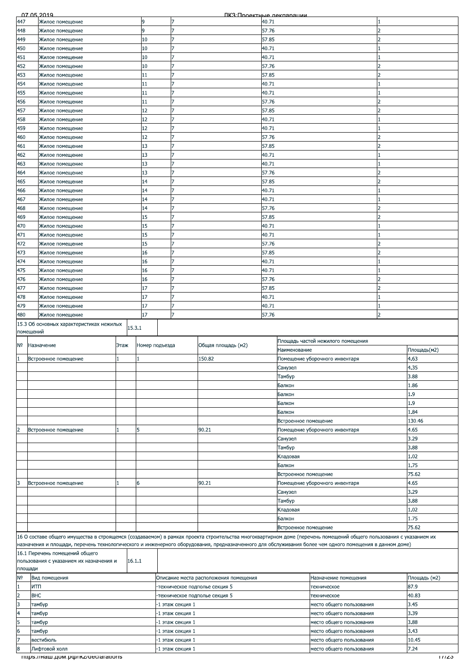|                | <u>07 05 2019</u>                                                                                                                                                  |        |                |                  | <u> ПКЗ Пооектные лекларации</u> |                                         |                      |                          |                                   |              |
|----------------|--------------------------------------------------------------------------------------------------------------------------------------------------------------------|--------|----------------|------------------|----------------------------------|-----------------------------------------|----------------------|--------------------------|-----------------------------------|--------------|
| 447            | Жилое помещение                                                                                                                                                    |        | ٩              |                  |                                  |                                         | 40.71                |                          |                                   |              |
| 448            | Жилое помещение                                                                                                                                                    |        | 9              |                  |                                  |                                         | 57.76                |                          |                                   |              |
| 449            | Жилое помещение                                                                                                                                                    |        | 10             |                  |                                  |                                         | 57.85                |                          |                                   |              |
| 450            | Жилое помещение                                                                                                                                                    |        | 10             |                  | 7                                |                                         | 40.71                |                          |                                   |              |
| 451            | Жилое помещение                                                                                                                                                    |        | 10             |                  | 7                                |                                         | 40.71                |                          |                                   |              |
|                |                                                                                                                                                                    |        |                |                  |                                  |                                         |                      |                          |                                   |              |
| 452            | Жилое помещение                                                                                                                                                    |        | 10             |                  |                                  |                                         | 57.76                |                          |                                   |              |
| 453            | Жилое помещение                                                                                                                                                    |        | 11             |                  | 7                                |                                         | 57.85                |                          |                                   |              |
| 454            | Жилое помещение                                                                                                                                                    |        | 11             |                  |                                  |                                         | 40.71                |                          |                                   |              |
| 455            | Жилое помещение                                                                                                                                                    |        | 11             |                  |                                  |                                         | 40.71                |                          |                                   |              |
| 456            | Жилое помещение                                                                                                                                                    |        | 11             |                  |                                  |                                         | 57.76                |                          |                                   |              |
| 457            | Жилое помещение                                                                                                                                                    |        | 12             |                  |                                  |                                         | 57.85                |                          |                                   |              |
|                |                                                                                                                                                                    |        | 12             |                  |                                  |                                         |                      |                          |                                   |              |
| 458            | Жилое помещение                                                                                                                                                    |        |                |                  |                                  |                                         | 40.71                |                          |                                   |              |
| 459            | Жилое помещение                                                                                                                                                    |        | 12             |                  |                                  |                                         | 40.71                |                          |                                   |              |
| 460            | Жилое помещение                                                                                                                                                    |        | 12             |                  |                                  |                                         | 57.76                |                          |                                   |              |
| 461            | Жилое помещение                                                                                                                                                    |        | 13             |                  |                                  |                                         | 57.85                |                          |                                   |              |
| 462            | Жилое помещение                                                                                                                                                    |        | 13             |                  |                                  |                                         | 40.71                |                          |                                   |              |
| 463            | Жилое помещение                                                                                                                                                    |        | 13             |                  |                                  |                                         | 40.71                |                          |                                   |              |
|                |                                                                                                                                                                    |        | 13             |                  | 17                               |                                         | 57.76                |                          |                                   |              |
| 464            | Жилое помещение                                                                                                                                                    |        |                |                  |                                  |                                         |                      |                          |                                   |              |
| 465            | Жилое помещение                                                                                                                                                    |        | 14             |                  | 7                                |                                         | 57.85                |                          |                                   |              |
| 466            | Жилое помещение                                                                                                                                                    |        | 14             |                  |                                  |                                         | 40.71                |                          |                                   |              |
| 467            | Жилое помещение                                                                                                                                                    |        | 14             |                  |                                  |                                         | 40.71                |                          |                                   |              |
| 468            | Жилое помещение                                                                                                                                                    |        | 14             |                  |                                  |                                         | 57.76                |                          |                                   |              |
| 469            | Жилое помещение                                                                                                                                                    |        | 15             |                  |                                  |                                         | 57.85                |                          |                                   |              |
|                |                                                                                                                                                                    |        |                |                  |                                  |                                         |                      |                          |                                   |              |
| 470            | Жилое помещение                                                                                                                                                    |        | 15             |                  |                                  |                                         | 40.71                |                          |                                   |              |
| 471            | Жилое помещение                                                                                                                                                    |        | 15             |                  |                                  |                                         | 40.71                |                          |                                   |              |
| 472            | Жилое помещение                                                                                                                                                    |        | 15             |                  |                                  |                                         | 57.76                |                          |                                   |              |
| 473            | Жилое помещение                                                                                                                                                    |        | 16             |                  |                                  |                                         | 57.85                |                          |                                   |              |
| 474            | Жилое помещение                                                                                                                                                    |        | 16             |                  |                                  |                                         | 40.71                |                          |                                   |              |
| 475            | Жилое помещение                                                                                                                                                    |        | 16             |                  |                                  |                                         | 40.71                |                          |                                   |              |
| 476            | Жилое помещение                                                                                                                                                    |        | 16             |                  |                                  |                                         | 57.76                |                          |                                   |              |
|                |                                                                                                                                                                    |        |                |                  |                                  |                                         |                      |                          |                                   |              |
| 477            | Жилое помещение                                                                                                                                                    |        | 17             |                  |                                  |                                         | 57.85                |                          |                                   |              |
| 478            | Жилое помещение                                                                                                                                                    |        | 17             |                  | 7                                |                                         | 40.71                |                          |                                   |              |
| 479            | Жилое помещение                                                                                                                                                    |        | 17             |                  |                                  |                                         | 40.71                |                          |                                   |              |
| 480            | Жилое помещение                                                                                                                                                    |        | 17             |                  |                                  |                                         | 57.76                |                          |                                   |              |
|                | 15.3 Об основных характеристиках нежилых                                                                                                                           |        |                |                  |                                  |                                         |                      |                          |                                   |              |
|                | помещений                                                                                                                                                          | 15.3.1 |                |                  |                                  |                                         |                      |                          |                                   |              |
|                |                                                                                                                                                                    |        |                |                  |                                  |                                         |                      |                          |                                   |              |
| Nº             | Назначение                                                                                                                                                         | Этаж   | Номер подъезда |                  |                                  | Общая площадь (м2)                      |                      |                          | Площадь частей нежилого помещения |              |
|                |                                                                                                                                                                    |        |                |                  |                                  |                                         |                      | Наименование             |                                   | Площадь(м2)  |
|                | Встроенное помещение                                                                                                                                               |        | 1              |                  |                                  | 150.82                                  |                      |                          | Помещение уборочного инвентаря    | 4.63         |
|                |                                                                                                                                                                    |        |                |                  |                                  |                                         |                      | Санузел                  |                                   | 4.35         |
|                |                                                                                                                                                                    |        |                |                  |                                  |                                         |                      | Тамбур                   |                                   | 3.88         |
|                |                                                                                                                                                                    |        |                |                  |                                  |                                         |                      |                          |                                   |              |
|                |                                                                                                                                                                    |        |                |                  |                                  |                                         |                      | Балкон                   |                                   | 1.86         |
|                |                                                                                                                                                                    |        |                |                  |                                  |                                         |                      | Балкон                   |                                   | 1.9          |
|                |                                                                                                                                                                    |        |                |                  |                                  |                                         |                      | Балкон                   |                                   | 1.9          |
|                |                                                                                                                                                                    |        |                |                  |                                  |                                         |                      | Балкон                   |                                   | 1.84         |
|                |                                                                                                                                                                    |        |                |                  |                                  |                                         |                      | Встроенное помещение     |                                   | 130.46       |
|                |                                                                                                                                                                    |        |                |                  |                                  |                                         |                      |                          |                                   |              |
|                | Встроенное помещение                                                                                                                                               |        | 5              |                  |                                  | 90.21                                   |                      |                          | Помещение уборочного инвентаря    | 4.65         |
|                |                                                                                                                                                                    |        |                |                  |                                  |                                         |                      | Санузел                  |                                   | 3.29         |
|                |                                                                                                                                                                    |        |                |                  |                                  |                                         |                      | Тамбур                   |                                   | 3.88         |
|                |                                                                                                                                                                    |        |                |                  |                                  |                                         |                      | Кладовая                 |                                   | 1.02         |
|                |                                                                                                                                                                    |        |                |                  |                                  |                                         |                      | Балкон                   |                                   | 1.75         |
|                |                                                                                                                                                                    |        |                |                  |                                  |                                         |                      |                          |                                   | 75.62        |
|                |                                                                                                                                                                    |        |                |                  |                                  |                                         | Встроенное помещение |                          |                                   |              |
| 3              | Встроенное помещение                                                                                                                                               |        | 6              |                  |                                  | 90.21<br>Помещение уборочного инвентаря |                      |                          | 4.65                              |              |
|                |                                                                                                                                                                    |        |                |                  |                                  |                                         | Санузел              |                          |                                   | 3.29         |
|                |                                                                                                                                                                    |        |                |                  |                                  |                                         | Тамбур               |                          |                                   | 3.88         |
|                |                                                                                                                                                                    |        |                |                  |                                  |                                         | Кладовая             |                          | 1.02                              |              |
|                |                                                                                                                                                                    |        |                |                  |                                  | Балкон                                  |                      | 1.75                     |                                   |              |
|                |                                                                                                                                                                    |        |                |                  |                                  |                                         |                      | 75.62                    |                                   |              |
|                |                                                                                                                                                                    |        |                |                  | Встроенное помещение             |                                         |                      |                          |                                   |              |
|                | 16 О составе общего имущества в строящемся (создаваемом) в рамках проекта строительства многоквартирном доме (перечень помещений общего пользования с указанием их |        |                |                  |                                  |                                         |                      |                          |                                   |              |
|                | назначения и площади, перечень технологического и инженерного оборудования, предназначенного для обслуживания более чем одного помещения в данном доме)            |        |                |                  |                                  |                                         |                      |                          |                                   |              |
|                | 16.1 Перечень помещений общего                                                                                                                                     |        |                |                  |                                  |                                         |                      |                          |                                   |              |
|                | пользования с указанием их назначения и                                                                                                                            | 16.1.1 |                |                  |                                  |                                         |                      |                          |                                   |              |
| площади        |                                                                                                                                                                    |        |                |                  |                                  |                                         |                      |                          |                                   |              |
| N <sub>o</sub> | Вид помещения                                                                                                                                                      |        |                |                  |                                  | Описание места расположения помещения   |                      |                          | Назначение помещения              | Площадь (м2) |
|                | ИТП                                                                                                                                                                |        |                |                  | -техническое подполье секция 5   |                                         |                      | техническое              | 87.9                              |              |
| $\overline{2}$ | <b>BHC</b>                                                                                                                                                         |        |                |                  | -техническое подполье секция 5   |                                         |                      | техническое              | 40.83                             |              |
|                |                                                                                                                                                                    |        |                |                  |                                  |                                         |                      |                          |                                   |              |
| 3              | тамбур                                                                                                                                                             |        |                | -1 этаж секция 1 |                                  |                                         |                      | место общего пользования | 3.45                              |              |
| 4              | тамбур                                                                                                                                                             |        |                | -1 этаж секция 1 |                                  |                                         |                      | место общего пользования | 3.39                              |              |
| 5              | тамбур                                                                                                                                                             |        |                |                  | -1 этаж секция 1                 |                                         |                      |                          | место общего пользования          | 3.88         |
| 6              | тамбур                                                                                                                                                             |        |                |                  | -1 этаж секция 1                 |                                         |                      |                          | место общего пользования          | 3.43         |
|                | вестибюль                                                                                                                                                          |        |                |                  | -1 этаж секция 1                 |                                         |                      |                          | место общего пользования          | 10.45        |
| 8              |                                                                                                                                                                    |        |                |                  |                                  |                                         |                      |                          |                                   | 7.24         |
|                | Лифтовой холл                                                                                                                                                      |        |                |                  | -1 этаж секция 1                 |                                         |                      |                          | место общего пользования          |              |
|                | mups.//Ham.uom.pup/ikz/declarations                                                                                                                                |        |                |                  |                                  |                                         |                      |                          |                                   | 177ZJ        |
|                |                                                                                                                                                                    |        |                |                  |                                  |                                         |                      |                          |                                   |              |
|                |                                                                                                                                                                    |        |                |                  |                                  |                                         |                      |                          |                                   |              |
|                |                                                                                                                                                                    |        |                |                  |                                  |                                         |                      |                          |                                   |              |
|                |                                                                                                                                                                    |        |                |                  |                                  |                                         |                      |                          |                                   |              |
|                |                                                                                                                                                                    |        |                |                  |                                  |                                         |                      |                          |                                   |              |
|                |                                                                                                                                                                    |        |                |                  |                                  |                                         |                      |                          |                                   |              |
|                |                                                                                                                                                                    |        |                |                  |                                  |                                         |                      |                          |                                   |              |
|                |                                                                                                                                                                    |        |                |                  |                                  |                                         |                      |                          |                                   |              |
|                |                                                                                                                                                                    |        |                |                  |                                  |                                         |                      |                          |                                   |              |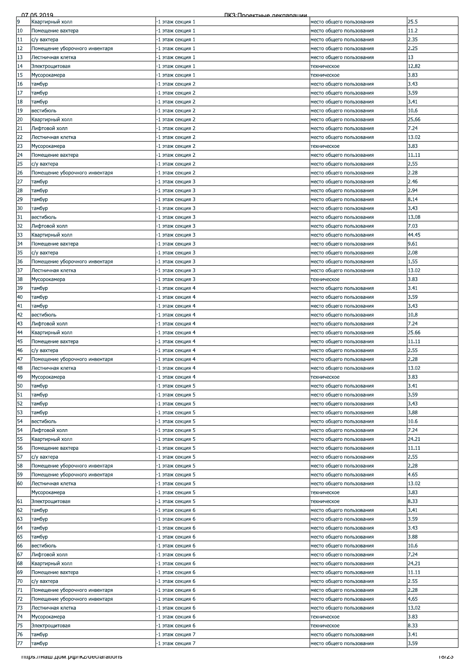|    | 07 05 2019                         | <u> ПКЗ Проектные лекларации</u> |                          |       |
|----|------------------------------------|----------------------------------|--------------------------|-------|
| 9  | Квартирный холл                    | $\cdot 1$ этаж секция $1$        | место общего пользования | 25.5  |
| 10 | Помещение вахтера                  | 1 этаж секция 1 <sup>.</sup>     | место обшего пользования | 11.2  |
| 11 | с/у вахтера                        | $\cdot 1$ этаж секция $1$        | место общего пользования | 2.35  |
| 12 | Помещение уборочного инвентаря     | ·1 этаж секция 1                 | место общего пользования | 2.25  |
| 13 | Лестничная клетка                  | ·1 этаж секция 1                 | место общего пользования | 13    |
| 14 | Электрощитовая                     | ·1 этаж секция 1                 | техническое              | 12.82 |
| 15 | Мусорокамера                       | -1 этаж секция 1                 | техническое              | 3.83  |
| 16 | тамбур                             | -1 этаж секция 2                 | место общего пользования | 3.43  |
| 17 | тамбур                             | -1 этаж секция 2                 | место общего пользования | 3.59  |
| 18 | тамбур                             | -1 этаж секция 2                 | место общего пользования | 3.41  |
| 19 | вестибюль                          | 1 этаж секция 2                  | место общего пользования | 10.6  |
| 20 | Квартирный холл                    | -1 этаж секция 2                 | место общего пользования | 25.66 |
| 21 | Лифтовой холл                      | 1 этаж секция 2                  | место общего пользования | 7.24  |
| 22 | Лестничная клетка                  | -1 этаж секция 2                 | место общего пользования | 13.02 |
| 23 | Мусорокамера                       | 1 этаж секция 2                  | техническое              | 3.83  |
| 24 | Помещение вахтера                  | 1 этаж секция 2                  | место общего пользования | 11.11 |
| 25 | с/у вахтера                        | -1 этаж секция 2                 | место общего пользования | 2.55  |
| 26 | Помещение уборочного инвентаря     | 1 этаж секция 2                  | место общего пользования | 2.28  |
| 27 | тамбур                             | 1 этаж секция 3                  | место общего пользования | 2.46  |
| 28 | тамбур                             | 1 этаж секция 3                  | место общего пользования | 2.94  |
| 29 | тамбур                             | -1 этаж секция 3                 | место общего пользования | 8.14  |
| 30 | тамбур                             | 1 этаж секция 3                  | место общего пользования | 3.43  |
| 31 | вестибюль                          | 1 этаж секция 3                  | место общего пользования | 13.08 |
| 32 |                                    |                                  |                          | 7.03  |
| 33 | Лифтовой холл                      | -1 этаж секция 3                 | место общего пользования | 44.45 |
|    | Квартирный холл                    | 1 этаж секция 3                  | место общего пользования |       |
| 34 | Томещение вахтера                  | -1 этаж секция 3                 | место общего пользования | 9.61  |
| 35 | с/у вахтера                        | -1 этаж секция 3                 | место общего пользования | 2.08  |
| 36 | Помещение уборочного инвентаря     | -1 этаж секция 3                 | место общего пользования | 1.55  |
| 37 | Лестничная клетка                  | -1 этаж секция 3                 | место общего пользования | 13.02 |
| 38 | Мусорокамера                       | 1 этаж секция 3                  | техническое              | 3.83  |
| 39 | тамбур                             | -1 этаж секция 4                 | место общего пользования | 3.41  |
| 40 | тамбур                             | 1 этаж секция 4 <sup>.</sup>     | место общего пользования | 3.59  |
| 41 | тамбур                             | -1 этаж секция 4                 | место общего пользования | 3.43  |
| 42 | вестибюль                          | -1 этаж секция 4                 | место общего пользования | 10.8  |
| 43 | Лифтовой холл                      | -1 этаж секция 4                 | место общего пользования | 7.24  |
| 44 | Квартирный холл                    | -1 этаж секция 4                 | место общего пользования | 25.66 |
| 45 | Помещение вахтера                  | 1 этаж секция 4                  | место общего пользования | 11.11 |
| 46 | с/у вахтера                        | 1 этаж секция 4                  | место общего пользования | 2.55  |
| 47 | Помещение уборочного инвентаря     | 1 этаж секция 4                  | место общего пользования | 2.28  |
| 48 | Лестничная клетка                  | 1 этаж секция 4                  | место общего пользования | 13.02 |
| 49 | Мусорокамера                       | -1 этаж секция 4                 | техническое              | 3.83  |
| 50 | тамбур                             | -1 этаж секция 5                 | место общего пользования | 3.41  |
| 51 | тамбур                             | -1 этаж секция 5                 | место общего пользования | 3.59  |
| 52 | тамбур                             | 1 этаж секция 5                  | место общего пользования | 3.43  |
| 53 | тамбур                             | -1 этаж секция 5                 | место общего пользования | 3.88  |
| 54 | вестибюль                          | 1 этаж секция 5                  | место общего пользования | 10.6  |
| 54 | Лифтовой холл                      | 1 этаж секция 5                  | место общего пользования | 7.24  |
| 55 | Квартирный холл                    | -1 этаж секция 5                 | место общего пользования | 24.21 |
| 56 | Помещение вахтера                  | -1 этаж секция 5                 | место общего пользования | 11.11 |
| 57 | с/у вахтера                        | -1 этаж секция 5                 | место общего пользования | 2.55  |
| 58 | Помещение уборочного инвентаря     | 1 этаж секция 5                  | место общего пользования | 2.28  |
| 59 | Томещение уборочного инвентаря     | 1 этаж секция 5                  | место общего пользования | 4.65  |
| 60 | Лестничная клетка                  | 1 этаж секция 5                  | место общего пользования | 13.02 |
|    | Мусорокамера                       | 1 этаж секция 5                  | техническое              | 3.83  |
| 61 | Электрощитовая                     | -1 этаж секция 5                 | техническое              | 8.33  |
| 62 | тамбур                             | -1 этаж секция 6                 | место общего пользования | 3.41  |
| 63 | тамбур                             | -1 этаж секция 6                 | место общего пользования | 3.59  |
| 64 | тамбур                             | 1 этаж секция 6                  | место общего пользования | 3.43  |
| 65 | тамбур                             | 1 этаж секция 6                  | место общего пользования | 3.88  |
| 66 | вестибюль                          | 1 этаж секция 6                  | место общего пользования | 10.6  |
| 67 | Лифтовой холл                      | 1 этаж секция 6                  | место общего пользования | 7.24  |
| 68 | Квартирный холл                    | -1 этаж секция 6                 | место общего пользования | 24.21 |
| 69 | Помещение вахтера                  | 1 этаж секция 6                  | место общего пользования | 11.11 |
| 70 | с/у вахтера                        | -1 этаж секция 6                 | место общего пользования | 2.55  |
| 71 | Помещение уборочного инвентаря     | 1 этаж секция 6                  | место общего пользования | 2.28  |
| 72 | Помещение уборочного инвентаря     | 1 этаж секция 6                  | место общего пользования | 4.65  |
| 73 | Лестничная клетка                  | 1 этаж секция 6                  | место общего пользования | 13.02 |
| 74 | Мусорокамера                       | 1 этаж секция 6                  | техническое              | 3.83  |
| 75 | Электрощитовая                     | -1 этаж секция 6                 | техническое              | 8.33  |
| 76 | тамбур                             | -1 этаж секция 7                 | место общего пользования | 3.41  |
|    |                                    |                                  |                          |       |
|    |                                    |                                  |                          |       |
|    | mups.//наш.дом.рф/ikz/deciarations |                                  |                          | 10/ZJ |
| 77 | тамбур                             | -1 этаж секция 7                 | место общего пользования | 3.59  |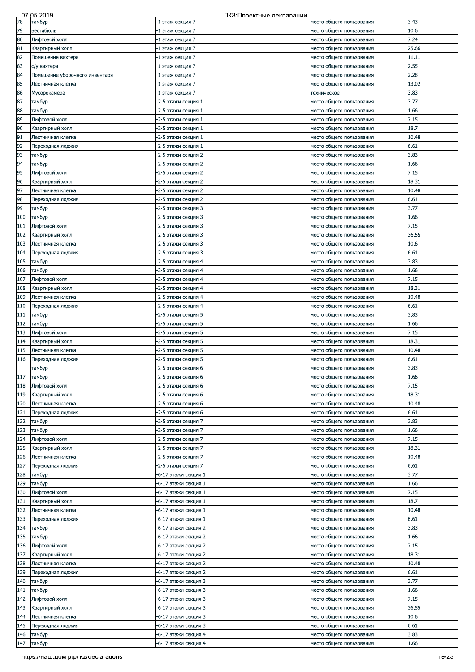| 78<br>3.43<br>тамбур<br>-1 этаж секция 7<br>место общего пользования<br>79<br>10.6<br>вестибюль<br>-1 этаж секция 7<br>место общего пользования<br>7.24<br>80<br>Лифтовой холл<br>1 этаж секция 7<br>место общего пользования<br>25.66<br>81<br>Квартирный холл<br>-1 этаж секция 7<br>место общего пользования<br>82<br>11.11<br>Помещение вахтера<br>-1 этаж секция 7<br>место общего пользования<br>83<br>2.55<br>с/у вахтера<br>-1 этаж секция 7<br>место общего пользования<br>84<br>2.28<br>Помещение уборочного инвентаря<br>-1 этаж секция 7<br>место общего пользования<br>85<br>Лестничная клетка<br>-1 этаж секция 7<br>место общего пользования<br>3.83<br>86<br>-1 этаж секция 7<br>Мусорокамера<br>техническое<br>87<br>3.77<br>-2-5 этажи секция 1<br>тамбур<br>место общего пользования<br>1.66<br>88<br>-2-5 этажи секция 1<br>тамбур<br>место общего пользования<br>89<br>-2-5 этажи секция 1<br>7.15<br>Лифтовой холл<br>место общего пользования<br>18.7<br>90<br>Квартирный холл<br>-2-5 этажи секция 1<br>место общего пользования<br>91<br>-2-5 этажи секция 1<br>10.48<br>Лестничная клетка<br>место общего пользования<br>92<br>6.61<br>-2-5 этажи секция 1<br>Переходная лоджия<br>место общего пользования<br>93<br>3.83<br>тамбур<br>-2-5 этажи секция 2<br>место общего пользования<br>94<br>тамбур<br>-2-5 этажи секция 2<br>1.66<br>место общего пользования<br>7.15<br>95<br>Лифтовой холл<br>-2-5 этажи секция 2<br>место общего пользования<br>96<br>Квартирный холл<br>-2-5 этажи секция 2<br>место общего пользования<br>97<br>-2-5 этажи секция 2<br>Лестничная клетка<br>место общего пользования<br>98<br>6.61<br>-2-5 этажи секция 2<br>Переходная лоджия<br>место общего пользования<br>99<br>3.77<br>-2-5 этажи секция 3<br>место общего пользования<br>тамбур<br>100<br>1.66<br>тамбур<br>-2-5 этажи секция 3<br>место общего пользования<br>-2-5 этажи секция 3<br>7.15<br>101<br>Лифтовой холл<br>место общего пользования<br>102<br>-2-5 этажи секция 3<br>36.55<br>Квартирный холл<br>место общего пользования<br>103<br>-2-5 этажи секция 3<br>10.6<br>Лестничная клетка<br>место общего пользования<br>104<br>6.61<br>Переходная лоджия<br>-2-5 этажи секция 3<br>место общего пользования<br>105<br>3.83<br>тамбур<br>-2-5 этажи секция 4<br>место общего пользования<br>106<br>1.66<br>-2-5 этажи секция 4<br>тамбур<br>место общего пользования<br>107<br>7.15<br>Лифтовой холл<br>-2-5 этажи секция 4<br>место общего пользования<br>108<br>-2-5 этажи секция 4<br>Квартирный холл<br>место общего пользования<br>109<br>-2-5 этажи секция 4<br>Лестничная клетка<br>место общего пользования<br>6.61<br>110<br>-2-5 этажи секция 4<br>Переходная лоджия<br>место общего пользования<br>111<br>3.83<br>тамбур<br>-2-5 этажи секция 5<br>место общего пользования<br>112<br>1.66<br>тамбур<br>-2-5 этажи секция 5<br>место общего пользования<br>7.15<br>113<br>Лифтовой холл<br>-2-5 этажи секция 5<br>место общего пользования<br>18.31<br>114<br>Квартирный холл<br>-2-5 этажи секция 5<br>место общего пользования<br>115<br>-2-5 этажи секция 5<br>10.48<br>Лестничная клетка<br>место общего пользования<br>116<br>-2-5 этажи секция 5<br>6.61<br>Переходная лоджия<br>место общего пользования<br>3.83<br>-2-5 этажи секция 6<br>тамбур<br>место общего пользования<br>117<br>-2-5 этажи секция 6<br>1.66<br>тамбур<br>место общего пользования<br>7.15<br>118<br>Лифтовой холл<br>-2-5 этажи секция 6<br>место общего пользования<br>119<br>Квартирный холл<br>-2-5 этажи секция 6<br>место общего пользования<br>120<br>Лестничная клетка<br>-2-5 этажи секция 6<br>место общего пользования<br>6.61<br>121<br>-2-5 этажи секция 6<br>Переходная лоджия<br>место общего пользования<br>122<br>3.83<br>тамбур<br>-2-5 этажи секция 7<br>место общего пользования<br>123<br>1.66<br>тамбур<br>-2-5 этажи секция 7<br>место общего пользования<br>124<br>7.15<br>Лифтовой холл<br>-2-5 этажи секция 7<br>место общего пользования<br>125<br>Квартирный холл<br>-2-5 этажи секция 7<br>18.31<br>место общего пользования<br>126<br>10.48<br>Лестничная клетка<br>-2-5 этажи секция 7<br>место общего пользования<br>127<br>6.61<br>Переходная лоджия<br>-2-5 этажи секция 7<br>место общего пользования<br>3.77<br>128<br>тамбур<br>-6-17 этажи секция 1<br>место общего пользования<br>129<br>1.66<br>тамбур<br>-6-17 этажи секция 1<br>место общего пользования<br>130<br>7.15<br>Лифтовой холл<br>-6-17 этажи секция 1<br>место общего пользования<br>131<br>18.7<br>Квартирный холл<br>-6-17 этажи секция 1<br>место общего пользования<br>132<br>-6-17 этажи секция 1<br>Лестничная клетка<br>место общего пользования<br>133<br>6.61<br>-6-17 этажи секция 1<br>место общего пользования<br>Переходная лоджия<br>134<br>3.83<br>-6-17 этажи секция 2<br>тамбур<br>место общего пользования<br>1.66<br>135<br>тамбур<br>-6-17 этажи секция 2<br>место общего пользования<br>7.15<br>136<br>Лифтовой холл<br>-6-17 этажи секция 2<br>место общего пользования<br>137<br>18.31<br><вартирный холл<br>-6-17 этажи секция 2<br>место общего пользования<br>138<br>10.48<br>Лестничная клетка<br>-6-17 этажи секция 2<br>место общего пользования<br>139<br>6.61<br>Тереходная лоджия<br>-6-17 этажи секция 2<br>место общего пользования<br>3.77<br>140<br>тамбур<br>-6-17 этажи секция 3<br>место общего пользования<br>141<br>1.66<br>тамбур<br>-6-17 этажи секция 3<br>место общего пользования<br>7.15<br>142<br>Лифтовой холл<br>-6-17 этажи секция 3<br>место общего пользования<br>143<br>Квартирный холл<br>-6-17 этажи секция 3<br>место общего пользования<br>10.6<br>144<br>-6-17 этажи секция 3<br>Лестничная клетка<br>место общего пользования | 07 05 2019 | ПКЗ Проектные леклярации |       |
|------------------------------------------------------------------------------------------------------------------------------------------------------------------------------------------------------------------------------------------------------------------------------------------------------------------------------------------------------------------------------------------------------------------------------------------------------------------------------------------------------------------------------------------------------------------------------------------------------------------------------------------------------------------------------------------------------------------------------------------------------------------------------------------------------------------------------------------------------------------------------------------------------------------------------------------------------------------------------------------------------------------------------------------------------------------------------------------------------------------------------------------------------------------------------------------------------------------------------------------------------------------------------------------------------------------------------------------------------------------------------------------------------------------------------------------------------------------------------------------------------------------------------------------------------------------------------------------------------------------------------------------------------------------------------------------------------------------------------------------------------------------------------------------------------------------------------------------------------------------------------------------------------------------------------------------------------------------------------------------------------------------------------------------------------------------------------------------------------------------------------------------------------------------------------------------------------------------------------------------------------------------------------------------------------------------------------------------------------------------------------------------------------------------------------------------------------------------------------------------------------------------------------------------------------------------------------------------------------------------------------------------------------------------------------------------------------------------------------------------------------------------------------------------------------------------------------------------------------------------------------------------------------------------------------------------------------------------------------------------------------------------------------------------------------------------------------------------------------------------------------------------------------------------------------------------------------------------------------------------------------------------------------------------------------------------------------------------------------------------------------------------------------------------------------------------------------------------------------------------------------------------------------------------------------------------------------------------------------------------------------------------------------------------------------------------------------------------------------------------------------------------------------------------------------------------------------------------------------------------------------------------------------------------------------------------------------------------------------------------------------------------------------------------------------------------------------------------------------------------------------------------------------------------------------------------------------------------------------------------------------------------------------------------------------------------------------------------------------------------------------------------------------------------------------------------------------------------------------------------------------------------------------------------------------------------------------------------------------------------------------------------------------------------------------------------------------------------------------------------------------------------------------------------------------------------------------------------------------------------------------------------------------------------------------------------------------------------------------------------------------------------------------------------------------------------------------------------------------------------------------------------------------------------------------------------------------------------------------------------------------------------------------------------------------------------------------------------------------------------------------------------------------------------------------------------------------------------------------------------------------------------------------------------------------------------------------------------------------------------------------------------------------------------------------------------------------------------------|------------|--------------------------|-------|
|                                                                                                                                                                                                                                                                                                                                                                                                                                                                                                                                                                                                                                                                                                                                                                                                                                                                                                                                                                                                                                                                                                                                                                                                                                                                                                                                                                                                                                                                                                                                                                                                                                                                                                                                                                                                                                                                                                                                                                                                                                                                                                                                                                                                                                                                                                                                                                                                                                                                                                                                                                                                                                                                                                                                                                                                                                                                                                                                                                                                                                                                                                                                                                                                                                                                                                                                                                                                                                                                                                                                                                                                                                                                                                                                                                                                                                                                                                                                                                                                                                                                                                                                                                                                                                                                                                                                                                                                                                                                                                                                                                                                                                                                                                                                                                                                                                                                                                                                                                                                                                                                                                                                                                                                                                                                                                                                                                                                                                                                                                                                                                                                                                                                                                                        |            |                          |       |
|                                                                                                                                                                                                                                                                                                                                                                                                                                                                                                                                                                                                                                                                                                                                                                                                                                                                                                                                                                                                                                                                                                                                                                                                                                                                                                                                                                                                                                                                                                                                                                                                                                                                                                                                                                                                                                                                                                                                                                                                                                                                                                                                                                                                                                                                                                                                                                                                                                                                                                                                                                                                                                                                                                                                                                                                                                                                                                                                                                                                                                                                                                                                                                                                                                                                                                                                                                                                                                                                                                                                                                                                                                                                                                                                                                                                                                                                                                                                                                                                                                                                                                                                                                                                                                                                                                                                                                                                                                                                                                                                                                                                                                                                                                                                                                                                                                                                                                                                                                                                                                                                                                                                                                                                                                                                                                                                                                                                                                                                                                                                                                                                                                                                                                                        |            |                          |       |
|                                                                                                                                                                                                                                                                                                                                                                                                                                                                                                                                                                                                                                                                                                                                                                                                                                                                                                                                                                                                                                                                                                                                                                                                                                                                                                                                                                                                                                                                                                                                                                                                                                                                                                                                                                                                                                                                                                                                                                                                                                                                                                                                                                                                                                                                                                                                                                                                                                                                                                                                                                                                                                                                                                                                                                                                                                                                                                                                                                                                                                                                                                                                                                                                                                                                                                                                                                                                                                                                                                                                                                                                                                                                                                                                                                                                                                                                                                                                                                                                                                                                                                                                                                                                                                                                                                                                                                                                                                                                                                                                                                                                                                                                                                                                                                                                                                                                                                                                                                                                                                                                                                                                                                                                                                                                                                                                                                                                                                                                                                                                                                                                                                                                                                                        |            |                          |       |
|                                                                                                                                                                                                                                                                                                                                                                                                                                                                                                                                                                                                                                                                                                                                                                                                                                                                                                                                                                                                                                                                                                                                                                                                                                                                                                                                                                                                                                                                                                                                                                                                                                                                                                                                                                                                                                                                                                                                                                                                                                                                                                                                                                                                                                                                                                                                                                                                                                                                                                                                                                                                                                                                                                                                                                                                                                                                                                                                                                                                                                                                                                                                                                                                                                                                                                                                                                                                                                                                                                                                                                                                                                                                                                                                                                                                                                                                                                                                                                                                                                                                                                                                                                                                                                                                                                                                                                                                                                                                                                                                                                                                                                                                                                                                                                                                                                                                                                                                                                                                                                                                                                                                                                                                                                                                                                                                                                                                                                                                                                                                                                                                                                                                                                                        |            |                          |       |
|                                                                                                                                                                                                                                                                                                                                                                                                                                                                                                                                                                                                                                                                                                                                                                                                                                                                                                                                                                                                                                                                                                                                                                                                                                                                                                                                                                                                                                                                                                                                                                                                                                                                                                                                                                                                                                                                                                                                                                                                                                                                                                                                                                                                                                                                                                                                                                                                                                                                                                                                                                                                                                                                                                                                                                                                                                                                                                                                                                                                                                                                                                                                                                                                                                                                                                                                                                                                                                                                                                                                                                                                                                                                                                                                                                                                                                                                                                                                                                                                                                                                                                                                                                                                                                                                                                                                                                                                                                                                                                                                                                                                                                                                                                                                                                                                                                                                                                                                                                                                                                                                                                                                                                                                                                                                                                                                                                                                                                                                                                                                                                                                                                                                                                                        |            |                          |       |
|                                                                                                                                                                                                                                                                                                                                                                                                                                                                                                                                                                                                                                                                                                                                                                                                                                                                                                                                                                                                                                                                                                                                                                                                                                                                                                                                                                                                                                                                                                                                                                                                                                                                                                                                                                                                                                                                                                                                                                                                                                                                                                                                                                                                                                                                                                                                                                                                                                                                                                                                                                                                                                                                                                                                                                                                                                                                                                                                                                                                                                                                                                                                                                                                                                                                                                                                                                                                                                                                                                                                                                                                                                                                                                                                                                                                                                                                                                                                                                                                                                                                                                                                                                                                                                                                                                                                                                                                                                                                                                                                                                                                                                                                                                                                                                                                                                                                                                                                                                                                                                                                                                                                                                                                                                                                                                                                                                                                                                                                                                                                                                                                                                                                                                                        |            |                          |       |
|                                                                                                                                                                                                                                                                                                                                                                                                                                                                                                                                                                                                                                                                                                                                                                                                                                                                                                                                                                                                                                                                                                                                                                                                                                                                                                                                                                                                                                                                                                                                                                                                                                                                                                                                                                                                                                                                                                                                                                                                                                                                                                                                                                                                                                                                                                                                                                                                                                                                                                                                                                                                                                                                                                                                                                                                                                                                                                                                                                                                                                                                                                                                                                                                                                                                                                                                                                                                                                                                                                                                                                                                                                                                                                                                                                                                                                                                                                                                                                                                                                                                                                                                                                                                                                                                                                                                                                                                                                                                                                                                                                                                                                                                                                                                                                                                                                                                                                                                                                                                                                                                                                                                                                                                                                                                                                                                                                                                                                                                                                                                                                                                                                                                                                                        |            |                          |       |
|                                                                                                                                                                                                                                                                                                                                                                                                                                                                                                                                                                                                                                                                                                                                                                                                                                                                                                                                                                                                                                                                                                                                                                                                                                                                                                                                                                                                                                                                                                                                                                                                                                                                                                                                                                                                                                                                                                                                                                                                                                                                                                                                                                                                                                                                                                                                                                                                                                                                                                                                                                                                                                                                                                                                                                                                                                                                                                                                                                                                                                                                                                                                                                                                                                                                                                                                                                                                                                                                                                                                                                                                                                                                                                                                                                                                                                                                                                                                                                                                                                                                                                                                                                                                                                                                                                                                                                                                                                                                                                                                                                                                                                                                                                                                                                                                                                                                                                                                                                                                                                                                                                                                                                                                                                                                                                                                                                                                                                                                                                                                                                                                                                                                                                                        |            |                          |       |
|                                                                                                                                                                                                                                                                                                                                                                                                                                                                                                                                                                                                                                                                                                                                                                                                                                                                                                                                                                                                                                                                                                                                                                                                                                                                                                                                                                                                                                                                                                                                                                                                                                                                                                                                                                                                                                                                                                                                                                                                                                                                                                                                                                                                                                                                                                                                                                                                                                                                                                                                                                                                                                                                                                                                                                                                                                                                                                                                                                                                                                                                                                                                                                                                                                                                                                                                                                                                                                                                                                                                                                                                                                                                                                                                                                                                                                                                                                                                                                                                                                                                                                                                                                                                                                                                                                                                                                                                                                                                                                                                                                                                                                                                                                                                                                                                                                                                                                                                                                                                                                                                                                                                                                                                                                                                                                                                                                                                                                                                                                                                                                                                                                                                                                                        |            |                          | 13.02 |
|                                                                                                                                                                                                                                                                                                                                                                                                                                                                                                                                                                                                                                                                                                                                                                                                                                                                                                                                                                                                                                                                                                                                                                                                                                                                                                                                                                                                                                                                                                                                                                                                                                                                                                                                                                                                                                                                                                                                                                                                                                                                                                                                                                                                                                                                                                                                                                                                                                                                                                                                                                                                                                                                                                                                                                                                                                                                                                                                                                                                                                                                                                                                                                                                                                                                                                                                                                                                                                                                                                                                                                                                                                                                                                                                                                                                                                                                                                                                                                                                                                                                                                                                                                                                                                                                                                                                                                                                                                                                                                                                                                                                                                                                                                                                                                                                                                                                                                                                                                                                                                                                                                                                                                                                                                                                                                                                                                                                                                                                                                                                                                                                                                                                                                                        |            |                          |       |
|                                                                                                                                                                                                                                                                                                                                                                                                                                                                                                                                                                                                                                                                                                                                                                                                                                                                                                                                                                                                                                                                                                                                                                                                                                                                                                                                                                                                                                                                                                                                                                                                                                                                                                                                                                                                                                                                                                                                                                                                                                                                                                                                                                                                                                                                                                                                                                                                                                                                                                                                                                                                                                                                                                                                                                                                                                                                                                                                                                                                                                                                                                                                                                                                                                                                                                                                                                                                                                                                                                                                                                                                                                                                                                                                                                                                                                                                                                                                                                                                                                                                                                                                                                                                                                                                                                                                                                                                                                                                                                                                                                                                                                                                                                                                                                                                                                                                                                                                                                                                                                                                                                                                                                                                                                                                                                                                                                                                                                                                                                                                                                                                                                                                                                                        |            |                          |       |
|                                                                                                                                                                                                                                                                                                                                                                                                                                                                                                                                                                                                                                                                                                                                                                                                                                                                                                                                                                                                                                                                                                                                                                                                                                                                                                                                                                                                                                                                                                                                                                                                                                                                                                                                                                                                                                                                                                                                                                                                                                                                                                                                                                                                                                                                                                                                                                                                                                                                                                                                                                                                                                                                                                                                                                                                                                                                                                                                                                                                                                                                                                                                                                                                                                                                                                                                                                                                                                                                                                                                                                                                                                                                                                                                                                                                                                                                                                                                                                                                                                                                                                                                                                                                                                                                                                                                                                                                                                                                                                                                                                                                                                                                                                                                                                                                                                                                                                                                                                                                                                                                                                                                                                                                                                                                                                                                                                                                                                                                                                                                                                                                                                                                                                                        |            |                          |       |
|                                                                                                                                                                                                                                                                                                                                                                                                                                                                                                                                                                                                                                                                                                                                                                                                                                                                                                                                                                                                                                                                                                                                                                                                                                                                                                                                                                                                                                                                                                                                                                                                                                                                                                                                                                                                                                                                                                                                                                                                                                                                                                                                                                                                                                                                                                                                                                                                                                                                                                                                                                                                                                                                                                                                                                                                                                                                                                                                                                                                                                                                                                                                                                                                                                                                                                                                                                                                                                                                                                                                                                                                                                                                                                                                                                                                                                                                                                                                                                                                                                                                                                                                                                                                                                                                                                                                                                                                                                                                                                                                                                                                                                                                                                                                                                                                                                                                                                                                                                                                                                                                                                                                                                                                                                                                                                                                                                                                                                                                                                                                                                                                                                                                                                                        |            |                          |       |
|                                                                                                                                                                                                                                                                                                                                                                                                                                                                                                                                                                                                                                                                                                                                                                                                                                                                                                                                                                                                                                                                                                                                                                                                                                                                                                                                                                                                                                                                                                                                                                                                                                                                                                                                                                                                                                                                                                                                                                                                                                                                                                                                                                                                                                                                                                                                                                                                                                                                                                                                                                                                                                                                                                                                                                                                                                                                                                                                                                                                                                                                                                                                                                                                                                                                                                                                                                                                                                                                                                                                                                                                                                                                                                                                                                                                                                                                                                                                                                                                                                                                                                                                                                                                                                                                                                                                                                                                                                                                                                                                                                                                                                                                                                                                                                                                                                                                                                                                                                                                                                                                                                                                                                                                                                                                                                                                                                                                                                                                                                                                                                                                                                                                                                                        |            |                          |       |
|                                                                                                                                                                                                                                                                                                                                                                                                                                                                                                                                                                                                                                                                                                                                                                                                                                                                                                                                                                                                                                                                                                                                                                                                                                                                                                                                                                                                                                                                                                                                                                                                                                                                                                                                                                                                                                                                                                                                                                                                                                                                                                                                                                                                                                                                                                                                                                                                                                                                                                                                                                                                                                                                                                                                                                                                                                                                                                                                                                                                                                                                                                                                                                                                                                                                                                                                                                                                                                                                                                                                                                                                                                                                                                                                                                                                                                                                                                                                                                                                                                                                                                                                                                                                                                                                                                                                                                                                                                                                                                                                                                                                                                                                                                                                                                                                                                                                                                                                                                                                                                                                                                                                                                                                                                                                                                                                                                                                                                                                                                                                                                                                                                                                                                                        |            |                          |       |
|                                                                                                                                                                                                                                                                                                                                                                                                                                                                                                                                                                                                                                                                                                                                                                                                                                                                                                                                                                                                                                                                                                                                                                                                                                                                                                                                                                                                                                                                                                                                                                                                                                                                                                                                                                                                                                                                                                                                                                                                                                                                                                                                                                                                                                                                                                                                                                                                                                                                                                                                                                                                                                                                                                                                                                                                                                                                                                                                                                                                                                                                                                                                                                                                                                                                                                                                                                                                                                                                                                                                                                                                                                                                                                                                                                                                                                                                                                                                                                                                                                                                                                                                                                                                                                                                                                                                                                                                                                                                                                                                                                                                                                                                                                                                                                                                                                                                                                                                                                                                                                                                                                                                                                                                                                                                                                                                                                                                                                                                                                                                                                                                                                                                                                                        |            |                          |       |
|                                                                                                                                                                                                                                                                                                                                                                                                                                                                                                                                                                                                                                                                                                                                                                                                                                                                                                                                                                                                                                                                                                                                                                                                                                                                                                                                                                                                                                                                                                                                                                                                                                                                                                                                                                                                                                                                                                                                                                                                                                                                                                                                                                                                                                                                                                                                                                                                                                                                                                                                                                                                                                                                                                                                                                                                                                                                                                                                                                                                                                                                                                                                                                                                                                                                                                                                                                                                                                                                                                                                                                                                                                                                                                                                                                                                                                                                                                                                                                                                                                                                                                                                                                                                                                                                                                                                                                                                                                                                                                                                                                                                                                                                                                                                                                                                                                                                                                                                                                                                                                                                                                                                                                                                                                                                                                                                                                                                                                                                                                                                                                                                                                                                                                                        |            |                          |       |
|                                                                                                                                                                                                                                                                                                                                                                                                                                                                                                                                                                                                                                                                                                                                                                                                                                                                                                                                                                                                                                                                                                                                                                                                                                                                                                                                                                                                                                                                                                                                                                                                                                                                                                                                                                                                                                                                                                                                                                                                                                                                                                                                                                                                                                                                                                                                                                                                                                                                                                                                                                                                                                                                                                                                                                                                                                                                                                                                                                                                                                                                                                                                                                                                                                                                                                                                                                                                                                                                                                                                                                                                                                                                                                                                                                                                                                                                                                                                                                                                                                                                                                                                                                                                                                                                                                                                                                                                                                                                                                                                                                                                                                                                                                                                                                                                                                                                                                                                                                                                                                                                                                                                                                                                                                                                                                                                                                                                                                                                                                                                                                                                                                                                                                                        |            |                          |       |
|                                                                                                                                                                                                                                                                                                                                                                                                                                                                                                                                                                                                                                                                                                                                                                                                                                                                                                                                                                                                                                                                                                                                                                                                                                                                                                                                                                                                                                                                                                                                                                                                                                                                                                                                                                                                                                                                                                                                                                                                                                                                                                                                                                                                                                                                                                                                                                                                                                                                                                                                                                                                                                                                                                                                                                                                                                                                                                                                                                                                                                                                                                                                                                                                                                                                                                                                                                                                                                                                                                                                                                                                                                                                                                                                                                                                                                                                                                                                                                                                                                                                                                                                                                                                                                                                                                                                                                                                                                                                                                                                                                                                                                                                                                                                                                                                                                                                                                                                                                                                                                                                                                                                                                                                                                                                                                                                                                                                                                                                                                                                                                                                                                                                                                                        |            |                          |       |
|                                                                                                                                                                                                                                                                                                                                                                                                                                                                                                                                                                                                                                                                                                                                                                                                                                                                                                                                                                                                                                                                                                                                                                                                                                                                                                                                                                                                                                                                                                                                                                                                                                                                                                                                                                                                                                                                                                                                                                                                                                                                                                                                                                                                                                                                                                                                                                                                                                                                                                                                                                                                                                                                                                                                                                                                                                                                                                                                                                                                                                                                                                                                                                                                                                                                                                                                                                                                                                                                                                                                                                                                                                                                                                                                                                                                                                                                                                                                                                                                                                                                                                                                                                                                                                                                                                                                                                                                                                                                                                                                                                                                                                                                                                                                                                                                                                                                                                                                                                                                                                                                                                                                                                                                                                                                                                                                                                                                                                                                                                                                                                                                                                                                                                                        |            |                          |       |
|                                                                                                                                                                                                                                                                                                                                                                                                                                                                                                                                                                                                                                                                                                                                                                                                                                                                                                                                                                                                                                                                                                                                                                                                                                                                                                                                                                                                                                                                                                                                                                                                                                                                                                                                                                                                                                                                                                                                                                                                                                                                                                                                                                                                                                                                                                                                                                                                                                                                                                                                                                                                                                                                                                                                                                                                                                                                                                                                                                                                                                                                                                                                                                                                                                                                                                                                                                                                                                                                                                                                                                                                                                                                                                                                                                                                                                                                                                                                                                                                                                                                                                                                                                                                                                                                                                                                                                                                                                                                                                                                                                                                                                                                                                                                                                                                                                                                                                                                                                                                                                                                                                                                                                                                                                                                                                                                                                                                                                                                                                                                                                                                                                                                                                                        |            |                          | 18.31 |
|                                                                                                                                                                                                                                                                                                                                                                                                                                                                                                                                                                                                                                                                                                                                                                                                                                                                                                                                                                                                                                                                                                                                                                                                                                                                                                                                                                                                                                                                                                                                                                                                                                                                                                                                                                                                                                                                                                                                                                                                                                                                                                                                                                                                                                                                                                                                                                                                                                                                                                                                                                                                                                                                                                                                                                                                                                                                                                                                                                                                                                                                                                                                                                                                                                                                                                                                                                                                                                                                                                                                                                                                                                                                                                                                                                                                                                                                                                                                                                                                                                                                                                                                                                                                                                                                                                                                                                                                                                                                                                                                                                                                                                                                                                                                                                                                                                                                                                                                                                                                                                                                                                                                                                                                                                                                                                                                                                                                                                                                                                                                                                                                                                                                                                                        |            |                          | 10.48 |
|                                                                                                                                                                                                                                                                                                                                                                                                                                                                                                                                                                                                                                                                                                                                                                                                                                                                                                                                                                                                                                                                                                                                                                                                                                                                                                                                                                                                                                                                                                                                                                                                                                                                                                                                                                                                                                                                                                                                                                                                                                                                                                                                                                                                                                                                                                                                                                                                                                                                                                                                                                                                                                                                                                                                                                                                                                                                                                                                                                                                                                                                                                                                                                                                                                                                                                                                                                                                                                                                                                                                                                                                                                                                                                                                                                                                                                                                                                                                                                                                                                                                                                                                                                                                                                                                                                                                                                                                                                                                                                                                                                                                                                                                                                                                                                                                                                                                                                                                                                                                                                                                                                                                                                                                                                                                                                                                                                                                                                                                                                                                                                                                                                                                                                                        |            |                          |       |
|                                                                                                                                                                                                                                                                                                                                                                                                                                                                                                                                                                                                                                                                                                                                                                                                                                                                                                                                                                                                                                                                                                                                                                                                                                                                                                                                                                                                                                                                                                                                                                                                                                                                                                                                                                                                                                                                                                                                                                                                                                                                                                                                                                                                                                                                                                                                                                                                                                                                                                                                                                                                                                                                                                                                                                                                                                                                                                                                                                                                                                                                                                                                                                                                                                                                                                                                                                                                                                                                                                                                                                                                                                                                                                                                                                                                                                                                                                                                                                                                                                                                                                                                                                                                                                                                                                                                                                                                                                                                                                                                                                                                                                                                                                                                                                                                                                                                                                                                                                                                                                                                                                                                                                                                                                                                                                                                                                                                                                                                                                                                                                                                                                                                                                                        |            |                          |       |
|                                                                                                                                                                                                                                                                                                                                                                                                                                                                                                                                                                                                                                                                                                                                                                                                                                                                                                                                                                                                                                                                                                                                                                                                                                                                                                                                                                                                                                                                                                                                                                                                                                                                                                                                                                                                                                                                                                                                                                                                                                                                                                                                                                                                                                                                                                                                                                                                                                                                                                                                                                                                                                                                                                                                                                                                                                                                                                                                                                                                                                                                                                                                                                                                                                                                                                                                                                                                                                                                                                                                                                                                                                                                                                                                                                                                                                                                                                                                                                                                                                                                                                                                                                                                                                                                                                                                                                                                                                                                                                                                                                                                                                                                                                                                                                                                                                                                                                                                                                                                                                                                                                                                                                                                                                                                                                                                                                                                                                                                                                                                                                                                                                                                                                                        |            |                          |       |
|                                                                                                                                                                                                                                                                                                                                                                                                                                                                                                                                                                                                                                                                                                                                                                                                                                                                                                                                                                                                                                                                                                                                                                                                                                                                                                                                                                                                                                                                                                                                                                                                                                                                                                                                                                                                                                                                                                                                                                                                                                                                                                                                                                                                                                                                                                                                                                                                                                                                                                                                                                                                                                                                                                                                                                                                                                                                                                                                                                                                                                                                                                                                                                                                                                                                                                                                                                                                                                                                                                                                                                                                                                                                                                                                                                                                                                                                                                                                                                                                                                                                                                                                                                                                                                                                                                                                                                                                                                                                                                                                                                                                                                                                                                                                                                                                                                                                                                                                                                                                                                                                                                                                                                                                                                                                                                                                                                                                                                                                                                                                                                                                                                                                                                                        |            |                          |       |
|                                                                                                                                                                                                                                                                                                                                                                                                                                                                                                                                                                                                                                                                                                                                                                                                                                                                                                                                                                                                                                                                                                                                                                                                                                                                                                                                                                                                                                                                                                                                                                                                                                                                                                                                                                                                                                                                                                                                                                                                                                                                                                                                                                                                                                                                                                                                                                                                                                                                                                                                                                                                                                                                                                                                                                                                                                                                                                                                                                                                                                                                                                                                                                                                                                                                                                                                                                                                                                                                                                                                                                                                                                                                                                                                                                                                                                                                                                                                                                                                                                                                                                                                                                                                                                                                                                                                                                                                                                                                                                                                                                                                                                                                                                                                                                                                                                                                                                                                                                                                                                                                                                                                                                                                                                                                                                                                                                                                                                                                                                                                                                                                                                                                                                                        |            |                          |       |
|                                                                                                                                                                                                                                                                                                                                                                                                                                                                                                                                                                                                                                                                                                                                                                                                                                                                                                                                                                                                                                                                                                                                                                                                                                                                                                                                                                                                                                                                                                                                                                                                                                                                                                                                                                                                                                                                                                                                                                                                                                                                                                                                                                                                                                                                                                                                                                                                                                                                                                                                                                                                                                                                                                                                                                                                                                                                                                                                                                                                                                                                                                                                                                                                                                                                                                                                                                                                                                                                                                                                                                                                                                                                                                                                                                                                                                                                                                                                                                                                                                                                                                                                                                                                                                                                                                                                                                                                                                                                                                                                                                                                                                                                                                                                                                                                                                                                                                                                                                                                                                                                                                                                                                                                                                                                                                                                                                                                                                                                                                                                                                                                                                                                                                                        |            |                          |       |
|                                                                                                                                                                                                                                                                                                                                                                                                                                                                                                                                                                                                                                                                                                                                                                                                                                                                                                                                                                                                                                                                                                                                                                                                                                                                                                                                                                                                                                                                                                                                                                                                                                                                                                                                                                                                                                                                                                                                                                                                                                                                                                                                                                                                                                                                                                                                                                                                                                                                                                                                                                                                                                                                                                                                                                                                                                                                                                                                                                                                                                                                                                                                                                                                                                                                                                                                                                                                                                                                                                                                                                                                                                                                                                                                                                                                                                                                                                                                                                                                                                                                                                                                                                                                                                                                                                                                                                                                                                                                                                                                                                                                                                                                                                                                                                                                                                                                                                                                                                                                                                                                                                                                                                                                                                                                                                                                                                                                                                                                                                                                                                                                                                                                                                                        |            |                          |       |
|                                                                                                                                                                                                                                                                                                                                                                                                                                                                                                                                                                                                                                                                                                                                                                                                                                                                                                                                                                                                                                                                                                                                                                                                                                                                                                                                                                                                                                                                                                                                                                                                                                                                                                                                                                                                                                                                                                                                                                                                                                                                                                                                                                                                                                                                                                                                                                                                                                                                                                                                                                                                                                                                                                                                                                                                                                                                                                                                                                                                                                                                                                                                                                                                                                                                                                                                                                                                                                                                                                                                                                                                                                                                                                                                                                                                                                                                                                                                                                                                                                                                                                                                                                                                                                                                                                                                                                                                                                                                                                                                                                                                                                                                                                                                                                                                                                                                                                                                                                                                                                                                                                                                                                                                                                                                                                                                                                                                                                                                                                                                                                                                                                                                                                                        |            |                          |       |
|                                                                                                                                                                                                                                                                                                                                                                                                                                                                                                                                                                                                                                                                                                                                                                                                                                                                                                                                                                                                                                                                                                                                                                                                                                                                                                                                                                                                                                                                                                                                                                                                                                                                                                                                                                                                                                                                                                                                                                                                                                                                                                                                                                                                                                                                                                                                                                                                                                                                                                                                                                                                                                                                                                                                                                                                                                                                                                                                                                                                                                                                                                                                                                                                                                                                                                                                                                                                                                                                                                                                                                                                                                                                                                                                                                                                                                                                                                                                                                                                                                                                                                                                                                                                                                                                                                                                                                                                                                                                                                                                                                                                                                                                                                                                                                                                                                                                                                                                                                                                                                                                                                                                                                                                                                                                                                                                                                                                                                                                                                                                                                                                                                                                                                                        |            |                          |       |
|                                                                                                                                                                                                                                                                                                                                                                                                                                                                                                                                                                                                                                                                                                                                                                                                                                                                                                                                                                                                                                                                                                                                                                                                                                                                                                                                                                                                                                                                                                                                                                                                                                                                                                                                                                                                                                                                                                                                                                                                                                                                                                                                                                                                                                                                                                                                                                                                                                                                                                                                                                                                                                                                                                                                                                                                                                                                                                                                                                                                                                                                                                                                                                                                                                                                                                                                                                                                                                                                                                                                                                                                                                                                                                                                                                                                                                                                                                                                                                                                                                                                                                                                                                                                                                                                                                                                                                                                                                                                                                                                                                                                                                                                                                                                                                                                                                                                                                                                                                                                                                                                                                                                                                                                                                                                                                                                                                                                                                                                                                                                                                                                                                                                                                                        |            |                          |       |
|                                                                                                                                                                                                                                                                                                                                                                                                                                                                                                                                                                                                                                                                                                                                                                                                                                                                                                                                                                                                                                                                                                                                                                                                                                                                                                                                                                                                                                                                                                                                                                                                                                                                                                                                                                                                                                                                                                                                                                                                                                                                                                                                                                                                                                                                                                                                                                                                                                                                                                                                                                                                                                                                                                                                                                                                                                                                                                                                                                                                                                                                                                                                                                                                                                                                                                                                                                                                                                                                                                                                                                                                                                                                                                                                                                                                                                                                                                                                                                                                                                                                                                                                                                                                                                                                                                                                                                                                                                                                                                                                                                                                                                                                                                                                                                                                                                                                                                                                                                                                                                                                                                                                                                                                                                                                                                                                                                                                                                                                                                                                                                                                                                                                                                                        |            |                          |       |
|                                                                                                                                                                                                                                                                                                                                                                                                                                                                                                                                                                                                                                                                                                                                                                                                                                                                                                                                                                                                                                                                                                                                                                                                                                                                                                                                                                                                                                                                                                                                                                                                                                                                                                                                                                                                                                                                                                                                                                                                                                                                                                                                                                                                                                                                                                                                                                                                                                                                                                                                                                                                                                                                                                                                                                                                                                                                                                                                                                                                                                                                                                                                                                                                                                                                                                                                                                                                                                                                                                                                                                                                                                                                                                                                                                                                                                                                                                                                                                                                                                                                                                                                                                                                                                                                                                                                                                                                                                                                                                                                                                                                                                                                                                                                                                                                                                                                                                                                                                                                                                                                                                                                                                                                                                                                                                                                                                                                                                                                                                                                                                                                                                                                                                                        |            |                          | 18.31 |
|                                                                                                                                                                                                                                                                                                                                                                                                                                                                                                                                                                                                                                                                                                                                                                                                                                                                                                                                                                                                                                                                                                                                                                                                                                                                                                                                                                                                                                                                                                                                                                                                                                                                                                                                                                                                                                                                                                                                                                                                                                                                                                                                                                                                                                                                                                                                                                                                                                                                                                                                                                                                                                                                                                                                                                                                                                                                                                                                                                                                                                                                                                                                                                                                                                                                                                                                                                                                                                                                                                                                                                                                                                                                                                                                                                                                                                                                                                                                                                                                                                                                                                                                                                                                                                                                                                                                                                                                                                                                                                                                                                                                                                                                                                                                                                                                                                                                                                                                                                                                                                                                                                                                                                                                                                                                                                                                                                                                                                                                                                                                                                                                                                                                                                                        |            |                          | 10.48 |
|                                                                                                                                                                                                                                                                                                                                                                                                                                                                                                                                                                                                                                                                                                                                                                                                                                                                                                                                                                                                                                                                                                                                                                                                                                                                                                                                                                                                                                                                                                                                                                                                                                                                                                                                                                                                                                                                                                                                                                                                                                                                                                                                                                                                                                                                                                                                                                                                                                                                                                                                                                                                                                                                                                                                                                                                                                                                                                                                                                                                                                                                                                                                                                                                                                                                                                                                                                                                                                                                                                                                                                                                                                                                                                                                                                                                                                                                                                                                                                                                                                                                                                                                                                                                                                                                                                                                                                                                                                                                                                                                                                                                                                                                                                                                                                                                                                                                                                                                                                                                                                                                                                                                                                                                                                                                                                                                                                                                                                                                                                                                                                                                                                                                                                                        |            |                          |       |
|                                                                                                                                                                                                                                                                                                                                                                                                                                                                                                                                                                                                                                                                                                                                                                                                                                                                                                                                                                                                                                                                                                                                                                                                                                                                                                                                                                                                                                                                                                                                                                                                                                                                                                                                                                                                                                                                                                                                                                                                                                                                                                                                                                                                                                                                                                                                                                                                                                                                                                                                                                                                                                                                                                                                                                                                                                                                                                                                                                                                                                                                                                                                                                                                                                                                                                                                                                                                                                                                                                                                                                                                                                                                                                                                                                                                                                                                                                                                                                                                                                                                                                                                                                                                                                                                                                                                                                                                                                                                                                                                                                                                                                                                                                                                                                                                                                                                                                                                                                                                                                                                                                                                                                                                                                                                                                                                                                                                                                                                                                                                                                                                                                                                                                                        |            |                          |       |
|                                                                                                                                                                                                                                                                                                                                                                                                                                                                                                                                                                                                                                                                                                                                                                                                                                                                                                                                                                                                                                                                                                                                                                                                                                                                                                                                                                                                                                                                                                                                                                                                                                                                                                                                                                                                                                                                                                                                                                                                                                                                                                                                                                                                                                                                                                                                                                                                                                                                                                                                                                                                                                                                                                                                                                                                                                                                                                                                                                                                                                                                                                                                                                                                                                                                                                                                                                                                                                                                                                                                                                                                                                                                                                                                                                                                                                                                                                                                                                                                                                                                                                                                                                                                                                                                                                                                                                                                                                                                                                                                                                                                                                                                                                                                                                                                                                                                                                                                                                                                                                                                                                                                                                                                                                                                                                                                                                                                                                                                                                                                                                                                                                                                                                                        |            |                          |       |
|                                                                                                                                                                                                                                                                                                                                                                                                                                                                                                                                                                                                                                                                                                                                                                                                                                                                                                                                                                                                                                                                                                                                                                                                                                                                                                                                                                                                                                                                                                                                                                                                                                                                                                                                                                                                                                                                                                                                                                                                                                                                                                                                                                                                                                                                                                                                                                                                                                                                                                                                                                                                                                                                                                                                                                                                                                                                                                                                                                                                                                                                                                                                                                                                                                                                                                                                                                                                                                                                                                                                                                                                                                                                                                                                                                                                                                                                                                                                                                                                                                                                                                                                                                                                                                                                                                                                                                                                                                                                                                                                                                                                                                                                                                                                                                                                                                                                                                                                                                                                                                                                                                                                                                                                                                                                                                                                                                                                                                                                                                                                                                                                                                                                                                                        |            |                          |       |
|                                                                                                                                                                                                                                                                                                                                                                                                                                                                                                                                                                                                                                                                                                                                                                                                                                                                                                                                                                                                                                                                                                                                                                                                                                                                                                                                                                                                                                                                                                                                                                                                                                                                                                                                                                                                                                                                                                                                                                                                                                                                                                                                                                                                                                                                                                                                                                                                                                                                                                                                                                                                                                                                                                                                                                                                                                                                                                                                                                                                                                                                                                                                                                                                                                                                                                                                                                                                                                                                                                                                                                                                                                                                                                                                                                                                                                                                                                                                                                                                                                                                                                                                                                                                                                                                                                                                                                                                                                                                                                                                                                                                                                                                                                                                                                                                                                                                                                                                                                                                                                                                                                                                                                                                                                                                                                                                                                                                                                                                                                                                                                                                                                                                                                                        |            |                          |       |
|                                                                                                                                                                                                                                                                                                                                                                                                                                                                                                                                                                                                                                                                                                                                                                                                                                                                                                                                                                                                                                                                                                                                                                                                                                                                                                                                                                                                                                                                                                                                                                                                                                                                                                                                                                                                                                                                                                                                                                                                                                                                                                                                                                                                                                                                                                                                                                                                                                                                                                                                                                                                                                                                                                                                                                                                                                                                                                                                                                                                                                                                                                                                                                                                                                                                                                                                                                                                                                                                                                                                                                                                                                                                                                                                                                                                                                                                                                                                                                                                                                                                                                                                                                                                                                                                                                                                                                                                                                                                                                                                                                                                                                                                                                                                                                                                                                                                                                                                                                                                                                                                                                                                                                                                                                                                                                                                                                                                                                                                                                                                                                                                                                                                                                                        |            |                          |       |
|                                                                                                                                                                                                                                                                                                                                                                                                                                                                                                                                                                                                                                                                                                                                                                                                                                                                                                                                                                                                                                                                                                                                                                                                                                                                                                                                                                                                                                                                                                                                                                                                                                                                                                                                                                                                                                                                                                                                                                                                                                                                                                                                                                                                                                                                                                                                                                                                                                                                                                                                                                                                                                                                                                                                                                                                                                                                                                                                                                                                                                                                                                                                                                                                                                                                                                                                                                                                                                                                                                                                                                                                                                                                                                                                                                                                                                                                                                                                                                                                                                                                                                                                                                                                                                                                                                                                                                                                                                                                                                                                                                                                                                                                                                                                                                                                                                                                                                                                                                                                                                                                                                                                                                                                                                                                                                                                                                                                                                                                                                                                                                                                                                                                                                                        |            |                          |       |
|                                                                                                                                                                                                                                                                                                                                                                                                                                                                                                                                                                                                                                                                                                                                                                                                                                                                                                                                                                                                                                                                                                                                                                                                                                                                                                                                                                                                                                                                                                                                                                                                                                                                                                                                                                                                                                                                                                                                                                                                                                                                                                                                                                                                                                                                                                                                                                                                                                                                                                                                                                                                                                                                                                                                                                                                                                                                                                                                                                                                                                                                                                                                                                                                                                                                                                                                                                                                                                                                                                                                                                                                                                                                                                                                                                                                                                                                                                                                                                                                                                                                                                                                                                                                                                                                                                                                                                                                                                                                                                                                                                                                                                                                                                                                                                                                                                                                                                                                                                                                                                                                                                                                                                                                                                                                                                                                                                                                                                                                                                                                                                                                                                                                                                                        |            |                          |       |
|                                                                                                                                                                                                                                                                                                                                                                                                                                                                                                                                                                                                                                                                                                                                                                                                                                                                                                                                                                                                                                                                                                                                                                                                                                                                                                                                                                                                                                                                                                                                                                                                                                                                                                                                                                                                                                                                                                                                                                                                                                                                                                                                                                                                                                                                                                                                                                                                                                                                                                                                                                                                                                                                                                                                                                                                                                                                                                                                                                                                                                                                                                                                                                                                                                                                                                                                                                                                                                                                                                                                                                                                                                                                                                                                                                                                                                                                                                                                                                                                                                                                                                                                                                                                                                                                                                                                                                                                                                                                                                                                                                                                                                                                                                                                                                                                                                                                                                                                                                                                                                                                                                                                                                                                                                                                                                                                                                                                                                                                                                                                                                                                                                                                                                                        |            |                          |       |
|                                                                                                                                                                                                                                                                                                                                                                                                                                                                                                                                                                                                                                                                                                                                                                                                                                                                                                                                                                                                                                                                                                                                                                                                                                                                                                                                                                                                                                                                                                                                                                                                                                                                                                                                                                                                                                                                                                                                                                                                                                                                                                                                                                                                                                                                                                                                                                                                                                                                                                                                                                                                                                                                                                                                                                                                                                                                                                                                                                                                                                                                                                                                                                                                                                                                                                                                                                                                                                                                                                                                                                                                                                                                                                                                                                                                                                                                                                                                                                                                                                                                                                                                                                                                                                                                                                                                                                                                                                                                                                                                                                                                                                                                                                                                                                                                                                                                                                                                                                                                                                                                                                                                                                                                                                                                                                                                                                                                                                                                                                                                                                                                                                                                                                                        |            |                          |       |
|                                                                                                                                                                                                                                                                                                                                                                                                                                                                                                                                                                                                                                                                                                                                                                                                                                                                                                                                                                                                                                                                                                                                                                                                                                                                                                                                                                                                                                                                                                                                                                                                                                                                                                                                                                                                                                                                                                                                                                                                                                                                                                                                                                                                                                                                                                                                                                                                                                                                                                                                                                                                                                                                                                                                                                                                                                                                                                                                                                                                                                                                                                                                                                                                                                                                                                                                                                                                                                                                                                                                                                                                                                                                                                                                                                                                                                                                                                                                                                                                                                                                                                                                                                                                                                                                                                                                                                                                                                                                                                                                                                                                                                                                                                                                                                                                                                                                                                                                                                                                                                                                                                                                                                                                                                                                                                                                                                                                                                                                                                                                                                                                                                                                                                                        |            |                          |       |
|                                                                                                                                                                                                                                                                                                                                                                                                                                                                                                                                                                                                                                                                                                                                                                                                                                                                                                                                                                                                                                                                                                                                                                                                                                                                                                                                                                                                                                                                                                                                                                                                                                                                                                                                                                                                                                                                                                                                                                                                                                                                                                                                                                                                                                                                                                                                                                                                                                                                                                                                                                                                                                                                                                                                                                                                                                                                                                                                                                                                                                                                                                                                                                                                                                                                                                                                                                                                                                                                                                                                                                                                                                                                                                                                                                                                                                                                                                                                                                                                                                                                                                                                                                                                                                                                                                                                                                                                                                                                                                                                                                                                                                                                                                                                                                                                                                                                                                                                                                                                                                                                                                                                                                                                                                                                                                                                                                                                                                                                                                                                                                                                                                                                                                                        |            |                          | 18.31 |
|                                                                                                                                                                                                                                                                                                                                                                                                                                                                                                                                                                                                                                                                                                                                                                                                                                                                                                                                                                                                                                                                                                                                                                                                                                                                                                                                                                                                                                                                                                                                                                                                                                                                                                                                                                                                                                                                                                                                                                                                                                                                                                                                                                                                                                                                                                                                                                                                                                                                                                                                                                                                                                                                                                                                                                                                                                                                                                                                                                                                                                                                                                                                                                                                                                                                                                                                                                                                                                                                                                                                                                                                                                                                                                                                                                                                                                                                                                                                                                                                                                                                                                                                                                                                                                                                                                                                                                                                                                                                                                                                                                                                                                                                                                                                                                                                                                                                                                                                                                                                                                                                                                                                                                                                                                                                                                                                                                                                                                                                                                                                                                                                                                                                                                                        |            |                          | 10.48 |
|                                                                                                                                                                                                                                                                                                                                                                                                                                                                                                                                                                                                                                                                                                                                                                                                                                                                                                                                                                                                                                                                                                                                                                                                                                                                                                                                                                                                                                                                                                                                                                                                                                                                                                                                                                                                                                                                                                                                                                                                                                                                                                                                                                                                                                                                                                                                                                                                                                                                                                                                                                                                                                                                                                                                                                                                                                                                                                                                                                                                                                                                                                                                                                                                                                                                                                                                                                                                                                                                                                                                                                                                                                                                                                                                                                                                                                                                                                                                                                                                                                                                                                                                                                                                                                                                                                                                                                                                                                                                                                                                                                                                                                                                                                                                                                                                                                                                                                                                                                                                                                                                                                                                                                                                                                                                                                                                                                                                                                                                                                                                                                                                                                                                                                                        |            |                          |       |
|                                                                                                                                                                                                                                                                                                                                                                                                                                                                                                                                                                                                                                                                                                                                                                                                                                                                                                                                                                                                                                                                                                                                                                                                                                                                                                                                                                                                                                                                                                                                                                                                                                                                                                                                                                                                                                                                                                                                                                                                                                                                                                                                                                                                                                                                                                                                                                                                                                                                                                                                                                                                                                                                                                                                                                                                                                                                                                                                                                                                                                                                                                                                                                                                                                                                                                                                                                                                                                                                                                                                                                                                                                                                                                                                                                                                                                                                                                                                                                                                                                                                                                                                                                                                                                                                                                                                                                                                                                                                                                                                                                                                                                                                                                                                                                                                                                                                                                                                                                                                                                                                                                                                                                                                                                                                                                                                                                                                                                                                                                                                                                                                                                                                                                                        |            |                          |       |
|                                                                                                                                                                                                                                                                                                                                                                                                                                                                                                                                                                                                                                                                                                                                                                                                                                                                                                                                                                                                                                                                                                                                                                                                                                                                                                                                                                                                                                                                                                                                                                                                                                                                                                                                                                                                                                                                                                                                                                                                                                                                                                                                                                                                                                                                                                                                                                                                                                                                                                                                                                                                                                                                                                                                                                                                                                                                                                                                                                                                                                                                                                                                                                                                                                                                                                                                                                                                                                                                                                                                                                                                                                                                                                                                                                                                                                                                                                                                                                                                                                                                                                                                                                                                                                                                                                                                                                                                                                                                                                                                                                                                                                                                                                                                                                                                                                                                                                                                                                                                                                                                                                                                                                                                                                                                                                                                                                                                                                                                                                                                                                                                                                                                                                                        |            |                          |       |
|                                                                                                                                                                                                                                                                                                                                                                                                                                                                                                                                                                                                                                                                                                                                                                                                                                                                                                                                                                                                                                                                                                                                                                                                                                                                                                                                                                                                                                                                                                                                                                                                                                                                                                                                                                                                                                                                                                                                                                                                                                                                                                                                                                                                                                                                                                                                                                                                                                                                                                                                                                                                                                                                                                                                                                                                                                                                                                                                                                                                                                                                                                                                                                                                                                                                                                                                                                                                                                                                                                                                                                                                                                                                                                                                                                                                                                                                                                                                                                                                                                                                                                                                                                                                                                                                                                                                                                                                                                                                                                                                                                                                                                                                                                                                                                                                                                                                                                                                                                                                                                                                                                                                                                                                                                                                                                                                                                                                                                                                                                                                                                                                                                                                                                                        |            |                          |       |
|                                                                                                                                                                                                                                                                                                                                                                                                                                                                                                                                                                                                                                                                                                                                                                                                                                                                                                                                                                                                                                                                                                                                                                                                                                                                                                                                                                                                                                                                                                                                                                                                                                                                                                                                                                                                                                                                                                                                                                                                                                                                                                                                                                                                                                                                                                                                                                                                                                                                                                                                                                                                                                                                                                                                                                                                                                                                                                                                                                                                                                                                                                                                                                                                                                                                                                                                                                                                                                                                                                                                                                                                                                                                                                                                                                                                                                                                                                                                                                                                                                                                                                                                                                                                                                                                                                                                                                                                                                                                                                                                                                                                                                                                                                                                                                                                                                                                                                                                                                                                                                                                                                                                                                                                                                                                                                                                                                                                                                                                                                                                                                                                                                                                                                                        |            |                          |       |
|                                                                                                                                                                                                                                                                                                                                                                                                                                                                                                                                                                                                                                                                                                                                                                                                                                                                                                                                                                                                                                                                                                                                                                                                                                                                                                                                                                                                                                                                                                                                                                                                                                                                                                                                                                                                                                                                                                                                                                                                                                                                                                                                                                                                                                                                                                                                                                                                                                                                                                                                                                                                                                                                                                                                                                                                                                                                                                                                                                                                                                                                                                                                                                                                                                                                                                                                                                                                                                                                                                                                                                                                                                                                                                                                                                                                                                                                                                                                                                                                                                                                                                                                                                                                                                                                                                                                                                                                                                                                                                                                                                                                                                                                                                                                                                                                                                                                                                                                                                                                                                                                                                                                                                                                                                                                                                                                                                                                                                                                                                                                                                                                                                                                                                                        |            |                          |       |
|                                                                                                                                                                                                                                                                                                                                                                                                                                                                                                                                                                                                                                                                                                                                                                                                                                                                                                                                                                                                                                                                                                                                                                                                                                                                                                                                                                                                                                                                                                                                                                                                                                                                                                                                                                                                                                                                                                                                                                                                                                                                                                                                                                                                                                                                                                                                                                                                                                                                                                                                                                                                                                                                                                                                                                                                                                                                                                                                                                                                                                                                                                                                                                                                                                                                                                                                                                                                                                                                                                                                                                                                                                                                                                                                                                                                                                                                                                                                                                                                                                                                                                                                                                                                                                                                                                                                                                                                                                                                                                                                                                                                                                                                                                                                                                                                                                                                                                                                                                                                                                                                                                                                                                                                                                                                                                                                                                                                                                                                                                                                                                                                                                                                                                                        |            |                          |       |
|                                                                                                                                                                                                                                                                                                                                                                                                                                                                                                                                                                                                                                                                                                                                                                                                                                                                                                                                                                                                                                                                                                                                                                                                                                                                                                                                                                                                                                                                                                                                                                                                                                                                                                                                                                                                                                                                                                                                                                                                                                                                                                                                                                                                                                                                                                                                                                                                                                                                                                                                                                                                                                                                                                                                                                                                                                                                                                                                                                                                                                                                                                                                                                                                                                                                                                                                                                                                                                                                                                                                                                                                                                                                                                                                                                                                                                                                                                                                                                                                                                                                                                                                                                                                                                                                                                                                                                                                                                                                                                                                                                                                                                                                                                                                                                                                                                                                                                                                                                                                                                                                                                                                                                                                                                                                                                                                                                                                                                                                                                                                                                                                                                                                                                                        |            |                          |       |
|                                                                                                                                                                                                                                                                                                                                                                                                                                                                                                                                                                                                                                                                                                                                                                                                                                                                                                                                                                                                                                                                                                                                                                                                                                                                                                                                                                                                                                                                                                                                                                                                                                                                                                                                                                                                                                                                                                                                                                                                                                                                                                                                                                                                                                                                                                                                                                                                                                                                                                                                                                                                                                                                                                                                                                                                                                                                                                                                                                                                                                                                                                                                                                                                                                                                                                                                                                                                                                                                                                                                                                                                                                                                                                                                                                                                                                                                                                                                                                                                                                                                                                                                                                                                                                                                                                                                                                                                                                                                                                                                                                                                                                                                                                                                                                                                                                                                                                                                                                                                                                                                                                                                                                                                                                                                                                                                                                                                                                                                                                                                                                                                                                                                                                                        |            |                          |       |
|                                                                                                                                                                                                                                                                                                                                                                                                                                                                                                                                                                                                                                                                                                                                                                                                                                                                                                                                                                                                                                                                                                                                                                                                                                                                                                                                                                                                                                                                                                                                                                                                                                                                                                                                                                                                                                                                                                                                                                                                                                                                                                                                                                                                                                                                                                                                                                                                                                                                                                                                                                                                                                                                                                                                                                                                                                                                                                                                                                                                                                                                                                                                                                                                                                                                                                                                                                                                                                                                                                                                                                                                                                                                                                                                                                                                                                                                                                                                                                                                                                                                                                                                                                                                                                                                                                                                                                                                                                                                                                                                                                                                                                                                                                                                                                                                                                                                                                                                                                                                                                                                                                                                                                                                                                                                                                                                                                                                                                                                                                                                                                                                                                                                                                                        |            |                          |       |
|                                                                                                                                                                                                                                                                                                                                                                                                                                                                                                                                                                                                                                                                                                                                                                                                                                                                                                                                                                                                                                                                                                                                                                                                                                                                                                                                                                                                                                                                                                                                                                                                                                                                                                                                                                                                                                                                                                                                                                                                                                                                                                                                                                                                                                                                                                                                                                                                                                                                                                                                                                                                                                                                                                                                                                                                                                                                                                                                                                                                                                                                                                                                                                                                                                                                                                                                                                                                                                                                                                                                                                                                                                                                                                                                                                                                                                                                                                                                                                                                                                                                                                                                                                                                                                                                                                                                                                                                                                                                                                                                                                                                                                                                                                                                                                                                                                                                                                                                                                                                                                                                                                                                                                                                                                                                                                                                                                                                                                                                                                                                                                                                                                                                                                                        |            |                          |       |
|                                                                                                                                                                                                                                                                                                                                                                                                                                                                                                                                                                                                                                                                                                                                                                                                                                                                                                                                                                                                                                                                                                                                                                                                                                                                                                                                                                                                                                                                                                                                                                                                                                                                                                                                                                                                                                                                                                                                                                                                                                                                                                                                                                                                                                                                                                                                                                                                                                                                                                                                                                                                                                                                                                                                                                                                                                                                                                                                                                                                                                                                                                                                                                                                                                                                                                                                                                                                                                                                                                                                                                                                                                                                                                                                                                                                                                                                                                                                                                                                                                                                                                                                                                                                                                                                                                                                                                                                                                                                                                                                                                                                                                                                                                                                                                                                                                                                                                                                                                                                                                                                                                                                                                                                                                                                                                                                                                                                                                                                                                                                                                                                                                                                                                                        |            |                          |       |
|                                                                                                                                                                                                                                                                                                                                                                                                                                                                                                                                                                                                                                                                                                                                                                                                                                                                                                                                                                                                                                                                                                                                                                                                                                                                                                                                                                                                                                                                                                                                                                                                                                                                                                                                                                                                                                                                                                                                                                                                                                                                                                                                                                                                                                                                                                                                                                                                                                                                                                                                                                                                                                                                                                                                                                                                                                                                                                                                                                                                                                                                                                                                                                                                                                                                                                                                                                                                                                                                                                                                                                                                                                                                                                                                                                                                                                                                                                                                                                                                                                                                                                                                                                                                                                                                                                                                                                                                                                                                                                                                                                                                                                                                                                                                                                                                                                                                                                                                                                                                                                                                                                                                                                                                                                                                                                                                                                                                                                                                                                                                                                                                                                                                                                                        |            |                          | 10.48 |
|                                                                                                                                                                                                                                                                                                                                                                                                                                                                                                                                                                                                                                                                                                                                                                                                                                                                                                                                                                                                                                                                                                                                                                                                                                                                                                                                                                                                                                                                                                                                                                                                                                                                                                                                                                                                                                                                                                                                                                                                                                                                                                                                                                                                                                                                                                                                                                                                                                                                                                                                                                                                                                                                                                                                                                                                                                                                                                                                                                                                                                                                                                                                                                                                                                                                                                                                                                                                                                                                                                                                                                                                                                                                                                                                                                                                                                                                                                                                                                                                                                                                                                                                                                                                                                                                                                                                                                                                                                                                                                                                                                                                                                                                                                                                                                                                                                                                                                                                                                                                                                                                                                                                                                                                                                                                                                                                                                                                                                                                                                                                                                                                                                                                                                                        |            |                          |       |
|                                                                                                                                                                                                                                                                                                                                                                                                                                                                                                                                                                                                                                                                                                                                                                                                                                                                                                                                                                                                                                                                                                                                                                                                                                                                                                                                                                                                                                                                                                                                                                                                                                                                                                                                                                                                                                                                                                                                                                                                                                                                                                                                                                                                                                                                                                                                                                                                                                                                                                                                                                                                                                                                                                                                                                                                                                                                                                                                                                                                                                                                                                                                                                                                                                                                                                                                                                                                                                                                                                                                                                                                                                                                                                                                                                                                                                                                                                                                                                                                                                                                                                                                                                                                                                                                                                                                                                                                                                                                                                                                                                                                                                                                                                                                                                                                                                                                                                                                                                                                                                                                                                                                                                                                                                                                                                                                                                                                                                                                                                                                                                                                                                                                                                                        |            |                          |       |
|                                                                                                                                                                                                                                                                                                                                                                                                                                                                                                                                                                                                                                                                                                                                                                                                                                                                                                                                                                                                                                                                                                                                                                                                                                                                                                                                                                                                                                                                                                                                                                                                                                                                                                                                                                                                                                                                                                                                                                                                                                                                                                                                                                                                                                                                                                                                                                                                                                                                                                                                                                                                                                                                                                                                                                                                                                                                                                                                                                                                                                                                                                                                                                                                                                                                                                                                                                                                                                                                                                                                                                                                                                                                                                                                                                                                                                                                                                                                                                                                                                                                                                                                                                                                                                                                                                                                                                                                                                                                                                                                                                                                                                                                                                                                                                                                                                                                                                                                                                                                                                                                                                                                                                                                                                                                                                                                                                                                                                                                                                                                                                                                                                                                                                                        |            |                          |       |
|                                                                                                                                                                                                                                                                                                                                                                                                                                                                                                                                                                                                                                                                                                                                                                                                                                                                                                                                                                                                                                                                                                                                                                                                                                                                                                                                                                                                                                                                                                                                                                                                                                                                                                                                                                                                                                                                                                                                                                                                                                                                                                                                                                                                                                                                                                                                                                                                                                                                                                                                                                                                                                                                                                                                                                                                                                                                                                                                                                                                                                                                                                                                                                                                                                                                                                                                                                                                                                                                                                                                                                                                                                                                                                                                                                                                                                                                                                                                                                                                                                                                                                                                                                                                                                                                                                                                                                                                                                                                                                                                                                                                                                                                                                                                                                                                                                                                                                                                                                                                                                                                                                                                                                                                                                                                                                                                                                                                                                                                                                                                                                                                                                                                                                                        |            |                          |       |
|                                                                                                                                                                                                                                                                                                                                                                                                                                                                                                                                                                                                                                                                                                                                                                                                                                                                                                                                                                                                                                                                                                                                                                                                                                                                                                                                                                                                                                                                                                                                                                                                                                                                                                                                                                                                                                                                                                                                                                                                                                                                                                                                                                                                                                                                                                                                                                                                                                                                                                                                                                                                                                                                                                                                                                                                                                                                                                                                                                                                                                                                                                                                                                                                                                                                                                                                                                                                                                                                                                                                                                                                                                                                                                                                                                                                                                                                                                                                                                                                                                                                                                                                                                                                                                                                                                                                                                                                                                                                                                                                                                                                                                                                                                                                                                                                                                                                                                                                                                                                                                                                                                                                                                                                                                                                                                                                                                                                                                                                                                                                                                                                                                                                                                                        |            |                          |       |
|                                                                                                                                                                                                                                                                                                                                                                                                                                                                                                                                                                                                                                                                                                                                                                                                                                                                                                                                                                                                                                                                                                                                                                                                                                                                                                                                                                                                                                                                                                                                                                                                                                                                                                                                                                                                                                                                                                                                                                                                                                                                                                                                                                                                                                                                                                                                                                                                                                                                                                                                                                                                                                                                                                                                                                                                                                                                                                                                                                                                                                                                                                                                                                                                                                                                                                                                                                                                                                                                                                                                                                                                                                                                                                                                                                                                                                                                                                                                                                                                                                                                                                                                                                                                                                                                                                                                                                                                                                                                                                                                                                                                                                                                                                                                                                                                                                                                                                                                                                                                                                                                                                                                                                                                                                                                                                                                                                                                                                                                                                                                                                                                                                                                                                                        |            |                          |       |
|                                                                                                                                                                                                                                                                                                                                                                                                                                                                                                                                                                                                                                                                                                                                                                                                                                                                                                                                                                                                                                                                                                                                                                                                                                                                                                                                                                                                                                                                                                                                                                                                                                                                                                                                                                                                                                                                                                                                                                                                                                                                                                                                                                                                                                                                                                                                                                                                                                                                                                                                                                                                                                                                                                                                                                                                                                                                                                                                                                                                                                                                                                                                                                                                                                                                                                                                                                                                                                                                                                                                                                                                                                                                                                                                                                                                                                                                                                                                                                                                                                                                                                                                                                                                                                                                                                                                                                                                                                                                                                                                                                                                                                                                                                                                                                                                                                                                                                                                                                                                                                                                                                                                                                                                                                                                                                                                                                                                                                                                                                                                                                                                                                                                                                                        |            |                          |       |
|                                                                                                                                                                                                                                                                                                                                                                                                                                                                                                                                                                                                                                                                                                                                                                                                                                                                                                                                                                                                                                                                                                                                                                                                                                                                                                                                                                                                                                                                                                                                                                                                                                                                                                                                                                                                                                                                                                                                                                                                                                                                                                                                                                                                                                                                                                                                                                                                                                                                                                                                                                                                                                                                                                                                                                                                                                                                                                                                                                                                                                                                                                                                                                                                                                                                                                                                                                                                                                                                                                                                                                                                                                                                                                                                                                                                                                                                                                                                                                                                                                                                                                                                                                                                                                                                                                                                                                                                                                                                                                                                                                                                                                                                                                                                                                                                                                                                                                                                                                                                                                                                                                                                                                                                                                                                                                                                                                                                                                                                                                                                                                                                                                                                                                                        |            |                          |       |
|                                                                                                                                                                                                                                                                                                                                                                                                                                                                                                                                                                                                                                                                                                                                                                                                                                                                                                                                                                                                                                                                                                                                                                                                                                                                                                                                                                                                                                                                                                                                                                                                                                                                                                                                                                                                                                                                                                                                                                                                                                                                                                                                                                                                                                                                                                                                                                                                                                                                                                                                                                                                                                                                                                                                                                                                                                                                                                                                                                                                                                                                                                                                                                                                                                                                                                                                                                                                                                                                                                                                                                                                                                                                                                                                                                                                                                                                                                                                                                                                                                                                                                                                                                                                                                                                                                                                                                                                                                                                                                                                                                                                                                                                                                                                                                                                                                                                                                                                                                                                                                                                                                                                                                                                                                                                                                                                                                                                                                                                                                                                                                                                                                                                                                                        |            |                          |       |
|                                                                                                                                                                                                                                                                                                                                                                                                                                                                                                                                                                                                                                                                                                                                                                                                                                                                                                                                                                                                                                                                                                                                                                                                                                                                                                                                                                                                                                                                                                                                                                                                                                                                                                                                                                                                                                                                                                                                                                                                                                                                                                                                                                                                                                                                                                                                                                                                                                                                                                                                                                                                                                                                                                                                                                                                                                                                                                                                                                                                                                                                                                                                                                                                                                                                                                                                                                                                                                                                                                                                                                                                                                                                                                                                                                                                                                                                                                                                                                                                                                                                                                                                                                                                                                                                                                                                                                                                                                                                                                                                                                                                                                                                                                                                                                                                                                                                                                                                                                                                                                                                                                                                                                                                                                                                                                                                                                                                                                                                                                                                                                                                                                                                                                                        |            |                          |       |
|                                                                                                                                                                                                                                                                                                                                                                                                                                                                                                                                                                                                                                                                                                                                                                                                                                                                                                                                                                                                                                                                                                                                                                                                                                                                                                                                                                                                                                                                                                                                                                                                                                                                                                                                                                                                                                                                                                                                                                                                                                                                                                                                                                                                                                                                                                                                                                                                                                                                                                                                                                                                                                                                                                                                                                                                                                                                                                                                                                                                                                                                                                                                                                                                                                                                                                                                                                                                                                                                                                                                                                                                                                                                                                                                                                                                                                                                                                                                                                                                                                                                                                                                                                                                                                                                                                                                                                                                                                                                                                                                                                                                                                                                                                                                                                                                                                                                                                                                                                                                                                                                                                                                                                                                                                                                                                                                                                                                                                                                                                                                                                                                                                                                                                                        |            |                          |       |
|                                                                                                                                                                                                                                                                                                                                                                                                                                                                                                                                                                                                                                                                                                                                                                                                                                                                                                                                                                                                                                                                                                                                                                                                                                                                                                                                                                                                                                                                                                                                                                                                                                                                                                                                                                                                                                                                                                                                                                                                                                                                                                                                                                                                                                                                                                                                                                                                                                                                                                                                                                                                                                                                                                                                                                                                                                                                                                                                                                                                                                                                                                                                                                                                                                                                                                                                                                                                                                                                                                                                                                                                                                                                                                                                                                                                                                                                                                                                                                                                                                                                                                                                                                                                                                                                                                                                                                                                                                                                                                                                                                                                                                                                                                                                                                                                                                                                                                                                                                                                                                                                                                                                                                                                                                                                                                                                                                                                                                                                                                                                                                                                                                                                                                                        |            |                          | 36.55 |
|                                                                                                                                                                                                                                                                                                                                                                                                                                                                                                                                                                                                                                                                                                                                                                                                                                                                                                                                                                                                                                                                                                                                                                                                                                                                                                                                                                                                                                                                                                                                                                                                                                                                                                                                                                                                                                                                                                                                                                                                                                                                                                                                                                                                                                                                                                                                                                                                                                                                                                                                                                                                                                                                                                                                                                                                                                                                                                                                                                                                                                                                                                                                                                                                                                                                                                                                                                                                                                                                                                                                                                                                                                                                                                                                                                                                                                                                                                                                                                                                                                                                                                                                                                                                                                                                                                                                                                                                                                                                                                                                                                                                                                                                                                                                                                                                                                                                                                                                                                                                                                                                                                                                                                                                                                                                                                                                                                                                                                                                                                                                                                                                                                                                                                                        |            |                          |       |
| 145<br>6.61<br>Переходная лоджия<br>-6-17 этажи секция 3<br>место общего пользования                                                                                                                                                                                                                                                                                                                                                                                                                                                                                                                                                                                                                                                                                                                                                                                                                                                                                                                                                                                                                                                                                                                                                                                                                                                                                                                                                                                                                                                                                                                                                                                                                                                                                                                                                                                                                                                                                                                                                                                                                                                                                                                                                                                                                                                                                                                                                                                                                                                                                                                                                                                                                                                                                                                                                                                                                                                                                                                                                                                                                                                                                                                                                                                                                                                                                                                                                                                                                                                                                                                                                                                                                                                                                                                                                                                                                                                                                                                                                                                                                                                                                                                                                                                                                                                                                                                                                                                                                                                                                                                                                                                                                                                                                                                                                                                                                                                                                                                                                                                                                                                                                                                                                                                                                                                                                                                                                                                                                                                                                                                                                                                                                                   |            |                          |       |
| 3.83<br>-6-17 этажи секция 4<br>146<br>тамбур<br>место общего пользования                                                                                                                                                                                                                                                                                                                                                                                                                                                                                                                                                                                                                                                                                                                                                                                                                                                                                                                                                                                                                                                                                                                                                                                                                                                                                                                                                                                                                                                                                                                                                                                                                                                                                                                                                                                                                                                                                                                                                                                                                                                                                                                                                                                                                                                                                                                                                                                                                                                                                                                                                                                                                                                                                                                                                                                                                                                                                                                                                                                                                                                                                                                                                                                                                                                                                                                                                                                                                                                                                                                                                                                                                                                                                                                                                                                                                                                                                                                                                                                                                                                                                                                                                                                                                                                                                                                                                                                                                                                                                                                                                                                                                                                                                                                                                                                                                                                                                                                                                                                                                                                                                                                                                                                                                                                                                                                                                                                                                                                                                                                                                                                                                                              |            |                          |       |
| 1.66<br>147<br>тамбур<br>-6-17 этажи секция 4<br>место общего пользования                                                                                                                                                                                                                                                                                                                                                                                                                                                                                                                                                                                                                                                                                                                                                                                                                                                                                                                                                                                                                                                                                                                                                                                                                                                                                                                                                                                                                                                                                                                                                                                                                                                                                                                                                                                                                                                                                                                                                                                                                                                                                                                                                                                                                                                                                                                                                                                                                                                                                                                                                                                                                                                                                                                                                                                                                                                                                                                                                                                                                                                                                                                                                                                                                                                                                                                                                                                                                                                                                                                                                                                                                                                                                                                                                                                                                                                                                                                                                                                                                                                                                                                                                                                                                                                                                                                                                                                                                                                                                                                                                                                                                                                                                                                                                                                                                                                                                                                                                                                                                                                                                                                                                                                                                                                                                                                                                                                                                                                                                                                                                                                                                                              |            |                          |       |
|                                                                                                                                                                                                                                                                                                                                                                                                                                                                                                                                                                                                                                                                                                                                                                                                                                                                                                                                                                                                                                                                                                                                                                                                                                                                                                                                                                                                                                                                                                                                                                                                                                                                                                                                                                                                                                                                                                                                                                                                                                                                                                                                                                                                                                                                                                                                                                                                                                                                                                                                                                                                                                                                                                                                                                                                                                                                                                                                                                                                                                                                                                                                                                                                                                                                                                                                                                                                                                                                                                                                                                                                                                                                                                                                                                                                                                                                                                                                                                                                                                                                                                                                                                                                                                                                                                                                                                                                                                                                                                                                                                                                                                                                                                                                                                                                                                                                                                                                                                                                                                                                                                                                                                                                                                                                                                                                                                                                                                                                                                                                                                                                                                                                                                                        |            |                          |       |
| mups.//наш.дом.рф/ikz/deciarations                                                                                                                                                                                                                                                                                                                                                                                                                                                                                                                                                                                                                                                                                                                                                                                                                                                                                                                                                                                                                                                                                                                                                                                                                                                                                                                                                                                                                                                                                                                                                                                                                                                                                                                                                                                                                                                                                                                                                                                                                                                                                                                                                                                                                                                                                                                                                                                                                                                                                                                                                                                                                                                                                                                                                                                                                                                                                                                                                                                                                                                                                                                                                                                                                                                                                                                                                                                                                                                                                                                                                                                                                                                                                                                                                                                                                                                                                                                                                                                                                                                                                                                                                                                                                                                                                                                                                                                                                                                                                                                                                                                                                                                                                                                                                                                                                                                                                                                                                                                                                                                                                                                                                                                                                                                                                                                                                                                                                                                                                                                                                                                                                                                                                     |            |                          | າອາຂວ |
|                                                                                                                                                                                                                                                                                                                                                                                                                                                                                                                                                                                                                                                                                                                                                                                                                                                                                                                                                                                                                                                                                                                                                                                                                                                                                                                                                                                                                                                                                                                                                                                                                                                                                                                                                                                                                                                                                                                                                                                                                                                                                                                                                                                                                                                                                                                                                                                                                                                                                                                                                                                                                                                                                                                                                                                                                                                                                                                                                                                                                                                                                                                                                                                                                                                                                                                                                                                                                                                                                                                                                                                                                                                                                                                                                                                                                                                                                                                                                                                                                                                                                                                                                                                                                                                                                                                                                                                                                                                                                                                                                                                                                                                                                                                                                                                                                                                                                                                                                                                                                                                                                                                                                                                                                                                                                                                                                                                                                                                                                                                                                                                                                                                                                                                        |            |                          |       |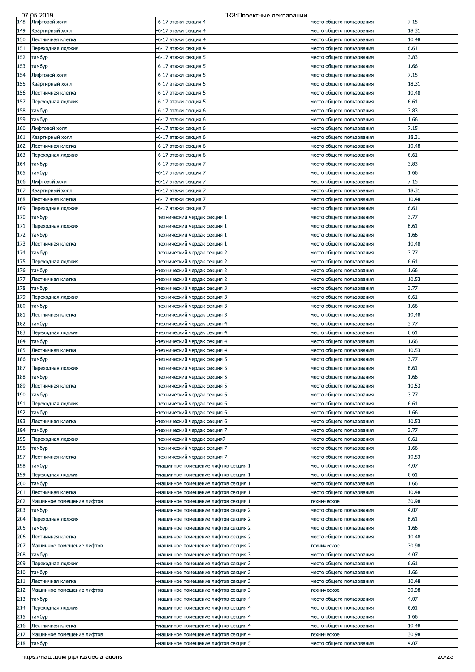|     | 07 05 2019                         | ПКЗ: Проектные лекляряции           |                          |       |
|-----|------------------------------------|-------------------------------------|--------------------------|-------|
| 148 | Лифтовой холл                      | -6-17 этажи секция 4                | место общего пользования | 7.15  |
| 149 | Квартирный холл                    | -6-17 этажи секция 4                | место общего пользования | 18.31 |
| 150 | Лестничная клетка                  | -6-17 этажи секция 4                | место общего пользования | 10.48 |
| 151 | Переходная лоджия                  | -6-17 этажи секция 4                | место общего пользования | 6.61  |
|     |                                    |                                     |                          |       |
| 152 | тамбур                             | -6-17 этажи секция 5                | место общего пользования | 3.83  |
| 153 | тамбур                             | -6-17 этажи секция 5                | место общего пользования | 1.66  |
| 154 | Лифтовой холл                      | -6-17 этажи секция 5                | место общего пользования | 7.15  |
| 155 | Квартирный холл                    | -6-17 этажи секция 5                | место общего пользования | 18.31 |
| 156 | Лестничная клетка                  | -6-17 этажи секция 5                | место общего пользования | 10.48 |
| 157 | Переходная лоджия                  | -6-17 этажи секция 5                | место общего пользования | 6.61  |
| 158 | тамбур                             | -6-17 этажи секция 6                | место общего пользования | 3.83  |
| 159 | тамбур                             | -6-17 этажи секция 6                | место общего пользования | 1.66  |
| 160 | Лифтовой холл                      | -6-17 этажи секция 6                | место общего пользования | 7.15  |
|     |                                    |                                     |                          |       |
| 161 | Квартирный холл                    | -6-17 этажи секция 6                | место общего пользования | 18.31 |
| 162 | Лестничная клетка                  | -6-17 этажи секция 6                | место общего пользования | 10.48 |
| 163 | Переходная лоджия                  | -6-17 этажи секция 6                | место общего пользования | 6.61  |
| 164 | тамбур                             | -6-17 этажи секция 7                | место общего пользования | 3.83  |
| 165 | тамбур                             | -6-17 этажи секция 7                | место общего пользования | 1.66  |
| 166 | Лифтовой холл                      | -6-17 этажи секция 7                | место общего пользования | 7.15  |
| 167 | Квартирный холл                    | -6-17 этажи секция 7                | место общего пользования | 18.31 |
| 168 | Лестничная клетка                  | -6-17 этажи секция 7                | место общего пользования | 10.48 |
| 169 | Переходная лоджия                  | -6-17 этажи секция 7                | место общего пользования | 6.61  |
| 170 | тамбур                             | технический чердак секция 1         | место общего пользования | 3.77  |
|     |                                    |                                     |                          |       |
| 171 | Переходная лоджия                  | технический чердак секция 1         | место общего пользования | 6.61  |
| 172 | тамбур                             | -технический чердак секция 1        | место общего пользования | 1.66  |
| 173 | Лестничная клетка                  | технический чердак секция 1-        | место общего пользования | 10.48 |
| 174 | тамбур                             | технический чердак секция 2         | место общего пользования | 3.77  |
| 175 | Переходная лоджия                  | технический чердак секция 2-        | место общего пользования | 6.61  |
| 176 | тамбур                             | технический чердак секция 2         | место общего пользования | 1.66  |
| 177 | Лестничная клетка                  | технический чердак секция 2         | место общего пользования | 10.53 |
| 178 | тамбур                             | -технический чердак секция 3        | место общего пользования | 3.77  |
| 179 |                                    | -технический чердак секция 3        |                          | 6.61  |
|     | Переходная лоджия                  |                                     | место общего пользования |       |
| 180 | тамбур                             | -технический чердак секция 3        | место общего пользования | 1.66  |
| 181 | Лестничная клетка                  | технический чердак секция 3-        | место общего пользования | 10.48 |
| 182 | тамбур                             | -технический чердак секция 4        | место общего пользования | 3.77  |
| 183 | Переходная лоджия                  | технический чердак секция 4         | место общего пользования | 6.61  |
| 184 | тамбур                             | технический чердак секция 4         | место общего пользования | 1.66  |
| 185 | Лестничная клетка                  | технический чердак секция 4-        | место общего пользования | 10.53 |
| 186 | тамбур                             | технический чердак секция 5         | место общего пользования | 3.77  |
| 187 | Переходная лоджия                  | технический чердак секция 5         | место общего пользования | 6.61  |
| 188 | тамбур                             | технический чердак секция 5-        | место общего пользования | 1.66  |
| 189 | Лестничная клетка                  | технический чердак секция 5         | место общего пользования | 10.53 |
|     |                                    |                                     |                          | 3.77  |
| 190 | тамбур                             | технический чердак секция 6         | место общего пользования |       |
| 191 | Переходная лоджия                  | технический чердак секция 6-        | место общего пользования | 6.61  |
| 192 | тамбур                             | технический чердак секция 6         | место общего пользования | 1.66  |
| 193 | Лестничная клетка                  | -технический чердак секция 6        | место общего пользования | 10.53 |
| 194 | тамбур                             | технический чердак секция 7         | место общего пользования | 3.77  |
| 195 | Переходная лоджия                  | технический чердак секция7          | место общего пользования | 6.61  |
| 196 | тамбур                             | технический чердак секция 7         | место общего пользования | 1.66  |
| 197 | Лестничная клетка                  | технический чердак секция 7-        | место общего пользования | 10.53 |
| 198 | тамбур                             | -машинное помещение лифтов секция 1 | место общего пользования | 4.07  |
| 199 | Переходная лоджия                  | -машинное помещение лифтов секция 1 | место общего пользования | 6.61  |
| 200 |                                    |                                     |                          | 1.66  |
|     | тамбур                             | -машинное помещение лифтов секция 1 | место общего пользования |       |
| 201 | Лестничная клетка                  | -машинное помещение лифтов секция 1 | место общего пользования | 10.48 |
| 202 | Машинное помещение лифтов          | -машинное помещение лифтов секция 1 | техническое              | 30.98 |
| 203 | тамбур                             | -машинное помещение лифтов секция 2 | место общего пользования | 4.07  |
| 204 | Переходная лоджия                  | -машинное помещение лифтов секция 2 | место общего пользования | 6.61  |
| 205 | тамбур                             | машинное помещение лифтов секция 2  | место общего пользования | 1.66  |
| 206 | Лестничная клетка                  | машинное помещение лифтов секция 2  | место общего пользования | 10.48 |
| 207 | Машинное помещение лифтов          | -машинное помещение лифтов секция 2 | техническое              | 30.98 |
| 208 | тамбур                             | -машинное помещение лифтов секция 3 | место общего пользования | 4.07  |
| 209 | Переходная лоджия                  | -машинное помещение лифтов секция 3 | место общего пользования | 6.61  |
| 210 | тамбур                             | -машинное помещение лифтов секция 3 | место общего пользования | 1.66  |
| 211 | Лестничная клетка                  | -машинное помещение лифтов секция 3 | место общего пользования | 10.48 |
| 212 | Машинное помещение лифтов          | машинное помещение лифтов секция 3  | техническое              | 30.98 |
|     |                                    |                                     |                          |       |
| 213 | тамбур                             | машинное помещение лифтов секция 4  | место общего пользования | 4.07  |
| 214 | Переходная лоджия                  | -машинное помещение лифтов секция 4 | место общего пользования | 6.61  |
| 215 | тамбур                             | -машинное помещение лифтов секция 4 | место общего пользования | 1.66  |
| 216 | Лестничная клетка                  | -машинное помещение лифтов секция 4 | место общего пользования | 10.48 |
| 217 | Машинное помещение лифтов          | машинное помещение лифтов секция 4  | техническое              | 30.98 |
| 218 | тамбур                             | машинное помещение лифтов секция 5  | место общего пользования | 4.07  |
|     | mups.//наш.дом.рф/ikz/deciarations |                                     |                          | zuizo |
|     |                                    |                                     |                          |       |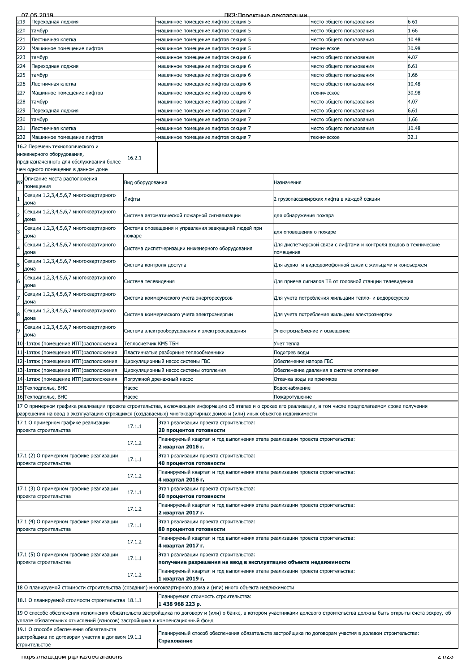|                | 07 05 2019                                                                  |                          | ПКЗ: Проектные леклярящий                                                                                                                                                   |                              |                                                                   |       |  |
|----------------|-----------------------------------------------------------------------------|--------------------------|-----------------------------------------------------------------------------------------------------------------------------------------------------------------------------|------------------------------|-------------------------------------------------------------------|-------|--|
| 219            | Переходная лоджия                                                           |                          | -машинное помещение лифтов секция 5                                                                                                                                         |                              | место общего пользования                                          | 6.61  |  |
| 220            | тамбур                                                                      |                          | машинное помещение лифтов секция 5                                                                                                                                          |                              | место общего пользования                                          | 1.66  |  |
| 221            | Лестничная клетка                                                           |                          | -машинное помещение лифтов секция 5                                                                                                                                         |                              | место общего пользования                                          | 10.48 |  |
| 222            | Машинное помещение лифтов                                                   |                          | -машинное помещение лифтов секция 5                                                                                                                                         |                              | техническое                                                       | 30.98 |  |
|                |                                                                             |                          |                                                                                                                                                                             |                              |                                                                   |       |  |
| 223            | тамбур                                                                      |                          | машинное помещение лифтов секция 6                                                                                                                                          |                              | место общего пользования                                          | 4.07  |  |
| 224            | Тереходная лоджия                                                           |                          | машинное помещение лифтов секция 6                                                                                                                                          |                              | место общего пользования                                          | 6.61  |  |
| 225            | тамбур                                                                      |                          | машинное помещение лифтов секция 6                                                                                                                                          |                              | место общего пользования                                          | 1.66  |  |
| 226            | Лестничная клетка                                                           |                          | машинное помещение лифтов секция 6                                                                                                                                          |                              | место общего пользования                                          | 10.48 |  |
|                |                                                                             |                          |                                                                                                                                                                             |                              |                                                                   |       |  |
| 227            | Машинное помещение лифтов                                                   |                          | машинное помещение лифтов секция 6                                                                                                                                          |                              | техническое                                                       | 30.98 |  |
| 228            | тамбур                                                                      |                          | -машинное помещение лифтов секция 7                                                                                                                                         |                              | место общего пользования                                          | 4.07  |  |
| 229            | Тереходная лоджия                                                           |                          | машинное помещение лифтов секция 7                                                                                                                                          |                              | место общего пользования                                          | 6.61  |  |
| 230            | тамбур                                                                      |                          | машинное помещение лифтов секция 7                                                                                                                                          |                              | место общего пользования                                          | 1.66  |  |
| 231            | Лестничная клетка                                                           |                          | -машинное помещение лифтов секция 7                                                                                                                                         |                              | место общего пользования                                          | 10.48 |  |
| 232            |                                                                             |                          |                                                                                                                                                                             |                              |                                                                   | 32.1  |  |
|                | Машинное помещение лифтов                                                   |                          | машинное помещение лифтов секция 7                                                                                                                                          |                              | техническое                                                       |       |  |
|                | 16.2 Перечень технологического и                                            |                          |                                                                                                                                                                             |                              |                                                                   |       |  |
|                | инженерного оборудования,                                                   | 16.2.1                   |                                                                                                                                                                             |                              |                                                                   |       |  |
|                | предназначенного для обслуживания более                                     |                          |                                                                                                                                                                             |                              |                                                                   |       |  |
|                | чем одного помещения в данном доме                                          |                          |                                                                                                                                                                             |                              |                                                                   |       |  |
| N <sub>o</sub> | Описание места расположения                                                 |                          |                                                                                                                                                                             | Назначения                   |                                                                   |       |  |
|                | помещения                                                                   | Вид оборудования         |                                                                                                                                                                             |                              |                                                                   |       |  |
|                | Секции 1,2,3,4,5,6,7 многоквартирного                                       |                          |                                                                                                                                                                             |                              |                                                                   |       |  |
|                | дома                                                                        | Лифты                    |                                                                                                                                                                             |                              | 2 грузопассажирских лифта в каждой секции                         |       |  |
|                | Секции 1,2,3,4,5,6,7 многоквартирного                                       |                          |                                                                                                                                                                             |                              |                                                                   |       |  |
|                | дома                                                                        |                          | Система автоматической пожарной сигнализации                                                                                                                                | для обнаружения пожара       |                                                                   |       |  |
|                |                                                                             |                          |                                                                                                                                                                             |                              |                                                                   |       |  |
| 3              | Секции 1,2,3,4,5,6,7 многоквартирного                                       |                          | Система оповещения и управления эвакуацией людей при                                                                                                                        | для оповещения о пожаре      |                                                                   |       |  |
|                | дома                                                                        | пожаре                   |                                                                                                                                                                             |                              |                                                                   |       |  |
|                | Секции 1,2,3,4,5,6,7 многоквартирного                                       |                          | Система диспетчеризации инженерного оборудования                                                                                                                            |                              | Для диспетчерской связи с лифтами и контроля входов в технические |       |  |
|                | дома                                                                        |                          |                                                                                                                                                                             | помещения                    |                                                                   |       |  |
|                | Секции 1,2,3,4,5,6,7 многоквартирного                                       |                          |                                                                                                                                                                             |                              |                                                                   |       |  |
| 5              | дома                                                                        | Система контроля доступа |                                                                                                                                                                             |                              | Для аудио- и видеодомофонной связи с жильцами и консъержем        |       |  |
|                | Секции 1,2,3,4,5,6,7 многоквартирного                                       |                          |                                                                                                                                                                             |                              |                                                                   |       |  |
| 6              | дома                                                                        | Система телевидения      |                                                                                                                                                                             |                              | Для приема сигналов ТВ от головной станции телевидения            |       |  |
|                |                                                                             |                          |                                                                                                                                                                             |                              |                                                                   |       |  |
| 7              | Секции 1,2,3,4,5,6,7 многоквартирного                                       |                          | Система коммерческого учета энергоресурсов                                                                                                                                  |                              | Для учета потребления жильцами тепло- и водоресурсов              |       |  |
|                | дома                                                                        |                          |                                                                                                                                                                             |                              |                                                                   |       |  |
|                | Секции 1,2,3,4,5,6,7 многоквартирного                                       |                          | Система коммерческого учета электроэнергии                                                                                                                                  |                              | Для учета потребления жильцами электроэнергии                     |       |  |
|                | дома                                                                        |                          |                                                                                                                                                                             |                              |                                                                   |       |  |
|                | Секции 1,2,3,4,5,6,7 многоквартирного                                       |                          |                                                                                                                                                                             | Электроснабжение и освещение |                                                                   |       |  |
|                | дома                                                                        |                          | Система электрооборудования и электроосвещения                                                                                                                              |                              |                                                                   |       |  |
|                | 10-1этаж (помещение ИТП)расположения                                        | Теплосчетчик КМ5 ТБН     |                                                                                                                                                                             | Учет тепла                   |                                                                   |       |  |
|                |                                                                             |                          |                                                                                                                                                                             |                              |                                                                   |       |  |
|                | 11-1этаж (помещение ИТП) расположения                                       |                          | Пластинчатые разборные теплообменники                                                                                                                                       | Подогрев воды                |                                                                   |       |  |
|                | 12-1этаж (помещение ИТП) расположения                                       |                          | Циркуляционный насос системы ГВС                                                                                                                                            | Обеспечение напора ГВС       |                                                                   |       |  |
|                | 13-1этаж (помещение ИТП)расположения                                        |                          | Циркуляционный насос системы отопления                                                                                                                                      |                              | Обеспечение давления в системе отопления                          |       |  |
|                | 14-1этаж (помещение ИТП)расположения                                        |                          | Погружной дренажный насос                                                                                                                                                   | Откачка воды из приямков     |                                                                   |       |  |
|                | 15 Техподполье, ВНС                                                         | Hacoc                    |                                                                                                                                                                             | Водоснабжение                |                                                                   |       |  |
|                |                                                                             |                          | Пожаротушение                                                                                                                                                               |                              |                                                                   |       |  |
|                | 16 Техподполье, ВНС                                                         | Hacoc                    |                                                                                                                                                                             |                              |                                                                   |       |  |
|                |                                                                             |                          | 17 О примерном графике реализации проекта строительства, включающем информацию об этапах и о сроках его реализации, в том числе предполагаемом сроке получения              |                              |                                                                   |       |  |
|                |                                                                             |                          | разрешения на ввод в эксплуатацию строящихся (создаваемых) многоквартирных домов и (или) иных объектов недвижимости                                                         |                              |                                                                   |       |  |
|                | 17.1 О примерном графике реализации                                         | 17.1.1                   | Этап реализации проекта строительства:                                                                                                                                      |                              |                                                                   |       |  |
|                | проекта строительства                                                       |                          | 20 процентов готовности                                                                                                                                                     |                              |                                                                   |       |  |
|                |                                                                             |                          | Планируемый квартал и год выполнения этапа реализации проекта строительства:                                                                                                |                              |                                                                   |       |  |
|                |                                                                             | 17.1.2                   | 2 квартал 2016 г.                                                                                                                                                           |                              |                                                                   |       |  |
|                | 17.1 (2) О примерном графике реализации                                     |                          |                                                                                                                                                                             |                              |                                                                   |       |  |
|                |                                                                             |                          |                                                                                                                                                                             |                              |                                                                   |       |  |
|                | проекта строительства                                                       | 17.1.1                   | Этап реализации проекта строительства:<br>40 процентов готовности                                                                                                           |                              |                                                                   |       |  |
|                |                                                                             |                          |                                                                                                                                                                             |                              |                                                                   |       |  |
|                |                                                                             | 17.1.2                   | Планируемый квартал и год выполнения этапа реализации проекта строительства:                                                                                                |                              |                                                                   |       |  |
|                |                                                                             |                          | 4 квартал 2016 г.                                                                                                                                                           |                              |                                                                   |       |  |
|                | 17.1 (3) О примерном графике реализации                                     | 17.1.1                   | Этап реализации проекта строительства:                                                                                                                                      |                              |                                                                   |       |  |
|                | проекта строительства                                                       |                          | 60 процентов готовности                                                                                                                                                     |                              |                                                                   |       |  |
|                |                                                                             |                          | Планируемый квартал и год выполнения этапа реализации проекта строительства:                                                                                                |                              |                                                                   |       |  |
|                |                                                                             | 17.1.2                   | 2 квартал 2017 г.                                                                                                                                                           |                              |                                                                   |       |  |
|                | 17.1 (4) О примерном графике реализации                                     |                          | Этап реализации проекта строительства:                                                                                                                                      |                              |                                                                   |       |  |
|                | проекта строительства                                                       | 17.1.1                   | 80 процентов готовности                                                                                                                                                     |                              |                                                                   |       |  |
|                |                                                                             |                          | Планируемый квартал и год выполнения этапа реализации проекта строительства:                                                                                                |                              |                                                                   |       |  |
|                |                                                                             | 17.1.2                   | 4 квартал 2017 г.                                                                                                                                                           |                              |                                                                   |       |  |
|                | 17.1 (5) О примерном графике реализации                                     |                          | Этап реализации проекта строительства:                                                                                                                                      |                              |                                                                   |       |  |
|                | проекта строительства                                                       | 17.1.1                   | получение разрешения на ввод в эксплуатацию объекта недвижимости                                                                                                            |                              |                                                                   |       |  |
|                |                                                                             |                          | Планируемый квартал и год выполнения этапа реализации проекта строительства:                                                                                                |                              |                                                                   |       |  |
|                |                                                                             | 17.1.2                   | 1 квартал 2019 г.                                                                                                                                                           |                              |                                                                   |       |  |
|                |                                                                             |                          |                                                                                                                                                                             |                              |                                                                   |       |  |
|                |                                                                             |                          | 18 О планируемой стоимости строительства (создания) многоквартирного дома и (или) иного объекта недвижимости                                                                |                              |                                                                   |       |  |
|                | 18.1 О планируемой стоимости строительства 18.1.1                           |                          | Планируемая стоимость строительства:                                                                                                                                        |                              |                                                                   |       |  |
|                |                                                                             |                          | 1438968223p.                                                                                                                                                                |                              |                                                                   |       |  |
|                |                                                                             |                          | 19 О способе обеспечения исполнения обязательств застройщика по договору и (или) о банке, в котором участниками долевого строительства должны быть открыты счета эскроу, об |                              |                                                                   |       |  |
|                | уплате обязательных отчислений (взносов) застройщика в компенсационный фонд |                          |                                                                                                                                                                             |                              |                                                                   |       |  |
|                | 19.1 О способе обеспечения обязательств                                     |                          |                                                                                                                                                                             |                              |                                                                   |       |  |
|                | застройщика по договорам участия в долевом 19.1.1                           |                          | Планируемый способ обеспечения обязательств застройщика по договорам участия в долевом строительстве:                                                                       |                              |                                                                   |       |  |
|                | строительстве                                                               |                          | Страхование                                                                                                                                                                 |                              |                                                                   |       |  |
|                |                                                                             |                          |                                                                                                                                                                             |                              |                                                                   |       |  |
|                | mups.//Ham.pom.po/ikz/declarations                                          |                          |                                                                                                                                                                             |                              |                                                                   | 21123 |  |
|                |                                                                             |                          |                                                                                                                                                                             |                              |                                                                   |       |  |
|                |                                                                             |                          |                                                                                                                                                                             |                              |                                                                   |       |  |
|                |                                                                             |                          |                                                                                                                                                                             |                              |                                                                   |       |  |
|                |                                                                             |                          |                                                                                                                                                                             |                              |                                                                   |       |  |
|                |                                                                             |                          |                                                                                                                                                                             |                              |                                                                   |       |  |
|                |                                                                             |                          |                                                                                                                                                                             |                              |                                                                   |       |  |
|                |                                                                             |                          |                                                                                                                                                                             |                              |                                                                   |       |  |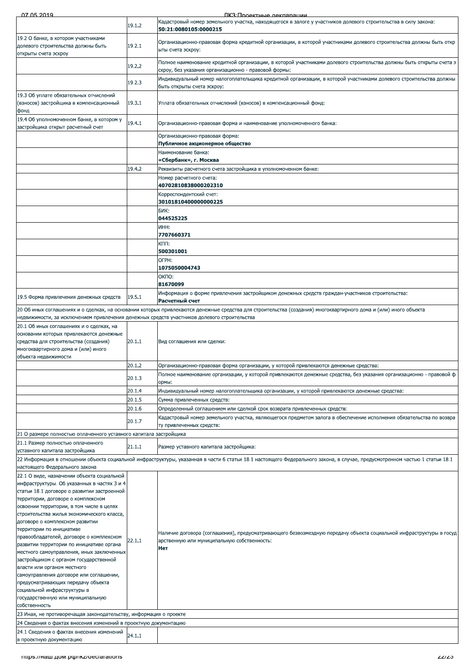ПКЗ Полектные лекпарации

| 07 DA 2014                                                                                                                                                                                                                                                                                                                                                                                  |                  | IK:3'I INOAKTHLIA NAKUSNAI IIMI                                                                                                                                             |
|---------------------------------------------------------------------------------------------------------------------------------------------------------------------------------------------------------------------------------------------------------------------------------------------------------------------------------------------------------------------------------------------|------------------|-----------------------------------------------------------------------------------------------------------------------------------------------------------------------------|
|                                                                                                                                                                                                                                                                                                                                                                                             | 19.1.2           | Кадастровый номер земельного участка, находящегося в залоге у участников долевого строительства в силу закона:<br>50:21:0080105:0000215                                     |
| 19.2 О банке, в котором участниками<br>долевого строительства должны быть                                                                                                                                                                                                                                                                                                                   | 19.2.1           | Организационно-правовая форма кредитной организации, в которой участниками долевого строительства должны быть откр<br>ыты счета эскроу:                                     |
| открыты счета эскроу                                                                                                                                                                                                                                                                                                                                                                        | 19.2.2           | Полное наименование кредитной организации, в которой участниками долевого строительства должны быть открыты счета э<br>скроу, без указания организационно - правовой формы: |
|                                                                                                                                                                                                                                                                                                                                                                                             | 19.2.3           | Индивидуальный номер налогоплательщика кредитной организации, в которой участниками долевого строительства должны<br>быть открыты счета эскроу:                             |
| 19.3 Об уплате обязательных отчислений<br>(взносов) застройщика в компенсационный<br>фонд                                                                                                                                                                                                                                                                                                   | 19.3.1           | Уплата обязательных отчислений (взносов) в компенсационный фонд:                                                                                                            |
| 19.4 Об уполномоченном банке, в котором у<br>застройщика открыт расчетный счет                                                                                                                                                                                                                                                                                                              | 19.4.1           | Организационно-правовая форма и наименование уполномоченного банка:                                                                                                         |
|                                                                                                                                                                                                                                                                                                                                                                                             |                  | Организационно-правовая форма:<br>Публичное акционерное общество                                                                                                            |
|                                                                                                                                                                                                                                                                                                                                                                                             |                  | Наименование банка:<br>«Сбербанк», г. Москва                                                                                                                                |
|                                                                                                                                                                                                                                                                                                                                                                                             | 19.4.2           | Реквизиты расчетного счета застройщика в уполномоченном банке:                                                                                                              |
|                                                                                                                                                                                                                                                                                                                                                                                             |                  | Номер расчетного счета:<br>40702810838000202310                                                                                                                             |
|                                                                                                                                                                                                                                                                                                                                                                                             |                  | Корреспондентский счет:                                                                                                                                                     |
|                                                                                                                                                                                                                                                                                                                                                                                             |                  | 30101810400000000225<br>БИК:                                                                                                                                                |
|                                                                                                                                                                                                                                                                                                                                                                                             |                  | 044525225<br><b>UHH:</b>                                                                                                                                                    |
|                                                                                                                                                                                                                                                                                                                                                                                             |                  | 7707660371<br>KNU:                                                                                                                                                          |
|                                                                                                                                                                                                                                                                                                                                                                                             |                  | 500301001                                                                                                                                                                   |
|                                                                                                                                                                                                                                                                                                                                                                                             |                  | OFPH:<br>1075050004743                                                                                                                                                      |
|                                                                                                                                                                                                                                                                                                                                                                                             |                  | ОКПО:<br>81670099                                                                                                                                                           |
| 19.5 Форма привлечения денежных средств                                                                                                                                                                                                                                                                                                                                                     | 19.5.1           | "Информация о форме привлечения застройщиком денежных средств граждан-участников строительства<br>Расчетный счет                                                            |
|                                                                                                                                                                                                                                                                                                                                                                                             |                  | 20 Об иных соглашениях и о сделках, на основании которых привлекаются денежные средства для строительства (создания) многоквартирного дома и (или) иного объекта            |
| недвижимости, за исключением привлечения денежных средств участников долевого строительства<br>20.1 Об иных соглашениях и о сделках, на                                                                                                                                                                                                                                                     |                  |                                                                                                                                                                             |
| основании которых привлекаются денежные<br>средства для строительства (создания)<br>многоквартирного дома и (или) иного<br>объекта недвижимости                                                                                                                                                                                                                                             | 20.1.1           | Вид соглашения или сделки:                                                                                                                                                  |
|                                                                                                                                                                                                                                                                                                                                                                                             | 20.1.2           | Организационно-правовая форма организации, у которой привлекаются денежные средства:                                                                                        |
|                                                                                                                                                                                                                                                                                                                                                                                             | 20.1.3           | Полное наименование организации, у которой привлекаются денежные средства, без указания организационно - правовой ф<br>ормы:                                                |
|                                                                                                                                                                                                                                                                                                                                                                                             | 20.1.4<br>20.1.5 | Индивидуальный номер налогоплательщика организации, у которой привлекаются денежные средства:<br>Сумма привлеченных средств:                                                |
|                                                                                                                                                                                                                                                                                                                                                                                             | 20.1.6           | Определенный соглашением или сделкой срок возврата привлеченных средств:                                                                                                    |
|                                                                                                                                                                                                                                                                                                                                                                                             | 20.1.7           | Кадастровый номер земельного участка, являющегося предметом залога в обеспечение исполнения обязательства по возвра<br>ту привлеченных средств:                             |
| 21 О размере полностью оплаченного уставного капитала застройщика                                                                                                                                                                                                                                                                                                                           |                  |                                                                                                                                                                             |
| 21.1 Размер полностью оплаченного<br>уставного капитала застройщика                                                                                                                                                                                                                                                                                                                         | 21.1.1           | Размер уставного капитала застройщика:                                                                                                                                      |
|                                                                                                                                                                                                                                                                                                                                                                                             |                  | 22 Информация в отношении объекта социальной инфраструктуры, указанная в части 6 статьи 18.1 настоящего Федерального закона, в случае, предусмотренном частью 1 статьи 18.1 |
| настоящего Федерального закона<br>22.1 О виде, назначении объекта социальной                                                                                                                                                                                                                                                                                                                |                  |                                                                                                                                                                             |
| инфраструктуры. Об указанных в частях 3 и 4<br>статьи 18.1 договоре о развитии застроенной<br>территории, договоре о комплексном<br>освоении территории, в том числе в целях<br>строительства жилья экономического класса,<br>договоре о комплексном развитии                                                                                                                               |                  |                                                                                                                                                                             |
| территории по инициативе<br>правообладателей, договоре о комплексном<br>развитии территории по инициативе органа<br>местного самоуправления, иных заключенных<br>застройщиком с органом государственной<br>власти или органом местного<br>самоуправления договоре или соглашении,<br>предусматривающих передачу объекта<br>социальной инфраструктуры в<br>государственную или муниципальную | 22.1.1           | Наличие договора (соглашения), предусматривающего безвозмездную передачу объекта социальной инфраструктуры в госуд<br>арственную или муниципальную собственность:<br>Нет    |
| собственность                                                                                                                                                                                                                                                                                                                                                                               |                  |                                                                                                                                                                             |
| 23 Иная, не противоречащая законодательству, информация о проекте<br>24 Сведения о фактах внесения изменений в проектную документацию                                                                                                                                                                                                                                                       |                  |                                                                                                                                                                             |
| 24.1 Сведения о фактах внесения изменений<br>в проектную документацию                                                                                                                                                                                                                                                                                                                       | 24.1.1           |                                                                                                                                                                             |
| mups.//Ham.uom.pub/ikz/deciarations                                                                                                                                                                                                                                                                                                                                                         |                  | د∠ا∠ے                                                                                                                                                                       |
|                                                                                                                                                                                                                                                                                                                                                                                             |                  |                                                                                                                                                                             |
|                                                                                                                                                                                                                                                                                                                                                                                             |                  |                                                                                                                                                                             |
|                                                                                                                                                                                                                                                                                                                                                                                             |                  |                                                                                                                                                                             |
|                                                                                                                                                                                                                                                                                                                                                                                             |                  |                                                                                                                                                                             |